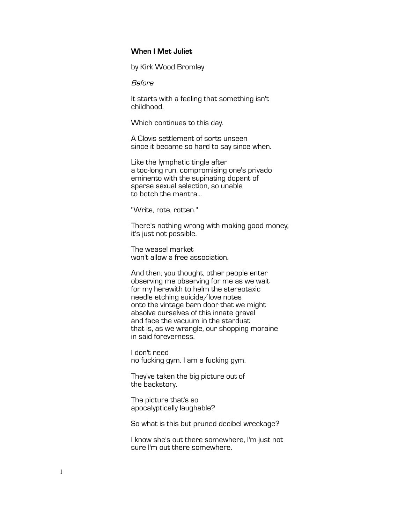# **When I Met Juliet**

by Kirk Wood Bromley

Before

It starts with a feeling that something isn't childhood.

Which continues to this day.

A Clovis settlement of sorts unseen since it became so hard to say since when.

Like the lymphatic tingle after a too-long run, compromising one's privado eminento with the supinating dopant of sparse sexual selection, so unable to botch the mantra...

"Write, rote, rotten."

There's nothing wrong with making good money; it's just not possible.

The weasel market won't allow a free association.

And then, you thought, other people enter observing me observing for me as we wait for my herewith to helm the stereotaxic needle etching suicide/love notes onto the vintage barn door that we might absolve ourselves of this innate gravel and face the vacuum in the stardust that is, as we wrangle, our shopping moraine in said foreverness.

I don't need no fucking gym. I am a fucking gym.

They've taken the big picture out of the backstory.

The picture that's so apocalyptically laughable?

So what is this but pruned decibel wreckage?

I know she's out there somewhere, I'm just not sure I'm out there somewhere.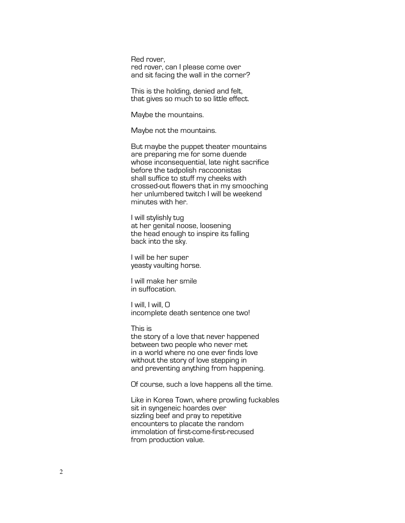Red rover, red rover, can I please come over and sit facing the wall in the corner?

This is the holding, denied and felt, that gives so much to so little effect.

Maybe the mountains.

Maybe not the mountains.

But maybe the puppet theater mountains are preparing me for some duende whose inconsequential, late night sacrifice before the tadpolish raccoonistas shall suffice to stuff my cheeks with crossed-out flowers that in my smooching her unlumbered twitch I will be weekend minutes with her.

I will stylishly tug at her genital noose, loosening the head enough to inspire its falling back into the sky.

I will be her super yeasty vaulting horse.

I will make her smile in suffocation.

I will, I will, O incomplete death sentence one two!

This is

the story of a love that never happened between two people who never met in a world where no one ever finds love without the story of love stepping in and preventing anything from happening.

Of course, such a love happens all the time.

Like in Korea Town, where prowling fuckables sit in syngeneic hoardes over sizzling beef and pray to repetitive encounters to placate the random immolation of first-come-first-recused from production value.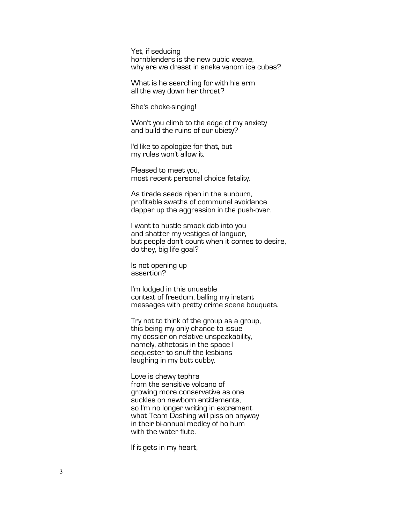Yet, if seducing hornblenders is the new pubic weave, why are we dresst in snake venom ice cubes?

What is he searching for with his arm all the way down her throat?

She's choke-singing!

Won't you climb to the edge of my anxiety and build the ruins of our ubiety?

I'd like to apologize for that, but my rules won't allow it.

Pleased to meet you, most recent personal choice fatality.

As tirade seeds ripen in the sunburn, profitable swaths of communal avoidance dapper up the aggression in the push-over.

I want to hustle smack dab into you and shatter my vestiges of languor, but people don't count when it comes to desire, do they, big life goal?

Is not opening up assertion?

I'm lodged in this unusable context of freedom, balling my instant messages with pretty crime scene bouquets.

Try not to think of the group as a group, this being my only chance to issue my dossier on relative unspeakability, namely, athetosis in the space I sequester to snuff the lesbians laughing in my butt cubby.

Love is chewy tephra from the sensitive volcano of growing more conservative as one suckles on newborn entitlements, so I'm no longer writing in excrement what Team Dashing will piss on anyway in their bi-annual medley of ho hum with the water flute.

If it gets in my heart,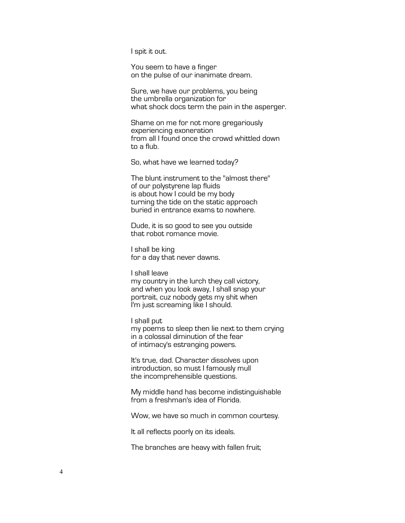I spit it out.

You seem to have a finger on the pulse of our inanimate dream.

Sure, we have our problems, you being the umbrella organization for what shock docs term the pain in the asperger.

Shame on me for not more gregariously experiencing exoneration from all I found once the crowd whittled down to a flub.

So, what have we learned today?

The blunt instrument to the "almost there" of our polystyrene lap fluids is about how I could be my body turning the tide on the static approach buried in entrance exams to nowhere.

Dude, it is so good to see you outside that robot romance movie.

I shall be king for a day that never dawns.

I shall leave my country in the lurch they call victory, and when you look away, I shall snap your portrait, cuz nobody gets my shit when I'm just screaming like I should.

I shall put my poems to sleep then lie next to them crying in a colossal diminution of the fear of intimacy's estranging powers.

It's true, dad. Character dissolves upon introduction, so must I famously mull the incomprehensible questions.

My middle hand has become indistinguishable from a freshman's idea of Florida.

Wow, we have so much in common courtesy.

It all reflects poorly on its ideals.

The branches are heavy with fallen fruit;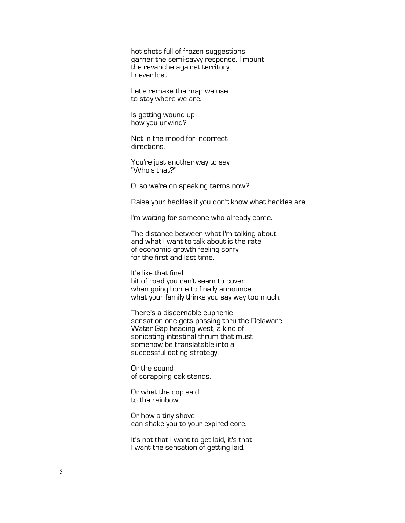hot shots full of frozen suggestions garner the semi-savvy response. I mount the revanche against territory I never lost.

Let's remake the map we use to stay where we are.

Is getting wound up how you unwind?

Not in the mood for incorrect directions.

You're just another way to say "Who's that?"

O, so we're on speaking terms now?

Raise your hackles if you don't know what hackles are.

I'm waiting for someone who already came.

The distance between what I'm talking about and what I want to talk about is the rate of economic growth feeling sorry for the first and last time.

It's like that final bit of road you can't seem to cover when going home to finally announce what your family thinks you say way too much.

There's a discernable euphenic sensation one gets passing thru the Delaware Water Gap heading west, a kind of sonicating intestinal thrum that must somehow be translatable into a successful dating strategy.

Or the sound of scrapping oak stands.

Or what the cop said to the rainbow.

Or how a tiny shove can shake you to your expired core.

It's not that I want to get laid, it's that I want the sensation of getting laid.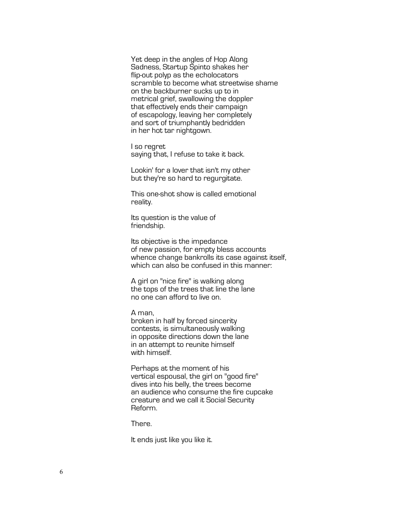Yet deep in the angles of Hop Along Sadness, Startup Spinto shakes her flip-out polyp as the echolocators scramble to become what streetwise shame on the backburner sucks up to in metrical grief, swallowing the doppler that effectively ends their campaign of escapology, leaving her completely and sort of triumphantly bedridden in her hot tar nightgown.

I so regret saying that, I refuse to take it back.

Lookin' for a lover that isn't my other but they're so hard to regurgitate.

This one-shot show is called emotional reality.

Its question is the value of friendship.

Its objective is the impedance of new passion, for empty bless accounts whence change bankrolls its case against itself, which can also be confused in this manner:

A girl on "nice fire" is walking along the tops of the trees that line the lane no one can afford to live on.

A man,

broken in half by forced sincerity contests, is simultaneously walking in opposite directions down the lane in an attempt to reunite himself with himself.

Perhaps at the moment of his vertical espousal, the girl on "good fire" dives into his belly, the trees become an audience who consume the fire cupcake creature and we call it Social Security Reform.

There.

It ends just like you like it.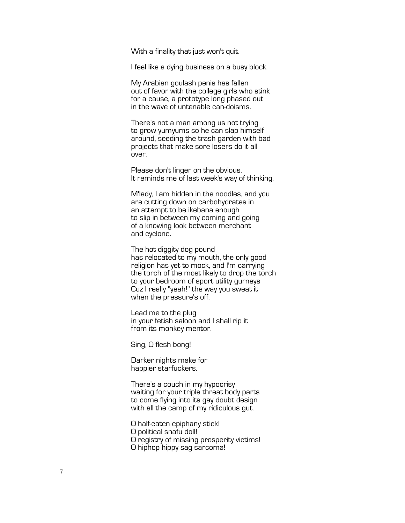With a finality that just won't quit.

I feel like a dying business on a busy block.

My Arabian goulash penis has fallen out of favor with the college girls who stink for a cause, a prototype long phased out in the wave of untenable can-doisms.

There's not a man among us not trying to grow yumyums so he can slap himself around, seeding the trash garden with bad projects that make sore losers do it all over.

Please don't linger on the obvious. It reminds me of last week's way of thinking.

M'lady, I am hidden in the noodles, and you are cutting down on carbohydrates in an attempt to be ikebana enough to slip in between my coming and going of a knowing look between merchant and cyclone.

The hot diggity dog pound has relocated to my mouth, the only good religion has yet to mock, and I'm carrying the torch of the most likely to drop the torch to your bedroom of sport utility gurneys Cuz I really "yeah!" the way you sweat it when the pressure's off.

Lead me to the plug in your fetish saloon and I shall rip it from its monkey mentor.

Sing, O flesh bong!

Darker nights make for happier starfuckers.

There's a couch in my hypocrisy waiting for your triple threat body parts to come flying into its gay doubt design with all the camp of my ridiculous gut.

O half-eaten epiphany stick! O political snafu doll! O registry of missing prosperity victims! O hiphop hippy sag sarcoma!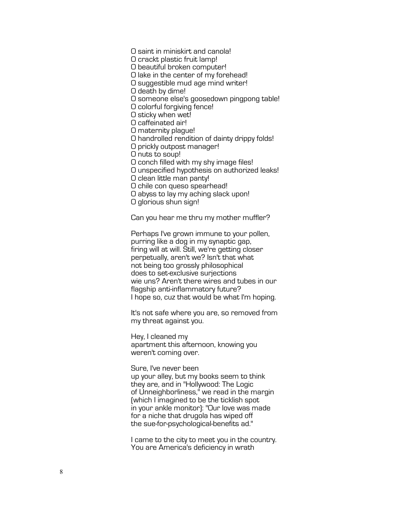O saint in miniskirt and canola!

O crackt plastic fruit lamp!

O beautiful broken computer!

O lake in the center of my forehead!

O suggestible mud age mind writer!

O death by dime!

O someone else's goosedown pingpong table!

O colorful forgiving fence!

O sticky when wet!

O caffeinated air!

O maternity plague!

O handrolled rendition of dainty drippy folds!

O prickly outpost manager!

O nuts to soup!

O conch filled with my shy image files!

O unspecified hypothesis on authorized leaks!

O clean little man panty!

O chile con queso spearhead!

O abyss to lay my aching slack upon!

O glorious shun sign!

Can you hear me thru my mother muffler?

Perhaps I've grown immune to your pollen, purring like a dog in my synaptic gap, firing will at will. Still, we're getting closer perpetually, aren't we? Isn't that what not being too grossly philosophical does to set-exclusive surjections wie uns? Aren't there wires and tubes in our flagship anti -inflammatory future? I hope so, cuz that would be what I'm hoping.

It's not safe where you are, so removed from my threat against you.

Hey, I cleaned my apartment this afternoon, knowing you weren't coming over.

Sure, I've never been up your alley, but my books seem to think they are, and in "Hollywood: The Logic of Unneighborliness," we read in the margin (which I imagined to be the ticklish spot in your ankle monitor): "Our love was made for a niche that drugola has wiped off the sue -for -psychological -benefits ad."

I came to the city to meet you in the country. You are America's deficiency in wrath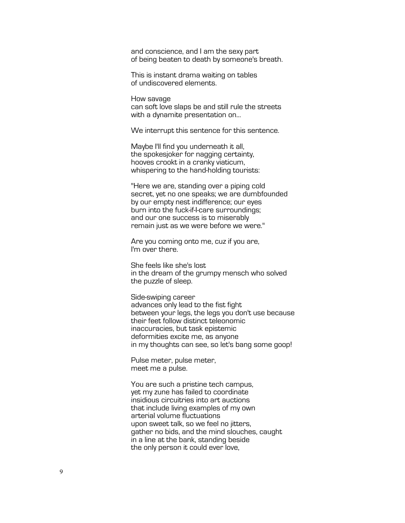and conscience, and I am the sexy part of being beaten to death by someone's breath.

This is instant drama waiting on tables of undiscovered elements.

How savage can soft love slaps be and still rule the streets with a dynamite presentation on...

We interrupt this sentence for this sentence.

Maybe I'll find you underneath it all, the spokesjoker for nagging certainty, hooves crookt in a cranky viaticum, whispering to the hand-holding tourists:

"Here we are, standing over a piping cold secret, yet no one speaks; we are dumbfounded by our empty nest indifference; our eyes burn into the fuck-if-I-care surroundings; and our one success is to miserably remain just as we were before we were."

Are you coming onto me, cuz if you are, I'm over there.

She feels like she's lost in the dream of the grumpy mensch who solved the puzzle of sleep.

Side-swiping career advances only lead to the fist fight between your legs, the legs you don't use because their feet follow distinct teleonomic inaccuracies, but task epistemic deformities excite me, as anyone in my thoughts can see, so let's bang some goop!

Pulse meter, pulse meter, meet me a pulse.

You are such a pristine tech campus, yet my zune has failed to coordinate insidious circuitries into art auctions that include living examples of my own arterial volume fluctuations upon sweet talk, so we feel no jitters, gather no bids, and the mind slouches, caught in a line at the bank, standing beside the only person it could ever love,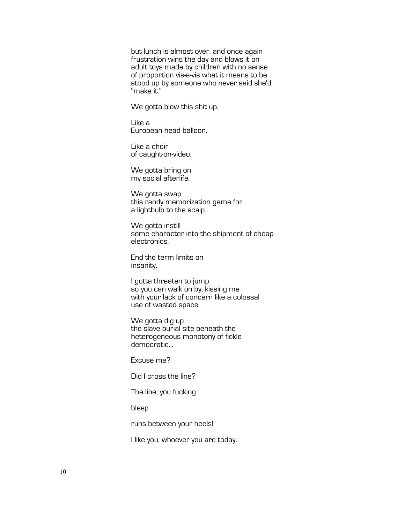but lunch is almost over, and once again frustration wins the day and blows it on adult toys made by children with no sense of proportion vis-a-vis what it means to be stood up by someone who never said she'd "make it."

We gotta blow this shit up.

Like a European head balloon.

Like a choir of caught-on-video.

We gotta bring on my social afterlife.

We gotta swap this randy memorization game for a lightbulb to the scalp.

We gotta instill some character into the shipment of cheap electronics.

End the term limits on insanity.

I gotta threaten to jump so you can walk on by, kissing me with your lack of concern like a colossal use of wasted space.

We gotta dig up the slave burial site beneath the heterogeneous monotony of fickle democratic...

Excuse me?

Did I cross the line?

The line, you fucking

bleep

runs between your heels!

I like you, whoever you are today.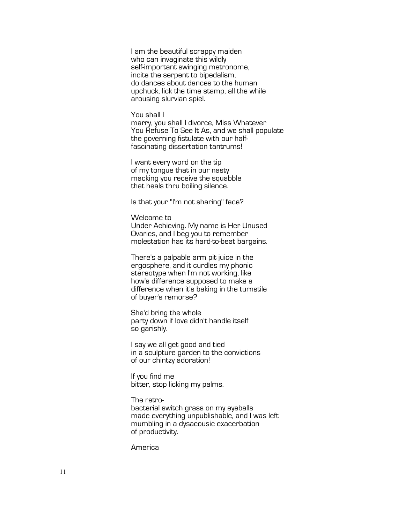I am the beautiful scrappy maiden who can invaginate this wildly self-important swinging metronome, incite the serpent to bipedalism, do dances about dances to the human upchuck, lick the time stamp, all the while arousing slurvian spiel.

### You shall I

marry, you shall I divorce, Miss Whatever You Refuse To See It As, and we shall populate the governing fistulate with our half-<br>fascinating dissertation tantrums!

I want every word on the tip of my tongue that in our nasty macking you receive the squabble that heals thru boiling silence.

Is that your "I'm not sharing" face?

Welcome to

Under Achieving. My name is Her Unused Ovaries, and I beg you to remember molestation has its hard-to-beat bargains.

There's a palpable arm pit juice in the ergosphere, and it curdles my phonic stereotype when I'm not working, like how's difference supposed to make a difference when it's baking in the turnstile of buyer's remorse?

She'd bring the whole party down if love didn't handle itself so garishly.

I say we all get good and tied in a sculpture garden to the convictions of our chintzy adoration!

If you find me bitter, stop licking my palms.

The retrobacterial switch grass on my eyeballs made everything unpublishable, and I was left mumbling in a dysacousic exacerbation of productivity.

America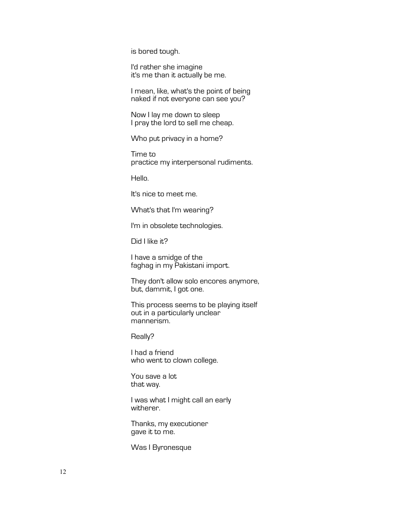is bored tough.

I'd rather she imagine it's me than it actually be me.

I mean, like, what's the point of being naked if not everyone can see you?

Now I lay me down to sleep I pray the lord to sell me cheap.

Who put privacy in a home?

Time to practice my interpersonal rudiments.

Hello.

It's nice to meet me.

What's that I'm wearing?

I'm in obsolete technologies.

Did I like it?

I have a smidge of the faghag in my Pakistani import.

They don't allow solo encores anymore, but, dammit, I got one.

This process seems to be playing itself out in a particularly unclear mannerism.

Really?

I had a friend who went to clown college.

You save a lot that way.

I was what I might call an early witherer.

Thanks, my executioner gave it to me.

Was I Byronesque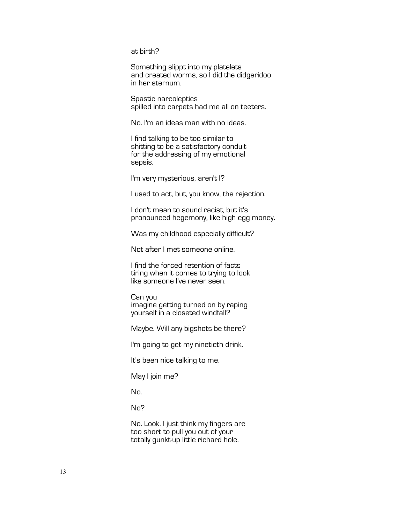at birth?

Something slippt into my platelets and created worms, so I did the didgeridoo in her sternum.

Spastic narcoleptics spilled into carpets had me all on teeters.

No. I'm an ideas man with no ideas.

I find talking to be too similar to shitting to be a satisfactory conduit for the addressing of my emotional sepsis.

I'm very mysterious, aren't I?

I used to act, but, you know, the rejection.

I don't mean to sound racist, but it's pronounced hegemony, like high egg money.

Was my childhood especially difficult?

Not after I met someone online.

I find the forced retention of facts tiring when it comes to trying to look like someone I've never seen.

Can you imagine getting turned on by raping yourself in a closeted windfall?

Maybe. Will any bigshots be there?

I'm going to get my ninetieth drink.

It's been nice talking to me.

May I join me?

No.

No?

No. Look. I just think my fingers are too short to pull you out of your totally gunkt-up little richard hole.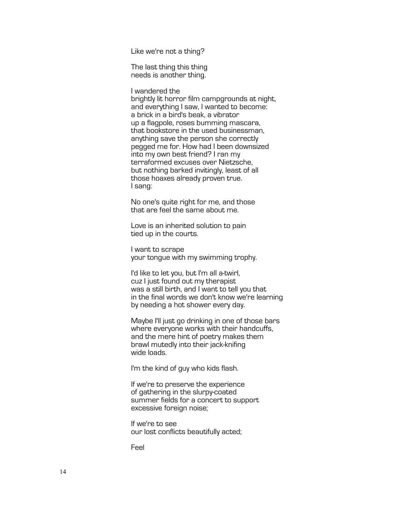Like we're not a thing?

The last thing this thing needs is another thing.

I wandered the

brightly lit horror film campgrounds at night, and everything I saw, I wanted to become: a brick in a bird's beak, a vibrator up a flagpole, roses bumming mascara, that bookstore in the used businessman, anything save the person she correctly pegged me for. How had I been downsized into my own best friend? I ran my terraformed excuses over Nietzsche, but nothing barked invitingly, least of all those hoaxes already proven true. I sang:

No one's quite right for me, and those that are feel the same about me.

Love is an inherited solution to pain tied up in the courts.

I want to scrape your tongue with my swimming trophy.

I'd like to let you, but I'm all a-twirl, cuz I just found out my therapist was a still birth, and I want to tell you that in the final words we don't know we're learning by needing a hot shower every day.

Maybe I'll just go drinking in one of those bars where everyone works with their handcuffs, and the mere hint of poetry makes them brawl mutedly into their jack-knifing wide loads.

I'm the kind of guy who kids flash.

If we're to preserve the experience of gathering in the slurpy-coated summer fields for a concert to support excessive foreign noise;

If we're to see our lost conflicts beautifully acted;

Feel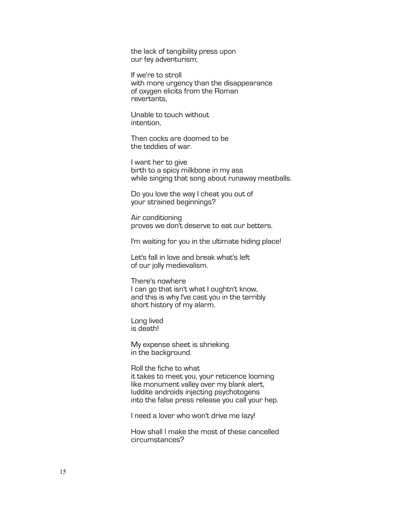the lack of tangibility press upon our fey adventurism;

If we're to stroll with more urgency than the disappearance of oxygen elicits from the Roman revertants,

Unable to touch without intention,

Then cocks are doomed to be the teddies of war.

I want her to give birth to a spicy milkbone in my ass while singing that song about runaway meatballs.

Do you love the way I cheat you out of your strained beginnings?

Air conditioning proves we don't deserve to eat our betters.

I'm waiting for you in the ultimate hiding place!

Let's fall in love and break what's left of our jolly medievalism.

There's nowhere I can go that isn't what I oughtn't know, and this is why I've cast you in the terribly short history of my alarm.

Long lived is death!

My expense sheet is shrieking in the background.

Roll the fiche to what it takes to meet you, your reticence looming like monument valley over my blank alert, luddite androids injecting psychotogens into the false press release you call your hep.

I need a lover who won't drive me lazy!

How shall I make the most of these cancelled circumstances?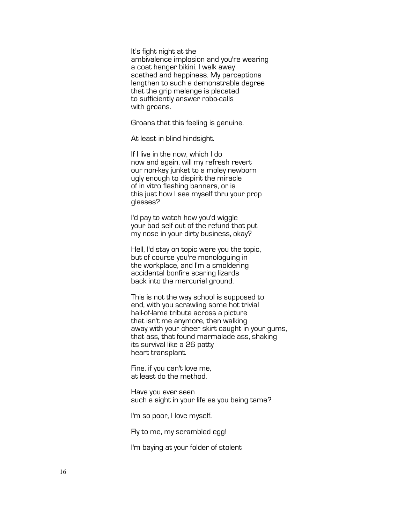It's fight night at the

ambivalence implosion and you're wearing a coat hanger bikini. I walk away scathed and happiness. My perceptions lengthen to such a demonstrable degree that the grip melange is placated to sufficiently answer robo-calls with groans.

Groans that this feeling is genuine.

At least in blind hindsight.

If I live in the now, which I do now and again, will my refresh revert our non-key junket to a moley newborn ugly enough to dispirit the miracle of in vitro flashing banners, or is this just how I see myself thru your prop glasses?

I'd pay to watch how you'd wiggle your bad self out of the refund that put my nose in your dirty business, okay?

Hell, I'd stay on topic were you the topic, but of course you're monologuing in the workplace, and I'm a smoldering accidental bonfire scaring lizards back into the mercurial ground.

This is not the way school is supposed to end, with you scrawling some hot trivial hall-of-lame tribute across a picture that isn't me anymore, then walking away with your cheer skirt caught in your gums, that ass, that found marmalade ass, shaking its survival like a 26 patty heart transplant.

Fine, if you can't love me, at least do the method.

Have you ever seen such a sight in your life as you being tame?

I'm so poor, I love myself.

Fly to me, my scrambled egg!

I'm baying at your folder of stolent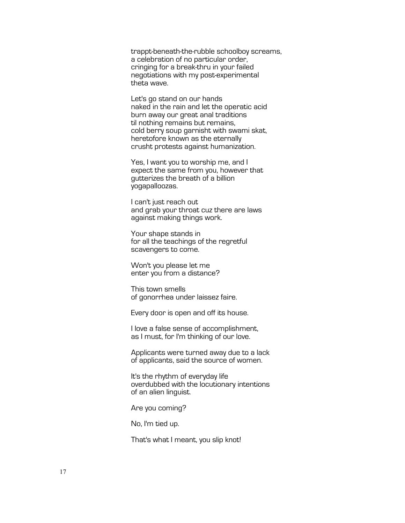trappt-beneath-the-rubble schoolboy screams, a celebration of no particular order, cringing for a break-thru in your failed negotiations with my post-experimental theta wave.

Let's go stand on our hands naked in the rain and let the operatic acid burn away our great anal traditions til nothing remains but remains, cold berry soup garnisht with swami skat, heretofore known as the eternally crusht protests against humanization.

Yes, I want you to worship me, and I expect the same from you, however that gutterizes the breath of a billion yogapalloozas.

I can't just reach out and grab your throat cuz there are laws against making things work.

Your shape stands in for all the teachings of the regretful scavengers to come.

Won't you please let me enter you from a distance?

This town smells of gonorrhea under laissez faire.

Every door is open and off its house.

I love a false sense of accomplishment, as I must, for I'm thinking of our love.

Applicants were turned away due to a lack of applicants, said the source of women.

It's the rhythm of everyday life overdubbed with the locutionary intentions of an alien linguist.

Are you coming?

No, I'm tied up.

That's what I meant, you slip knot!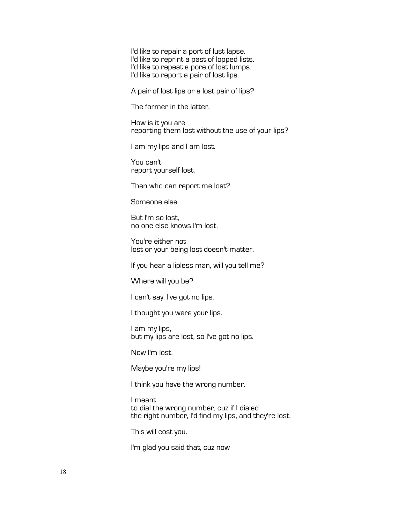I'd like to repair a port of lust lapse. I'd like to reprint a past of lopped lists. I'd like to repeat a pore of lost lumps. I'd like to report a pair of lost lips.

A pair of lost lips or a lost pair of lips?

The former in the latter.

How is it you are reporting them lost without the use of your lips?

I am my lips and I am lost.

You can't report yourself lost.

Then who can report me lost?

Someone else.

But I'm so lost, no one else knows I'm lost.

You're either not lost or your being lost doesn't matter.

If you hear a lipless man, will you tell me?

Where will you be?

I can't say. I've got no lips.

I thought you were your lips.

I am my lips, but my lips are lost, so I've got no lips.

Now I'm lost.

Maybe you're my lips!

I think you have the wrong number.

I meant to dial the wrong number, cuz if I dialed the right number, I'd find my lips, and they're lost.

This will cost you.

I'm glad you said that, cuz now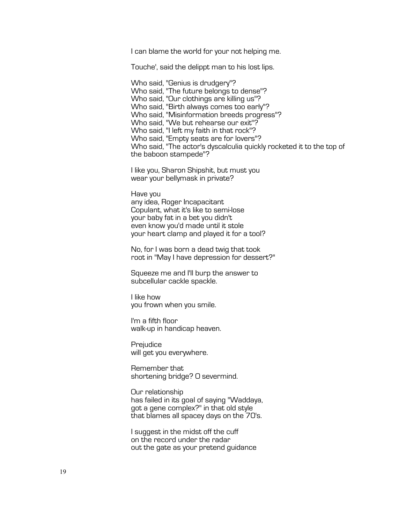I can blame the world for your not helping me.

Touche', said the delippt man to his lost lips.

Who said, "Genius is drudgery"? Who said, "The future belongs to dense"? Who said, "Our clothings are killing us"? Who said, "Birth always comes too early"? Who said, "Misinformation breeds progress"? Who said, "We but rehearse our exit"? Who said, "I left my faith in that rock"? Who said, "Empty seats are for lovers"? Who said, "The actor's dyscalculia quickly rocketed it to the top of the baboon stampede"?

I like you, Sharon Shipshit, but must you wear your bellymask in private?

Have you any idea, Roger Incapacitant Copulant, what it's like to semi-lose your baby fat in a bet you didn't even know you'd made until it stole your heart clamp and played it for a tool?

No, for I was born a dead twig that took root in "May I have depression for dessert?"

Squeeze me and I'll burp the answer to subcellular cackle spackle.

I like how you frown when you smile.

I'm a fifth floor walk-up in handicap heaven.

Prejudice will get you everywhere.

Remember that shortening bridge? O severmind.

Our relationship has failed in its goal of saying "Waddaya, got a gene complex?" in that old style that blames all spacey days on the 70's.

I suggest in the midst off the cuff on the record under the radar out the gate as your pretend guidance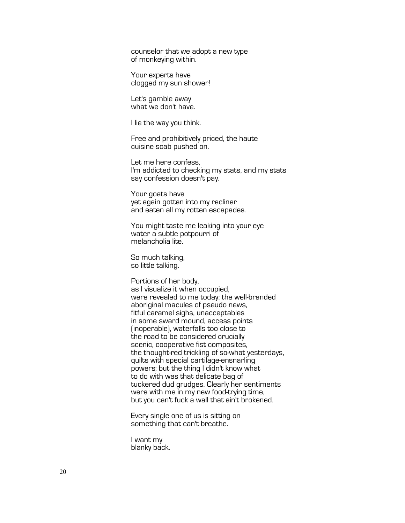counselor that we adopt a new type of monkeying within.

Your experts have clogged my sun shower!

Let's gamble away what we don't have.

I lie the way you think.

Free and prohibitively priced, the haute cuisine scab pushed on.

Let me here confess, I'm addicted to checking my stats, and my stats say confession doesn't pay.

Your goats have yet again gotten into my recliner and eaten all my rotten escapades.

You might taste me leaking into your eye water a subtle potpourri of melancholia lite.

So much talking, so little talking.

Portions of her body, as I visualize it when occupied, were revealed to me today: the well-branded aboriginal macules of pseudo news, fitful caramel sighs, unacceptables in some sward mound, access points (inoperable), waterfalls too close to the road to be considered crucially scenic, cooperative fist composites, the thought-red trickling of so-what yesterdays, quilts with special cartilage-ensnarling powers; but the thing I didn't know what to do with was that delicate bag of tuckered dud grudges. Clearly her sentiments were with me in my new food-trying time, but you can't fuck a wall that ain't brokened.

Every single one of us is sitting on something that can't breathe.

I want my blanky back.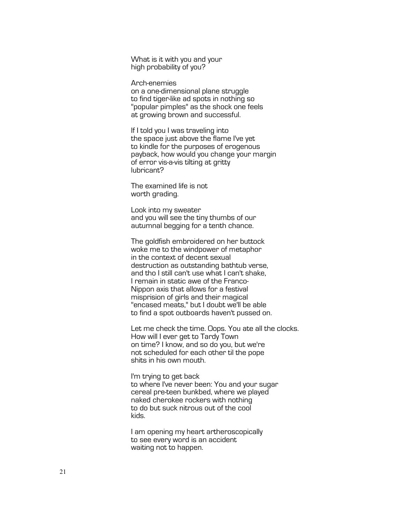What is it with you and your high probability of you?

Arch-enemies on a one-dimensional plane struggle to find tiger-like ad spots in nothing so "popular pimples" as the shock one feels at growing brown and successful.

If I told you I was traveling into the space just above the flame I've yet to kindle for the purposes of erogenous payback, how would you change your margin of error vis-a-vis tilting at gritty lubricant?

The examined life is not worth grading.

Look into my sweater and you will see the tiny thumbs of our autumnal begging for a tenth chance.

The goldfish embroidered on her buttock woke me to the windpower of metaphor in the context of decent sexual destruction as outstanding bathtub verse, and tho I still can't use what I can't shake, I remain in static awe of the Franco-Nippon axis that allows for a festival misprision of girls and their magical "encased meats," but I doubt we'll be able to find a spot outboards haven't pussed on.

Let me check the time. Oops. You ate all the clocks. How will I ever get to Tardy Town on time? I know, and so do you, but we're not scheduled for each other til the pope shits in his own mouth.

I'm trying to get back to where I've never been: You and your sugar cereal pre-teen bunkbed, where we played naked cherokee rockers with nothing to do but suck nitrous out of the cool kids.

I am opening my heart artheroscopically to see every word is an accident waiting not to happen.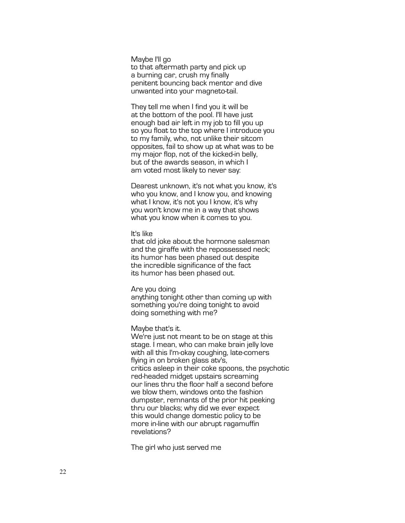Maybe I'll go to that aftermath party and pick up a burning car, crush my finally penitent bouncing back mentor and dive unwanted into your magneto -tail.

They tell me when I find you it will be at the bottom of the pool. I'll have just enough bad air left in my job to fill you up so you float to the top where I introduce you to my family, who, not unlike their sitcom opposites, fail to show up at what was to be my major flop, not of the kicked -in belly, but of the awards season, in which I am voted most likely to never say:

Dearest unknown, it's not what you know, it's who you know, and I know you, and knowing what I know, it's not you I know, it's why you won't know me in a way that shows what you know when it comes to you.

#### It's like

that old joke about the hormone salesman and the giraffe with the repossessed neck; its humor has been phased out despite the incredible significance of the fact its humor has been phased out.

#### Are you doing

anything tonight other than coming up with something you're doing tonight to avoid doing something with me?

## Maybe that's it.

We're just not meant to be on stage at this stage. I mean, who can make brain jelly love with all this I'm -okay coughing, late -comers flying in on broken glass atv's, critics asleep in their coke spoons, the psychotic red -headed midget upstairs screaming our lines thru the floor half a second before we blow them, windows onto the fashion dumpster, remnants of the prior hit peeking thru our blacks; why did we ever expect this would change domestic policy to be more in -line with our abrupt ragamuffin revelations?

The girl who just served me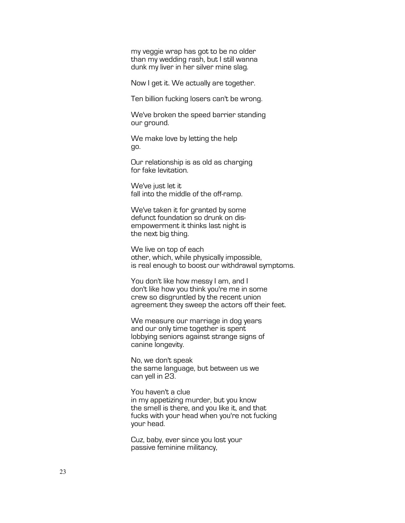my veggie wrap has got to be no older than my wedding rash, but I still wanna dunk my liver in her silver mine slag.

Now I get it. We actually are together.

Ten billion fucking losers can't be wrong.

We've broken the speed barrier standing our ground.

We make love by letting the help go.

Our relationship is as old as charging for fake levitation.

We've just let it fall into the middle of the off-ramp.

We've taken it for granted by some defunct foundation so drunk on dis- empowerment it thinks last night is the next big thing.

We live on top of each other, which, while physically impossible, is real enough to boost our withdrawal symptoms.

You don't like how messy I am, and I don't like how you think you're me in some crew so disgruntled by the recent union agreement they sweep the actors off their feet.

We measure our marriage in dog years and our only time together is spent lobbying seniors against strange signs of canine longevity.

No, we don't speak the same language, but between us we can yell in 23.

You haven't a clue in my appetizing murder, but you know the smell is there, and you like it, and that fucks with your head when you're not fucking your head.

Cuz, baby, ever since you lost your passive feminine militancy,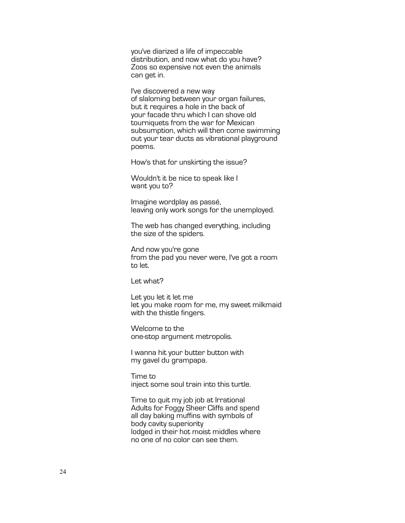you've diarized a life of impeccable distribution, and now what do you have? Zoos so expensive not even the animals can get in.

I've discovered a new way of slaloming between your organ failures, but it requires a hole in the back of your facade thru which I can shove old tourniquets from the war for Mexican subsumption, which will then come swimming out your tear ducts as vibrational playground poems.

How's that for unskirting the issue?

Wouldn't it be nice to speak like I want you to?

Imagine wordplay as passé,<br>leaving only work songs for the unemployed.

The web has changed everything, including the size of the spiders.

And now you're gone from the pad you never were, I've got a room to let.

Let what?

Let you let it let me let you make room for me, my sweet milkmaid with the thistle fingers.

Welcome to the one-stop argument metropolis.

I wanna hit your butter button with my gavel du grampapa.

Time to inject some soul train into this turtle.

Time to quit my job job at Irrational Adults for Foggy Sheer Cliffs and spend all day baking muffins with symbols of body cavity superiority lodged in their hot moist middles where no one of no color can see them.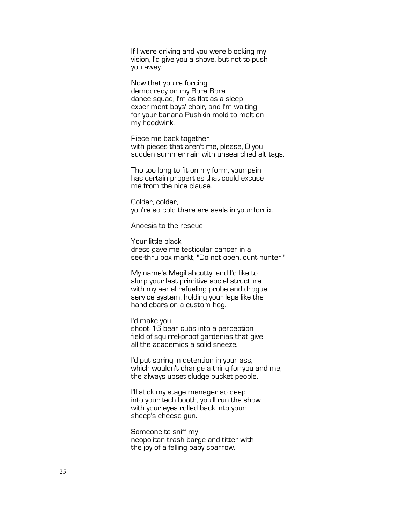If I were driving and you were blocking my vision, I'd give you a shove, but not to push you away.

Now that you're forcing democracy on my Bora Bora dance squad, I'm as flat as a sleep experiment boys' choir, and I'm waiting for your banana Pushkin mold to melt on my hoodwink.

Piece me back together with pieces that aren't me, please, O you sudden summer rain with unsearched alt tags.

Tho too long to fit on my form, your pain has certain properties that could excuse me from the nice clause.

Colder, colder, you're so cold there are seals in your fornix.

Anoesis to the rescue!

Your little black dress gave me testicular cancer in a see-thru box markt, "Do not open, cunt hunter."

My name's Megillahcutty, and I'd like to slurp your last primitive social structure with my aerial refueling probe and drogue service system, holding your legs like the handlebars on a custom hog.

I'd make you shoot 16 bear cubs into a perception field of squirrel-proof gardenias that give all the academics a solid sneeze.

I'd put spring in detention in your ass, which wouldn't change a thing for you and me, the always upset sludge bucket people.

I'll stick my stage manager so deep into your tech booth, you'll run the show with your eyes rolled back into your sheep's cheese gun.

Someone to sniff my neopolitan trash barge and titter with the joy of a falling baby sparrow.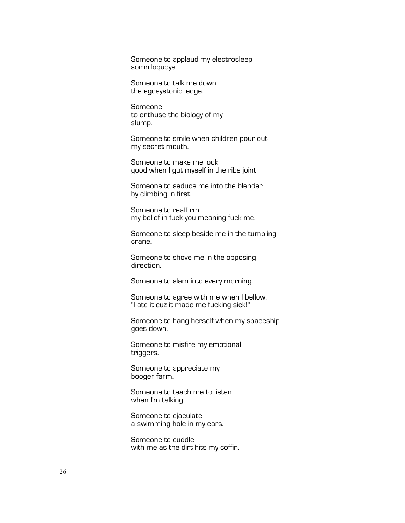Someone to applaud my electrosleep somniloquoys.

Someone to talk me down the egosystonic ledge.

Someone to enthuse the biology of my slump.

Someone to smile when children pour out my secret mouth.

Someone to make me look good when I gut myself in the ribs joint.

Someone to seduce me into the blender by climbing in first.

Someone to reaffirm my belief in fuck you meaning fuck me.

Someone to sleep beside me in the tumbling crane.

Someone to shove me in the opposing direction.

Someone to slam into every morning.

Someone to agree with me when I bellow, "I ate it cuz it made me fucking sick!"

Someone to hang herself when my spaceship goes down.

Someone to misfire my emotional triggers.

Someone to appreciate my booger farm.

Someone to teach me to listen when I'm talking.

Someone to ejaculate a swimming hole in my ears.

Someone to cuddle with me as the dirt hits my coffin.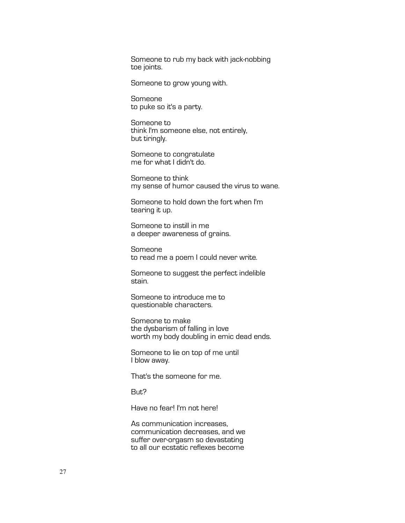Someone to rub my back with jack-nobbing toe joints.

Someone to grow young with.

Someone to puke so it's a party.

Someone to think I'm someone else, not entirely, but tiringly.

Someone to congratulate me for what I didn't do.

Someone to think my sense of humor caused the virus to wane.

Someone to hold down the fort when I'm tearing it up.

Someone to instill in me a deeper awareness of grains.

Someone to read me a poem I could never write.

Someone to suggest the perfect indelible stain.

Someone to introduce me to questionable characters.

Someone to make the dysbarism of falling in love worth my body doubling in emic dead ends.

Someone to lie on top of me until I blow away.

That's the someone for me.

But?

Have no fear! I'm not here!

As communication increases, communication decreases, and we suffer over-orgasm so devastating to all our ecstatic reflexes become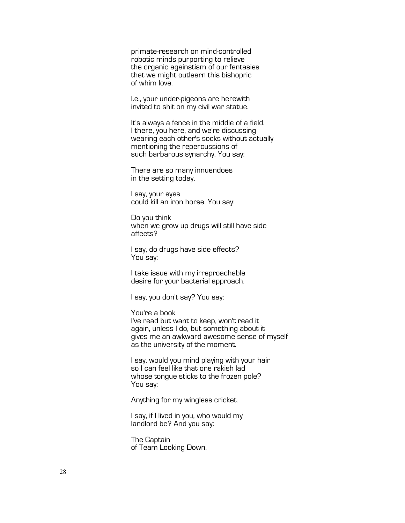primate-research on mind-controlled robotic minds purporting to relieve the organic againstism of our fantasies that we might outlearn this bishopric of whim love.

I.e., your under-pigeons are herewith invited to shit on my civil war statue.

It's always a fence in the middle of a field. I there, you here, and we're discussing wearing each other's socks without actually mentioning the repercussions of such barbarous synarchy. You say:

There are so many innuendoes in the setting today.

I say, your eyes could kill an iron horse. You say:

Do you think when we grow up drugs will still have side affects?

I say, do drugs have side effects? You say:

I take issue with my irreproachable desire for your bacterial approach.

I say, you don't say? You say:

You're a book I've read but want to keep, won't read it again, unless I do, but something about it gives me an awkward awesome sense of myself as the university of the moment.

I say, would you mind playing with your hair so I can feel like that one rakish lad whose tongue sticks to the frozen pole? You say:

Anything for my wingless cricket.

I say, if I lived in you, who would my landlord be? And you say:

The Captain of Team Looking Down.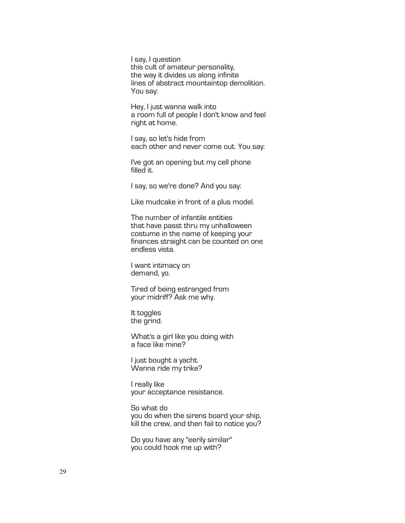I say, I question this cult of amateur personality, the way it divides us along infinite lines of abstract mountaintop demolition. You say:

Hey, I just wanna walk into a room full of people I don't know and feel right at home.

I say, so let's hide from each other and never come out. You say:

I've got an opening but my cell phone filled it.

I say, so we're done? And you say:

Like mudcake in front of a plus model.

The number of infantile entities that have passt thru my unhalloween costume in the name of keeping your finances straight can be counted on one endless vista.

I want intimacy on demand, yo.

Tired of being estranged from your midriff? Ask me why.

It toggles the grind.

What's a girl like you doing with a face like mine?

I just bought a yacht. Wanna ride my trike?

I really like your acceptance resistance.

So what do you do when the sirens board your ship, kill the crew, and then fail to notice you?

Do you have any "eerily similar" you could hook me up with?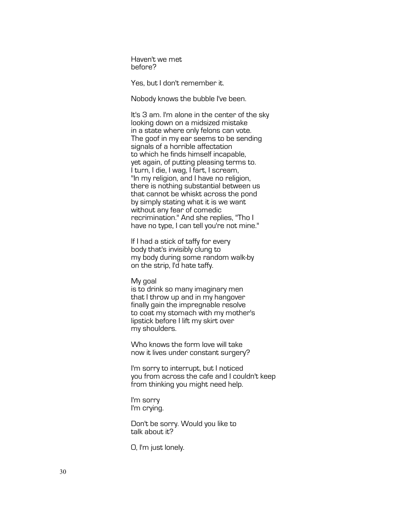Haven't we met before?

Yes, but I don't remember it.

Nobody knows the bubble I've been.

It's 3 am. I'm alone in the center of the sky looking down on a midsized mistake in a state where only felons can vote. The goof in my ear seems to be sending signals of a horrible affectation to which he finds himself incapable, yet again, of putting pleasing terms to. I turn, I die, I wag, I fart, I scream, "In my religion, and I have no religion, there is nothing substantial between us that cannot be whiskt across the pond by simply stating what it is we want without any fear of comedic recrimination." And she replies, "Tho I have no type, I can tell you're not mine."

If I had a stick of taffy for every body that's invisibly clung to my body during some random walk-by on the strip, I'd hate taffy.

### My goal

is to drink so many imaginary men that I throw up and in my hangover finally gain the impregnable resolve to coat my stomach with my mother's lipstick before I lift my skirt over my shoulders.

Who knows the form love will take now it lives under constant surgery?

I'm sorry to interrupt, but I noticed you from across the cafe and I couldn't keep from thinking you might need help.

I'm sorry I'm crying.

Don't be sorry. Would you like to talk about it?

O, I'm just lonely.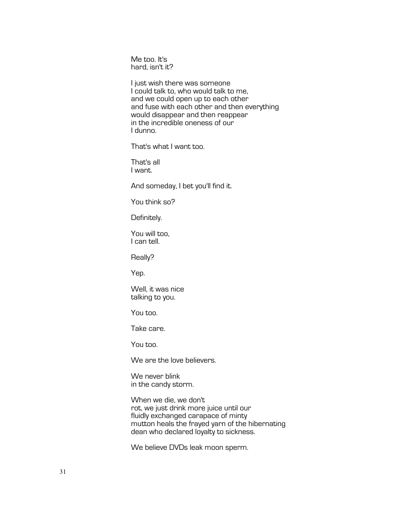Me too. It's hard, isn't it?

I just wish there was someone I could talk to, who would talk to me, and we could open up to each other and fuse with each other and then everything would disappear and then reappear in the incredible oneness of our I dunno.

That's what I want too.

That's all I want.

And someday, I bet you'll find it.

You think so?

Definitely.

You will too, I can tell.

Really?

Yep.

Well, it was nice talking to you.

You too.

Take care.

You too.

We are the love believers.

We never blink in the candy storm.

When we die, we don't rot, we just drink more juice until our fluidly exchanged carapace of minty mutton heals the frayed yarn of the hibernating dean who declared loyalty to sickness.

We believe DVDs leak moon sperm.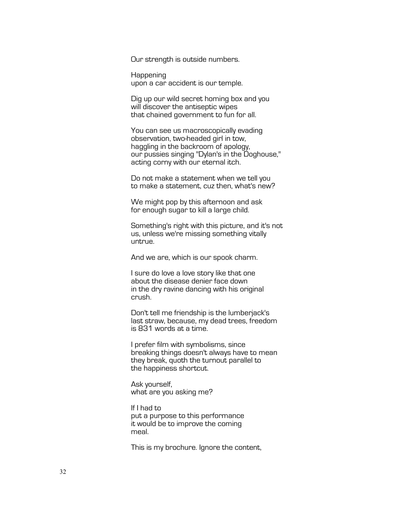Our strength is outside numbers.

Happening upon a car accident is our temple.

Dig up our wild secret homing box and you will discover the antiseptic wipes that chained government to fun for all.

You can see us macroscopically evading observation, two-headed girl in tow, haggling in the backroom of apology, our pussies singing "Dylan's in the Doghouse," acting corny with our eternal itch.

Do not make a statement when we tell you to make a statement, cuz then, what's new?

We might pop by this afternoon and ask for enough sugar to kill a large child.

Something's right with this picture, and it's not us, unless we're missing something vitally untrue.

And we are, which is our spook charm.

I sure do love a love story like that one about the disease denier face down in the dry ravine dancing with his original crush.

Don't tell me friendship is the lumberjack's last straw, because, my dead trees, freedom is 831 words at a time.

I prefer film with symbolisms, since breaking things doesn't always have to mean they break, quoth the turnout parallel to the happiness shortcut.

Ask yourself, what are you asking me?

If I had to put a purpose to this performance it would be to improve the coming meal.

This is my brochure. Ignore the content,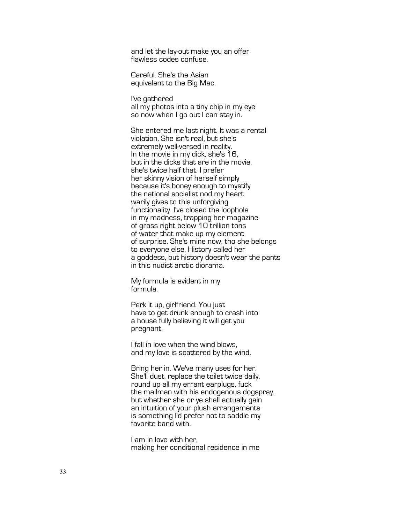and let the lay-out make you an offer flawless codes confuse.

Careful. She's the Asian equivalent to the Big Mac.

I've gathered all my photos into a tiny chip in my eye so now when I go out I can stay in.

She entered me last night. It was a rental violation. She isn't real, but she's extremely well -versed in reality. In the movie in my dick, she's 16, but in the dicks that are in the movie, she's twice half that. I prefer her skinny vision of herself simply because it's boney enough to mystify the national socialist nod my heart warily gives to this unforgiving functionality. I've closed the loophole in my madness, trapping her magazine of grass right below 10 trillion tons of water that make up my element of surprise. She's mine now, tho she belongs to everyone else. History called her a goddess, but history doesn't wear the pants in this nudist arctic diorama.

My formula is evident in my formula.

Perk it up, girlfriend. You just have to get drunk enough to crash into a house fully believing it will get you pregnant.

I fall in love when the wind blows, and my love is scattered by the wind.

Bring her in. We've many uses for her. She'll dust, replace the toilet twice daily, round up all my errant earplugs, fuck the mailman with his endogenous dogspray, but whether she or ye shall actually gain an intuition of your plush arrangements is something I'd prefer not to saddle my favorite band with.

I am in love with her, making her conditional residence in me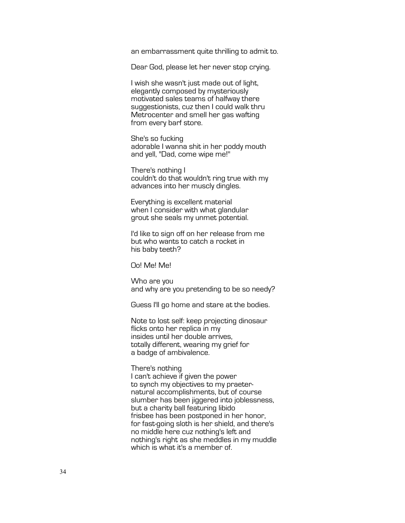an embarrassment quite thrilling to admit to.

Dear God, please let her never stop crying.

I wish she wasn't just made out of light, elegantly composed by mysteriously motivated sales teams of halfway there suggestionists, cuz then I could walk thru Metrocenter and smell her gas wafting from every barf store.

She's so fucking adorable I wanna shit in her poddy mouth and yell, "Dad, come wipe me!"

There's nothing I couldn't do that wouldn't ring true with my advances into her muscly dingles.

Everything is excellent material when I consider with what glandular grout she seals my unmet potential.

I'd like to sign off on her release from me but who wants to catch a rocket in his baby teeth?

Oo! Me! Me!

Who are you and why are you pretending to be so needy?

Guess I'll go home and stare at the bodies.

Note to lost self: keep projecting dinosaur flicks onto her replica in my insides until her double arrives, totally different, wearing my grief for a badge of ambivalence.

There's nothing I can't achieve if given the power to synch my objectives to my praeternatural accomplishments, but of course slumber has been jiggered into joblessness, but a charity ball featuring libido frisbee has been postponed in her honor, for fast-going sloth is her shield, and there's no middle here cuz nothing's left and nothing's right as she meddles in my muddle which is what it's a member of.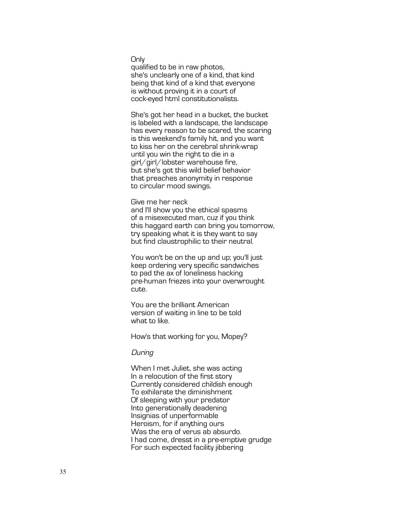**Only** 

qualified to be in raw photos, she's unclearly one of a kind, that kind being that kind of a kind that everyone is without proving it in a court of cock-eyed html constitutionalists.

She's got her head in a bucket, the bucket is labeled with a landscape, the landscape has every reason to be scared, the scaring is this weekend's family hit, and you want to kiss her on the cerebral shrink-wrap until you win the right to die in a girl/girl/lobster warehouse fire, but she's got this wild belief behavior that preaches anonymity in response to circular mood swings.

Give me her neck

and I'll show you the ethical spasms of a misexecuted man, cuz if you think this haggard earth can bring you tomorrow, try speaking what it is they want to say but find claustrophilic to their neutral.

You won't be on the up and up; you'll just keep ordering very specific sandwiches to pad the ax of loneliness hacking pre -human friezes into your overwrought cute.

You are the brilliant American version of waiting in line to be told what to like.

How's that working for you, Mopey?

# **During**

When I met Juliet, she was acting In a relocution of the first story Currently considered childish enough To exhilarate the diminishment Of sleeping with your predator Into generationally deadening Insignias of unperformable Heroism, for if anything ours Was the era of verus ab absurdo. I had come, dresst in a pre -emptive grudge For such expected facility jibbering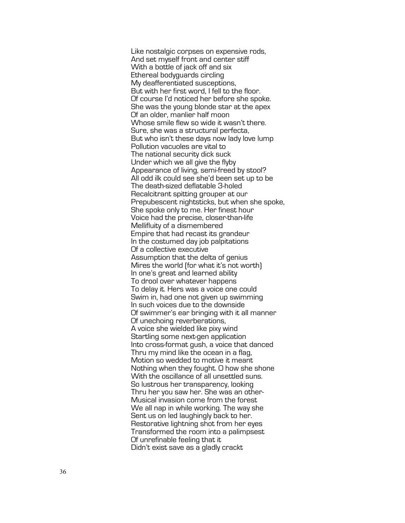Like nostalgic corpses on expensive rods, And set myself front and center stiff With a bottle of jack off and six Ethereal bodyguards circling My deafferent iated susceptions, But with her first word, I fell to the floor. Of course I'd noticed her before she spoke. She was the young blonde star at the apex Of an older, manlier half moon Whose smile flew so wide it wasn't there. Sure, she was a structural perfecta, But who isn't these days now lady love lump Pollution vacuoles are vital to The national security dick suck Under which we all give the flyby Appearance of living, semi -freed by stool? All odd ilk could see she'd been set up to be The death -sized deflatable 3 -holed Recalcitrant spitting grouper at our Prepubescent nightsticks, but when she spoke, She spoke only to me. Her finest hour Voice had the precise, closer -than -life Mellifluity of a dismembered Empire that had recast its grandeur In the costumed day job palpitations Of a collective executive Assumption that the delta of genius Mires the world (for what it's not worth) In one's great and learned ability To drool over whatever happens To delay it. Hers was a voice one could Swim in, had one not given up swimming In such voices due to the downside Of swimmer's ear bringing with it all manner Of unechoing reverberations, A voice she wielded like pixy wind Startling some next-gen application Into cross -format gush, a voice that danced Thru my mind like the ocean in a flag, Motion so wedded to motive it meant Nothing when they fought. O how she shone With the oscillance of all unsettled suns. So lustrous her transparency, looking Thru her you saw her. She was an other - Musical invasion come from the forest We all nap in while working. The way she Sent us on led laughingly back to her. Restorative lightning shot from her eyes Transformed the room into a palimpsest Of unrefinable feeling that it Didn't exist save as a gladly crackt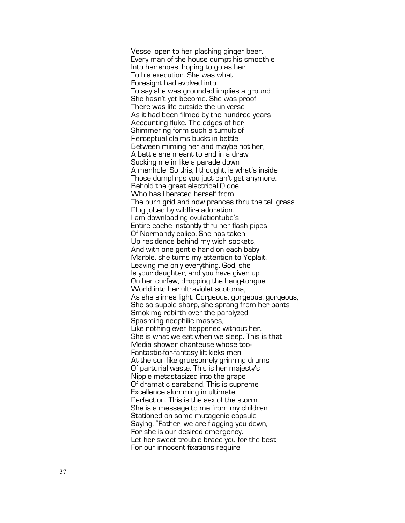Vessel open to her plashing ginger beer . Every man of the house dumpt his smoothie Into her shoes, hoping to go as her To his execution. She was what Foresight had evolved into. To say she was grounded implies a ground She hasn't yet become. She was proof There was life outside the universe As it had been filmed by the hundred years Accounting fluke. The edges of her Shimmering form such a tumult of Perceptual claims buckt in battle Between miming her and maybe not her, A battle she meant to end in a draw Sucking me in like a parade down A manhole. So this, I thought, is what's inside Those dumplings you just can't get anymore. Behold the great electrical O doe Who has liberated herself from The burn grid and now prances thru the tall grass Plug jolted by wildfire adoration. I am downloading ovulationtube's Entire cache instantly thru her flash pipes Of Normandy calico. She has taken Up residence behind my wish sockets, And with one gentle hand on each baby Marble, she turns my attention to Yoplait, Leaving me only everything. God, she Is your daughter, and you have given up On her curfew, dropping the hang -tongue World into her ultraviolet scotoma, As she slimes light. Gorgeous, gorgeous, gorgeous, She so supple sharp, she sprang from her pants Smokimg rebirth over the paralyzed Spasming neophilic masses, Like nothing ever happened without her. She is what we eat when we sleep. This is that Media shower chanteuse whose too - Fantastic-for-fantasy lilt kicks men At the sun like gruesomely grinning drums Of parturial waste. This is her majesty's Nipple metastasized into the grape Of dramatic saraband. This is supreme Excellence slumming in ultimate Perfection. This is the sex of the storm. She is a message to me from my children Stationed on some mutagenic capsule Saying, "Father, we are flagging you down, For she is our desired emergency. Let her sweet trouble brace you for the best, For our innocent fixations require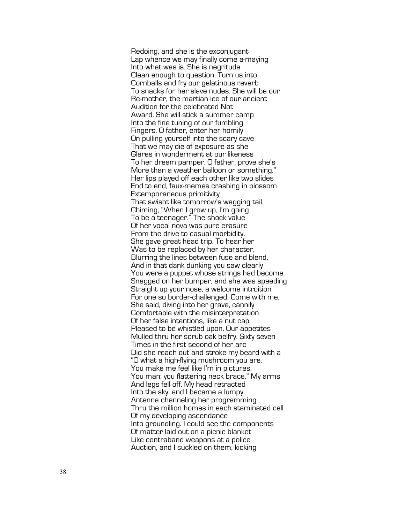Redoing, and she is the exconjugant Lap whence we may finally come a -maying Into what was is. She is negritude Clean enough to question. Turn us into Cornballs and fry our gelatinous reverb To snacks for her slave nudes. She will be our Re -mother, the martian ice of our ancient Audition for the celebrated Not Award. She will stick a summer camp Into the fine tuning of our fumbling Fingers. O father, enter her homily On pulling yourself into the scary cave That we may die of exposure as she Glares in wonderment at our likeness To her dream pamper. O father, prove she's More than a weather balloon or something." Her lips played off each other like two slides End to end, faux-memes crashing in blossom Extemporaneous primitivity That swisht like tomorrow's wagging tail, Chiming, "When I grow up, I'm going To be a teenager." The shock value Of her vocal nova was pure erasure From the drive to casual morbidity. She gave great head trip. To hear her Was to be replaced by her character, Blurring the lines between fuse and blend, And in that dank dunking you saw clearly You were a puppet whose strings had become Snagged on her bumper, and she was speeding Straight up your nose, a welcome introition For one so border -challenged. Come with me, She said, diving into her grave, cannily Comfortable with the misinterpretation Of her false intentions, like a nut cap Pleased to be whistled upon. Our appetites Mulled thru her scrub oak belfry. Sixty seven Times in the first second of her arc Did she reach out and stroke my beard with a "O what a high -flying mushroom you are. You make me feel like I'm in pictures, You man; you flattering neck brace." My arms And legs fell off. My head retracted Into the sky, and I became a lumpy Antenna channeling her programming Thru the million homes in each staminated cell Of my developing ascendance Into groundling. I could see the components Of matter laid out on a picnic blanket Like contraband weapons at a police Auction, and I suckled on them, kicking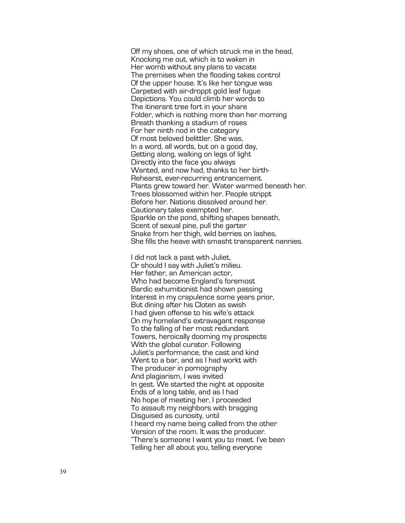Off my shoes, one of which struck me in the head, Knocking me out, which is to waken in Her womb without any plans to vacate The premises when the flooding takes control Of the upper house. It's like her tongue was Carpeted with air -droppt gold leaf fugue Depictions. You could climb her words to The itinerant tree fort in your share Folder, which is nothing more than her morning Breath thanking a stadium of roses For her ninth nod in the category Of most beloved belittler. She was, In a word, all words, but on a good day, Getting along, walking on legs of light Directly into the face you always Wanted, and now had, thanks to her birth - Rehearst, ever-recurring entrancement. Plants grew toward her. Water warmed beneath her. Trees blossomed within her. People strippt Before her. Nations dissolved around her. Cautionary tales exempted her. Sparkle on the pond, shifting shapes beneath, Scent of sexual pine, pull the garter Snake from her thigh, wild berries on lashes, She fills the heave with smasht transparent nannies.

I did not lack a past with Juliet, Or should I say with Juliet's milieu. Her father, an American actor, Who had become England's foremost Bardic exhumitionist had shown passing Interest in my crapulence some years prior, But dining after his Cloten as swish I had given offense to his wife's attack On my homeland's extravagant response To the falling of her most redundant Towers, heroically dooming my prospects With the global curator. Following Juliet's performance, the cast and kind Went to a bar, and as I had workt with The producer in pornography And plagiarism, I was invited In gest. We started the night at opposite Ends of a long table, and as I had No hope of meeting her, I proceeded To assault my neighbors with bragging Disguised as curiosity, until I heard my name being called from the other Version of the room. It was the producer. "There's someone I want you to meet. I've been Telling her all about you, telling everyone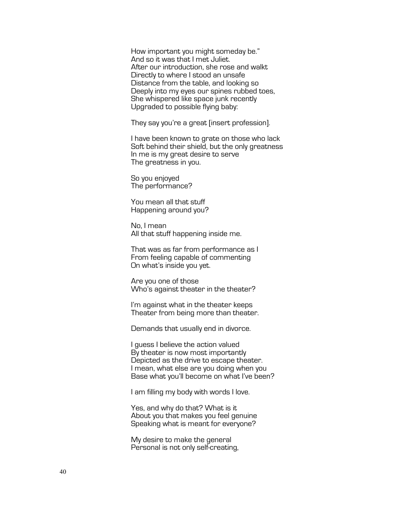How important you might someday be." And so it was that I met Juliet. After our introduction, she rose and walkt Directly to where I stood an unsafe Distance from the table, and looking so Deeply into my eyes our spines rubbed toes, She whispered like space junk recently Upgraded to possible flying baby:

They say you're a great [insert profession].

I have been known to grate on those who lack Soft behind their shield, but the only greatness In me is my great desire to serve The greatness in you.

So you enjoyed The performance?

You mean all that stuff Happening around you?

No, I mean All that stuff happening inside me.

That was as far from performance as I From feeling capable of commenting On what's inside you yet.

Are you one of those Who's against theater in the theater?

I'm against what in the theater keeps Theater from being more than theater.

Demands that usually end in divorce.

I guess I believe the action valued By theater is now most importantly Depicted as the drive to escape theater. I mean, what else are you doing when you Base what you'll become on what I've been?

I am filling my body with words I love.

Yes, and why do that? What is it About you that makes you feel genuine Speaking what is meant for everyone?

My desire to make the general Personal is not only self-creating,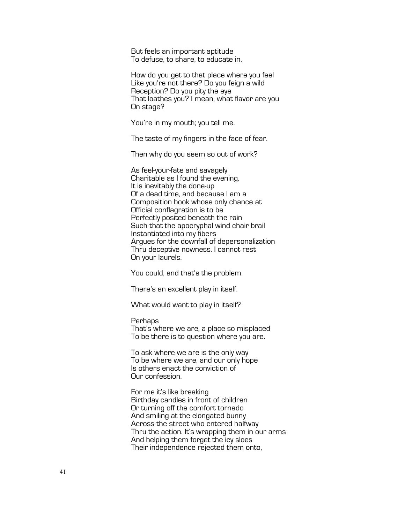But feels an important aptitude To defuse, to share, to educate in.

How do you get to that place where you feel Like you're not there? Do you feign a wild Reception? Do you pity the eye That loathes you? I mean, what flavor are you On stage?

You're in my mouth; you tell me.

The taste of my fingers in the face of fear.

Then why do you seem so out of work?

As feel-your-fate and savagely Charitable as I found the evening, It is inevitably the done-up Of a dead time, and because I am a Composition book whose only chance at Official conflagration is to be Perfectly posited beneath the rain Such that the apocryphal wind chair brail Instantiated into my fibers Argues for the downfall of depersonalization Thru deceptive nowness. I cannot rest On your laurels.

You could, and that's the problem.

There's an excellent play in itself.

What would want to play in itself?

# Perhaps

That's where we are, a place so misplaced To be there is to question where you are.

To ask where we are is the only way To be where we are, and our only hope Is others enact the conviction of Our confession.

For me it's like breaking Birthday candles in front of children Or turning off the comfort tornado And smiling at the elongated bunny Across the street who entered halfway Thru the action. It's wrapping them in our arms And helping them forget the icy sloes Their independence rejected them onto,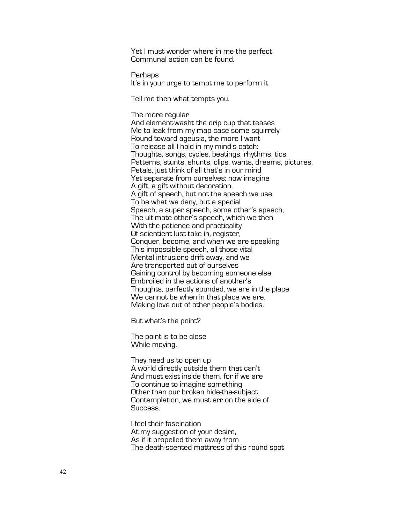Yet I must wonder where in me the perfect Communal action can be found.

Perhaps It's in your urge to tempt me to perform it.

Tell me then what tempts you.

# The more regular

And element-washt the drip cup that teases Me to leak from my map case some squirrely Round toward ageusia, the more I want To release all I hold in my mind's catch: Thoughts, songs, cycles, beatings, rhythms, tics, Patterns, stunts, shunts, clips, wants, dreams, pictures, Petals, just think of all that's in our mind Yet separate from ourselves; now imagine A gift, a gift without decoration, A gift of speech, but not the speech we use To be what we deny, but a special Speech, a super speech, some other's speech, The ultimate other's speech, which we then With the patience and practicality Of scientient lust take in, register, Conquer, become, and when we are speaking This impossible speech, all those vital Mental intrusions drift away, and we Are transported out of ourselves Gaining control by becoming someone else, Embroiled in the actions of another's Thoughts, perfectly sounded, we are in the place We cannot be when in that place we are, Making love out of other people's bodies.

But what's the point?

The point is to be close While moving.

They need us to open up A world directly outside them that can't And must exist inside them, for if we are To continue to imagine something Other than our broken hide-the-subject Contemplation, we must err on the side of Success.

I feel their fascination At my suggestion of your desire, As if it propelled them away from The death-scented mattress of this round spot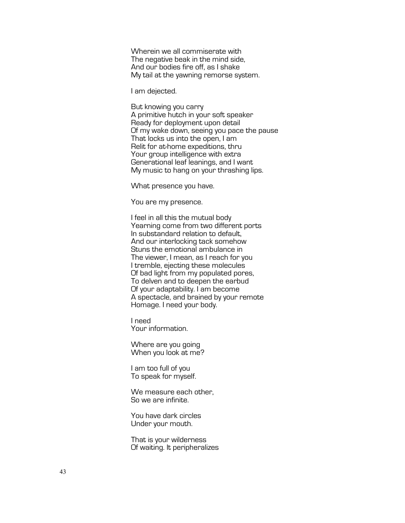Wherein we all commiserate with The negative beak in the mind side. And our bodies fire off, as I shake My tail at the yawning remorse system.

I am dejected.

But knowing you carry A primitive hutch in your soft speaker Ready for deployment upon detail Of my wake down, seeing you pace the pause That locks us into the open, I am Relit for at-home expeditions, thru Your group intelligence with extra Generational leaf leanings, and I want My music to hang on your thrashing lips.

What presence you have.

You are my presence.

I feel in all this the mutual body Yearning come from two different ports In substandard relation to default, And our interlocking tack somehow Stuns the emotional ambulance in The viewer, I mean, as I reach for you I tremble, ejecting these molecules Of bad light from my populated pores, To delven and to deepen the earbud Of your adaptability. I am become A spectacle, and brained by your remote Homage. I need your body.

I need Your information.

Where are you going When you look at me?

I am too full of you To speak for myself.

We measure each other, So we are infinite.

You have dark circles Under your mouth.

That is your wilderness Of waiting. It peripheralizes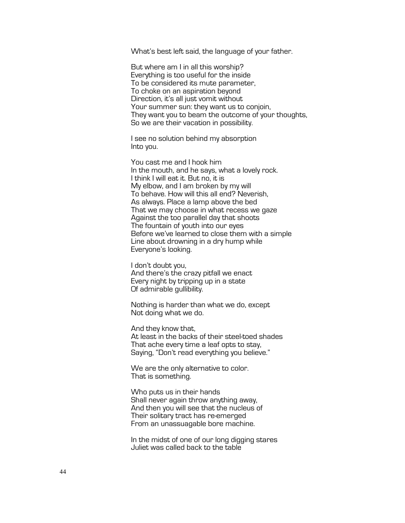What's best left said, the language of your father.

But where am I in all this worship? Everything is too useful for the inside To be considered its mute parameter, To choke on an aspiration beyond Direction, it's all just vomit without Your summer sun: they want us to conjoin, They want you to beam the outcome of your thoughts, So we are their vacation in possibility.

I see no solution behind my absorption Into you.

You cast me and I hook him In the mouth, and he says, what a lovely rock. I think I will eat it. But no, it is My elbow, and I am broken by my will To behave. How will this all end? Neverish, As always. Place a lamp above the bed That we may choose in what recess we gaze Against the too parallel day that shoots The fountain of youth into our eyes Before we've learned to close them with a simple Line about drowning in a dry hump while Everyone's looking.

I don't doubt you, And there's the crazy pitfall we enact Every night by tripping up in a state Of admirable gullibility.

Nothing is harder than what we do, except Not doing what we do.

And they know that, At least in the backs of their steel-toed shades That ache every time a leaf opts to stay, Saying, "Don't read everything you believe."

We are the only alternative to color. That is something.

Who puts us in their hands Shall never again throw anything away, And then you will see that the nucleus of Their solitary tract has re-emerged From an unassuagable bore machine.

In the midst of one of our long digging stares Juliet was called back to the table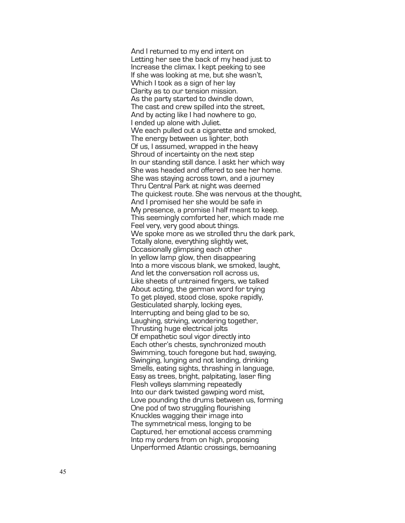And I returned to my end intent on Letting her see the back of my head just to Increase the climax. I kept peeking to see If she was looking at me, but she wasn't, Which I took as a sign of her lay Clarity as to our tension mission. As the party started to dwindle down, The cast and crew spilled into the street, And by acting like I had nowhere to go, I ended up alone with Juliet. We each pulled out a cigarette and smoked, The energy between us lighter, both Of us, I assumed, wrapped in the heavy Shroud of incertainty on the next step In our standing still dance. I askt her which way She was headed and offered to see her home. She was staying across town, and a journey Thru Central Park at night was deemed The quickest route. She was nervous at the thought, And I promised her she would be safe in My presence, a promise I half meant to keep. This seemingly comforted her, which made me Feel very, very good about things. We spoke more as we strolled thru the dark park, Totally alone, everything slightly wet, Occasionally glimpsing each other In yellow lamp glow, then disappearing Into a more viscous blank, we smoked, laught, And let the conversation roll across us, Like sheets of untrained fingers, we talked About acting, the german word for trying To get played, stood close, spoke rapidly, Gesticulated sharply, locking eyes, Interrupting and being glad to be so, Laughing, striving, wondering together, Thrusting huge electrical jolts Of empathetic soul vigor directly into Each other's chests, synchronized mouth Swimming, touch foregone but had, swaying, Swinging, lunging and not landing, drinking Smells, eating sights, thrashing in language, Easy as trees, bright, palpitating, laser fling Flesh volleys slamming repeatedly Into our dark twisted gawping word mist, Love pounding the drums between us, forming One pod of two struggling flourishing Knuckles wagging their image into The symmetrical mess, longing to be Captured, her emotional access cramming Into my orders from on high, proposing Unperformed Atlantic crossings, bemoaning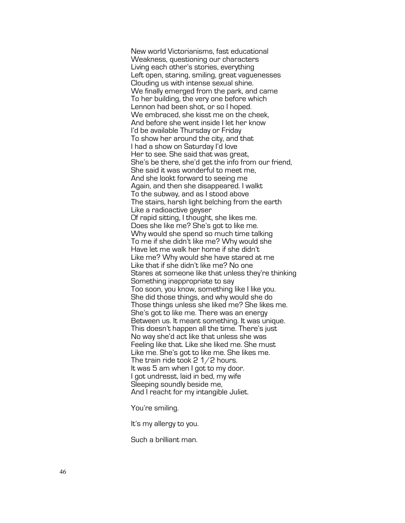New world Victorianisms, fast educational Weakness, questioning our characters Living each other's stories, everything Left open, staring, smiling, great vaguenesses Clouding us with intense sexual shine. We finally emerged from the park, and came To her building, the very one before which Lennon had been shot, or so I hoped. We embraced, she kisst me on the cheek, And before she went inside I let her know I'd be available Thursday or Friday To show her around the city, and that I had a show on Saturday I'd love Her to see. She said that was great, She's be there, she'd get the info from our friend, She said it was wonderful to meet me, And she lookt forward to seeing me Again, and then she disappeared. I walkt To the subway, and as I stood above The stairs, harsh light belching from the earth Like a radioactive geyser Of rapid sitting, I thought, she likes me. Does she like me? She's got to like me. Why would she spend so much time talking To me if she didn't like me? Why would she Have let me walk her home if she didn't Like me? Why would she have stared at me Like that if she didn't like me? No one Stares at someone like that unless they're thinking Something inappropriate to say Too soon, you know, something like I like you. She did those things, and why would she do Those things unless she liked me? She likes me. She's got to like me. There was an energy Between us. It meant something. It was unique. This doesn't happen all the time. There's just No way she'd act like that unless she was Feeling like that. Like she liked me. She must Like me. She's got to like me. She likes me. The train ride took 2 1/2 hours. It was 5 am when I got to my door. I got undresst, laid in bed, my wife Sleeping soundly beside me,<br>And I reacht for my intangible Juliet.

You're smiling.

It's my allergy to you.

Such a brilliant man.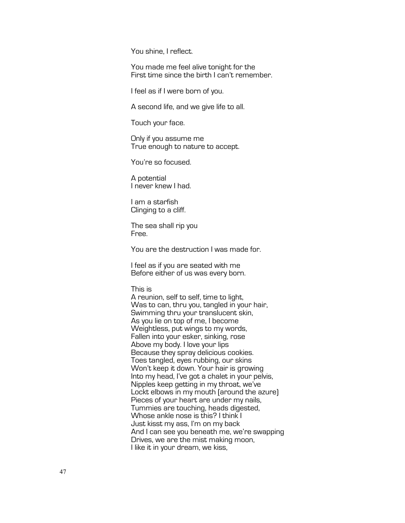You shine, I reflect.

You made me feel alive tonight for the First time since the birth I can't remember.

I feel as if I were born of you.

A second life, and we give life to all.

Touch your face.

Only if you assume me True enough to nature to accept.

You're so focused.

A potential I never knew I had.

I am a starfish Clinging to a cliff.

The sea shall rip you Free.

You are the destruction I was made for.

I feel as if you are seated with me Before either of us was every born.

### This is

A reunion, self to self, time to light, Was to can, thru you, tangled in your hair, Swimming thru your translucent skin, As you lie on top of me, I become Weightless, put wings to my words, Fallen into your esker, sinking, rose Above my body. I love your lips Because they spray delicious cookies. Toes tangled, eyes rubbing, our skins Won't keep it down. Your hair is growing Into my head, I've got a chalet in your pelvis, Nipples keep getting in my throat, we've Lockt elbows in my mouth (around the azure) Pieces of your heart are under my nails, Tummies are touching, heads digested, Whose ankle nose is this? I think I Just kisst my ass, I'm on my back And I can see you beneath me, we're swapping Drives, we are the mist making moon, I like it in your dream, we kiss,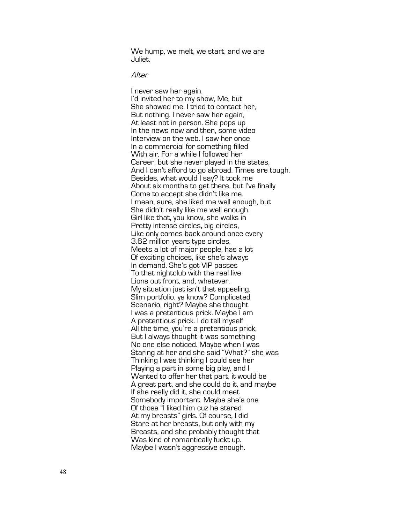We hump, we melt, we start, and we are Juliet.

After

I never saw her again. I'd invited her to my show, Me, but She showed me. I tried to contact her, But nothing. I never saw her again, At least not in person. She pops up In the news now and then, some video Interview on the web. I saw her once In a commercial for something filled With air. For a while I followed her Career, but she never played in the states, And I can't afford to go abroad. Times are tough. Besides, what would I say? It took me About six months to get there, but I've finally Come to accept she didn't like me. I mean, sure, she liked me well enough, but She didn't really like me well enough. Girl like that, you know, she walks in Pretty intense circles, big circles, Like only comes back around once ever y 3.62 million years type circles, Meets a lot of major people, has a lot Of exciting choices, like she's always In demand. She's got VIP passes To that nightclub with the real live Lions out front, and, whatever. My situation just isn't that appealing. Slim portfolio, ya know? Complicated Scenario, right? Maybe she thought I was a pretentious prick. Maybe I am A pretentious prick. I do tell myself All the time, you're a pretentious prick, But I always thought it was something No one else noticed. Maybe when I was Staring at her and she said "What?" she was Thinking I was thinking I could see her Playing a part in some big play, and I Wanted to offer her that part, it would be A great part, and she could do it, and maybe If she really did it, she could meet Somebody important. Maybe she's one Of those "I liked him cuz he stared At my breasts" girls. Of course, I did Stare at her breasts, but only with my Breasts, and she probably thought that Was kind of romantically fuckt up. Maybe I wasn't aggressive enough .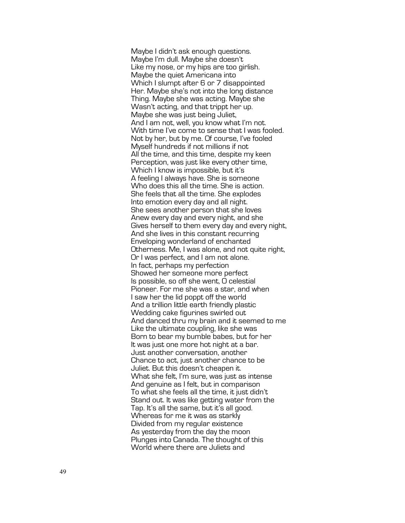Maybe I didn't ask enough questions. Maybe I'm dull. Maybe she doesn't Like my nose, or my hips are too girlish. Maybe the quiet Americana into Which I slumpt after 6 or 7 disappointed Her. Maybe she's not into the long distance Thing. Maybe she was acting. Maybe she Wasn't acting, and that trippt her up. Maybe she was just being Juliet, And I am not, well, you know what I'm not. With time I've come to sense that I was fooled. Not by her, but by me. Of course, I've fooled Myself hundreds if not millions if not All the time, and this time, despite my keen Perception, was just like every other time, Which I know is impossible, but it's A feeling I always have. She is someone Who does this all the time. She is action. She feels that all the time. She explodes Into emotion every day and all night. She sees another person that she loves Anew every day and every night, and she Gives herself to them every day and every night, And she lives in this constant recurring Enveloping wonderland of enchanted Otherness. Me, I was alone, and not quite right, Or I was perfect, and I am not alone. In fact, perhaps my perfection Showed her someone more perfect Is possible, so off she went, O celestial Pioneer. For me she was a star, and when I saw her the lid poppt off the worl d And a trillion little earth friendly plastic Wedding cake figurines swirled out And danced thru my brain and it seemed to me Like the ultimate coupling, like she was Born to bear my bumble babes, but for her It was just one more hot night at a bar. Just another conversation, another Chance to act, just another chance to be Juliet. But this doesn't cheapen it. What she felt, I'm sure, was just as intense And genuine as I felt, but in comparison To what she feels all the time, it just didn't Stand out. It was like getting water from the Tap. It's all the same, but it's all good. Whereas for me it was as starkly Divided from my regular existence As yesterday from the day the moon Plunges into Canada. The thought of this World where there are Juliets and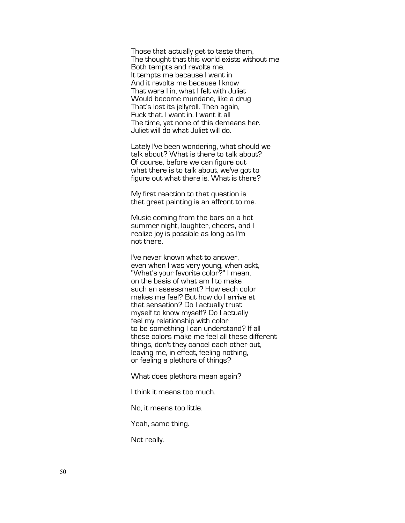Those that actually get to taste them, The thought that this world exists without me Both tempts and revolts me. It tempts me because I want in And it revolts me because I know That were I in, what I felt with Juliet Would become mundane, like a drug That's lost its jellyroll. Then again, Fuck that. I want in. I want it all The time, yet none of this demeans her. Juliet will do what Juliet will do.

Lately I've been wondering, what should we talk about? What is there to talk about? Of course, before we can figure out what there is to talk about, we've got to figure out what there is. What is there?

My first reaction to that question is that great painting is an affront to me.

Music coming from the bars on a hot summer night, laughter, cheers, and I realize joy is possible as long as I'm not there.

I've never known what to answer, even when I was very young, when askt, "What's your favorite color?" I mean, on the basis of what am I to make such an assessment? How each color makes me feel? But how do I arrive at that sensation? Do I actually trust myself to know myself? Do I actually feel my relationship with color to be something I can understand? If all these colors make me feel all these different things, don't they cancel each other out, leaving me, in effect, feeling nothing, or feeling a plethora of things?

What does plethora mean again?

I think it means too much.

No, it means too little.

Yeah, same thing.

Not really.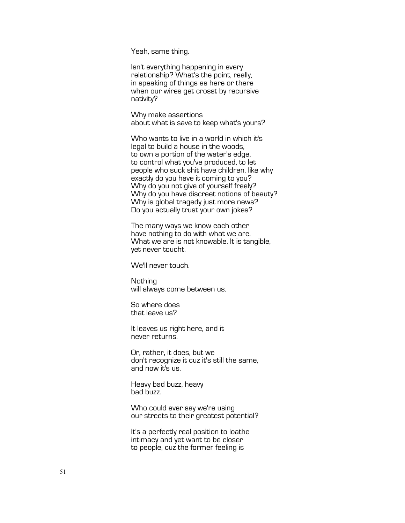Yeah, same thing.

Isn't everything happening in every relationship? What's the point, really, in speaking of things as here or there when our wires get crosst by recursive nativity?

Why make assertions about what is save to keep what's yours?

Who wants to live in a world in which it's legal to build a house in the woods, to own a portion of the water's edge, to control what you've produced, to let people who suck shit have children, like why exactly do you have it coming to you? Why do you not give of yourself freely? Why do you have discreet notions of beauty? Why is global tragedy just more news? Do you actually trust your own jokes?

The many ways we know each other have nothing to do with what we are. What we are is not knowable. It is tangible, yet never toucht.

We'll never touch.

Nothing will always come between us.

So where does that leave us?

It leaves us right here, and it never returns.

Or, rather, it does, but we don't recognize it cuz it's still the same, and now it's us.

Heavy bad buzz, heavy bad buzz.

Who could ever say we're using our streets to their greatest potential?

It's a perfectly real position to loathe intimacy and yet want to be closer to people, cuz the former feeling is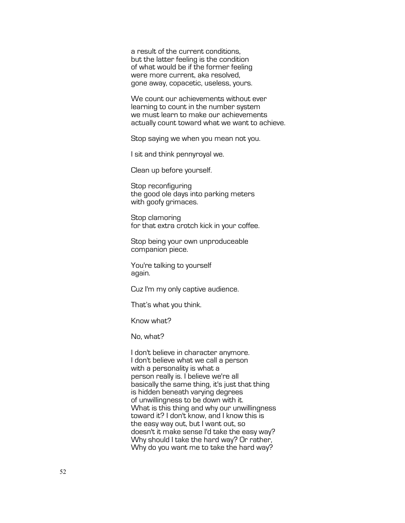a result of the current conditions, but the latter feeling is the condition of what would be if the former feeling were more current, aka resolved, gone away, copacetic, useless, yours.

We count our achievements without ever learning to count in the number system we must learn to make our achievements actually count toward what we want to achieve.

Stop saying we when you mean not you.

I sit and think pennyroyal we.

Clean up before yourself.

Stop reconfiguring the good ole days into parking meters with goofy grimaces.

Stop clamoring for that extra crotch kick in your coffee.

Stop being your own unproduceable companion piece.

You're talking to yourself again.

Cuz I'm my only captive audience.

That's what you think.

Know what?

No, what?

I don't believe in character anymore. I don't believe what we call a person with a personality is what a person really is. I believe we're all basically the same thing, it's just that thing is hidden beneath varying degrees of unwillingness to be down with it. What is this thing and why our unwillingness toward it? I don't know, and I know this is the easy way out, but I want out, so doesn't it make sense I'd take the easy way? Why should I take the hard way? Or rather, Why do you want me to take the hard way?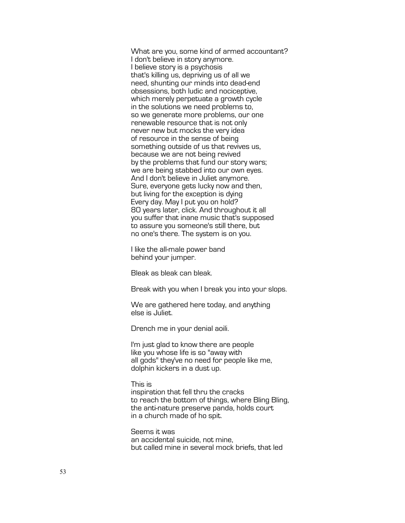What are you, some kind of armed accountant? I don't believe in story anymore. I believe story is a psychosis that's killing us, depriving us of all we need, shunting our minds into dead-end obsessions, both ludic and nociceptive, which merely perpetuate a growth cycle in the solutions we need problems to, so we generate more problems, our one renewable resource that is not only never new but mocks the very idea of resource in the sense of being something outside of us that revives us, because we are not being revived by the problems that fund our story wars; we are being stabbed into our own eyes. And I don't believe in Juliet anymore. Sure, everyone gets lucky now and then, but living for the exception is dying Every day. May I put you on hold? 80 years later, click. And throughout it all you suffer that inane music that's supposed to assure you someone's still there, but no one's there. The system is on you.

I like the all-male power band behind your jumper.

Bleak as bleak can bleak.

Break with you when I break you into your slops.

We are gathered here today, and anything else is Juliet.

Drench me in your denial aoili.

I'm just glad to know there are people like you whose life is so "away with all gods" they've no need for people like me, dolphin kickers in a dust up.

### This is

inspiration that fell thru the cracks to reach the bottom of things, where Bling Bling, the anti-nature preserve panda, holds court in a church made of ho spit.

Seems it was an accidental suicide, not mine, but called mine in several mock briefs, that led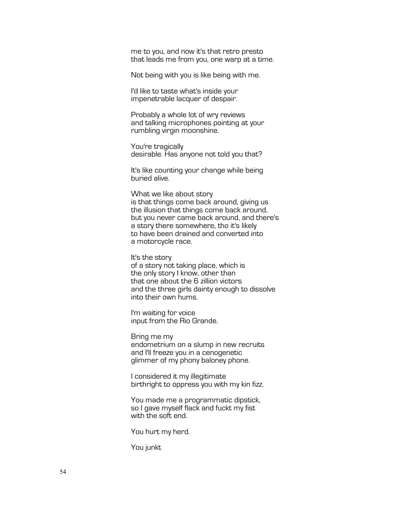me to you, and now it's that retro presto that leads me from you, one warp at a time.

Not being with you is like being with me.

I'd like to taste what's inside your impenetrable lacquer of despair.

Probably a whole lot of wry reviews and talking microphones pointing at your rumbling virgin moonshine.

You're tragically desirable. Has anyone not told you that?

It's like counting your change while being buried alive.

What we like about story is that things come back around, giving us the illusion that things come back around, but you never came back around, and there's a story there somewhere, tho it's likely to have been drained and converted into a motorcycle race.

It's the story of a story not taking place, which is the only story I know, other than that one about the 6 zillion victors and the three girls dainty enough to dissolve into their own hums.

I'm waiting for voice input from the Rio Grande.

Bring me my endometrium on a slump in new recruits and I'll freeze you in a cenogenetic glimmer of my phony baloney phone.

I considered it my illegitimate birthright to oppress you with my kin fizz.

You made me a programmatic dipstick, so I gave myself flack and fuckt my fist with the soft end.

You hurt my herd.

You junkt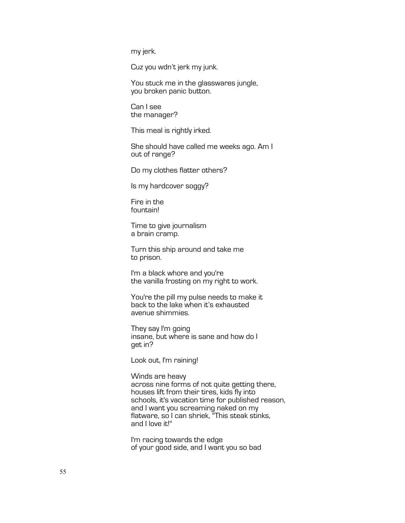my jerk.

Cuz you wdn't jerk my junk.

You stuck me in the glasswares jungle, you broken panic button.

Can I see the manager?

This meal is rightly irked.

She should have called me weeks ago. Am I out of range?

Do my clothes flatter others?

Is my hardcover soggy?

Fire in the fountain!

Time to give journalism a brain cramp.

Turn this ship around and take me to prison.

I'm a black whore and you're the vanilla frosting on my right to work.

You're the pill my pulse needs to make it back to the lake when it's exhausted avenue shimmies.

They say I'm going insane, but where is sane and how do I get in?

Look out, I'm raining!

Winds are heavy across nine forms of not quite getting there, houses lift from their tires, kids fly into schools, it's vacation time for published reason, and I want you screaming naked on my flatware, so I can shriek, "This steak stinks, and I love it!"

I'm racing towards the edge of your good side, and I want you so bad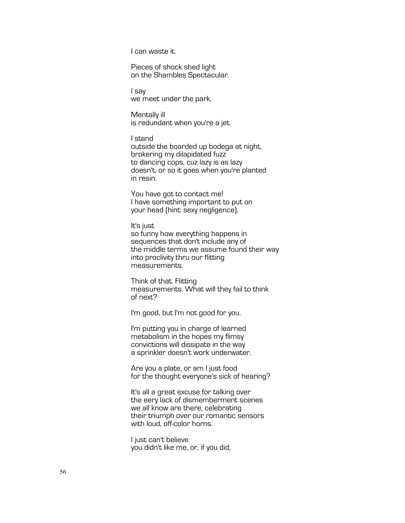I can waste it.

Pieces of shock shed light on the Shambles Spectacular.

I say we meet under the park.

Mentally ill is redundant when you're a jet.

I stand outside the boarded up bodega at night, brokering my dilapidated fuzz to dancing cops, cuz lazy is as lazy doesn't, or so it goes when you're planted in resin.

You have got to contact me! I have something important to put on your head (hint: sexy negligence).

It's just so funny how everything happens in sequences that don't include any of the middle terms we assume found their way into proclivity thru our flitting measurements.

Think of that. Flitting measurements. What will they fail to think of next?

I'm good, but I'm not good for you.

I'm putting you in charge of learned metabolism in the hopes my flimsy convictions will dissipate in the way a sprinkler doesn't work underwater.

Are you a plate, or am I just food for the thought everyone's sick of hearing?

It's all a great excuse for talking over the eery lack of dismemberment scenes we all know are there, celebrating their triumph over our romantic sensors with loud, off-color horns.

I just can't believe you didn't like me, or, if you did,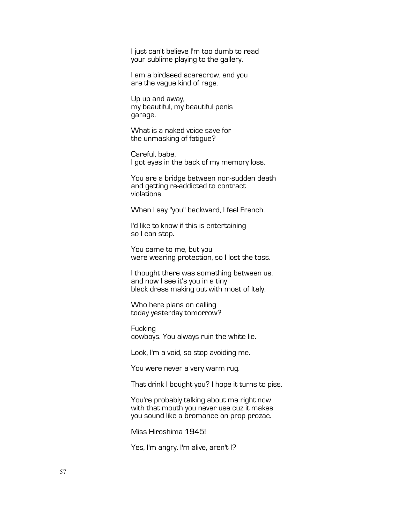I just can't believe I'm too dumb to read your sublime playing to the gallery.

I am a birdseed scarecrow, and you are the vague kind of rage.

Up up and away, my beautiful, my beautiful penis garage.

What is a naked voice save for the unmasking of fatigue?

Careful, babe, I got eyes in the back of my memory loss.

You are a bridge between non-sudden death and getting re-addicted to contract violations.

When I say "you" backward, I feel French.

I'd like to know if this is entertaining so I can stop.

You came to me, but you were wearing protection, so I lost the toss.

I thought there was something between us, and now I see it's you in a tiny black dress making out with most of Italy.

Who here plans on calling today yesterday tomorrow?

**Fucking** cowboys. You always ruin the white lie.

Look, I'm a void, so stop avoiding me.

You were never a very warm rug.

That drink I bought you? I hope it turns to piss.

You're probably talking about me right now with that mouth you never use cuz it makes you sound like a bromance on prop prozac.

Miss Hiroshima 1945!

Yes, I'm angry. I'm alive, aren't I?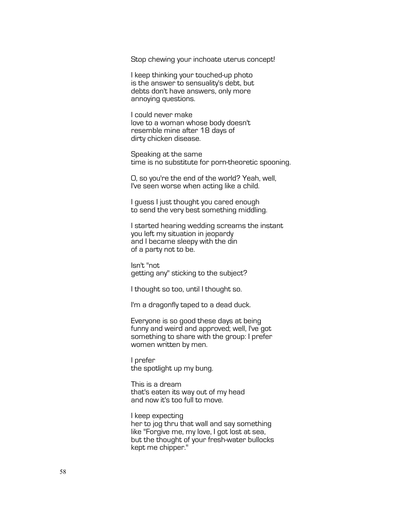Stop chewing your inchoate uterus concept!

I keep thinking your touched-up photo is the answer to sensuality's debt, but debts don't have answers, only more annoying questions.

I could never make love to a woman whose body doesn't resemble mine after 18 days of dirty chicken disease.

Speaking at the same time is no substitute for porn-theoretic spooning.

O, so you're the end of the world? Yeah, well, I've seen worse when acting like a child.

I guess I just thought you cared enough to send the very best something middling.

I started hearing wedding screams the instant you left my situation in jeopardy and I became sleepy with the din of a party not to be.

Isn't "not getting any" sticking to the subject?

I thought so too, until I thought so.

I'm a dragonfly taped to a dead duck.

Everyone is so good these days at being funny and weird and approved; well, I've got something to share with the group: I prefer women written by men.

I prefer the spotlight up my bung.

This is a dream that's eaten its way out of my head and now it's too full to move.

I keep expecting her to jog thru that wall and say something like "Forgive me, my love, I got lost at sea, but the thought of your fresh-water bullocks kept me chipper."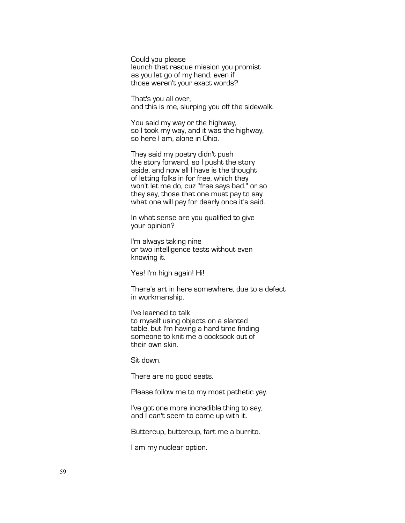Could you please launch that rescue mission you promist as you let go of my hand, even if those weren't your exact words?

That's you all over, and this is me, slurping you off the sidewalk.

You said my way or the highway, so I took my way, and it was the highway, so here I am, alone in Ohio.

They said my poetry didn't push the story forward, so I pusht the story aside, and now all I have is the thought of letting folks in for free, which they won't let me do, cuz "free says bad," or so they say, those that one must pay to say what one will pay for dearly once it's said.

In what sense are you qualified to give your opinion?

I'm always taking nine or two intelligence tests without even knowing it.

Yes! I'm high again! Hi!

There's art in here somewhere, due to a defect in workmanship.

I've learned to talk to myself using objects on a slanted table, but I'm having a hard time finding someone to knit me a cocksock out of their own skin.

Sit down.

There are no good seats.

Please follow me to my most pathetic yay.

I've got one more incredible thing to say, and I can't seem to come up with it.

Buttercup, buttercup, fart me a burrito.

I am my nuclear option.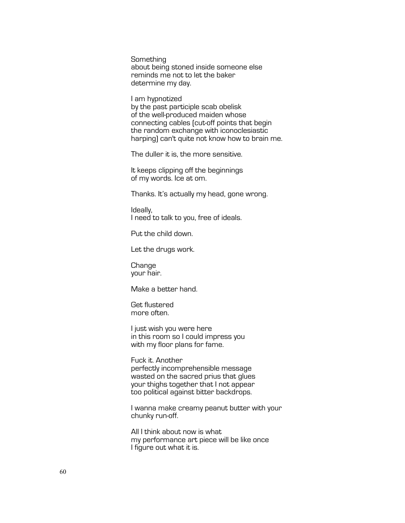**Something** about being stoned inside someone else reminds me not to let the baker determine my day.

I am hypnotized by the past participle scab obelisk of the well-produced maiden whose connecting cables (cut-off points that begin the random exchange with iconoclesiastic harping) can't quite not know how to brain me.

The duller it is, the more sensitive.

It keeps clipping off the beginnings of my words. Ice at om.

Thanks. It's actually my head, gone wrong.

Ideally, I need to talk to you, free of ideals.

Put the child down.

Let the drugs work.

Change your hair.

Make a better hand.

Get flustered more often.

I just wish you were here in this room so I could impress you with my floor plans for fame.

Fuck it. Another perfectly incomprehensible message wasted on the sacred prius that glues your thighs together that I not appear too political against bitter backdrops.

I wanna make creamy peanut butter with your chunky run-off.

All I think about now is what my performance art piece will be like once I figure out what it is.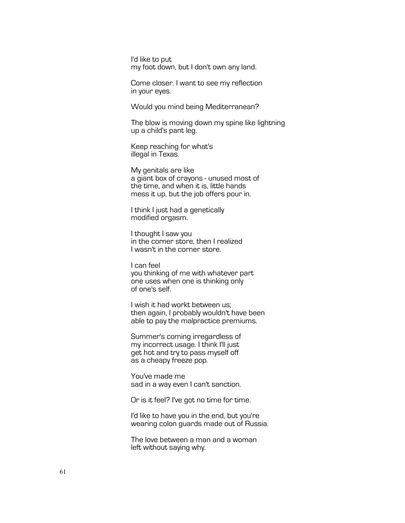I'd like to put my foot down, but I don't own any land.

Come closer. I want to see my reflection in your eyes.

Would you mind being Mediterranean?

The blow is moving down my spine like lightning up a child's pant leg.

Keep reaching for what's illegal in Texas.

My genitals are like a giant box of crayons - unused most of the time, and when it is, little hands mess it up, but the job offers pour in.

I think I just had a genetically modified orgasm.

I thought I saw you in the corner store, then I realized I wasn't in the corner store.

I can feel you thinking of me with whatever part one uses when one is thinking only of one's self.

I wish it had workt between us; then again, I probably wouldn't have been able to pay the malpractice premiums.

Summer's coming irregardless of my incorrect usage. I think I'll just get hot and try to pass myself off as a cheapy freeze pop.

You've made me sad in a way even I can't sanction.

Or is it feel? I've got no time for time.

I'd like to have you in the end, but you're wearing colon guards made out of Russia.

The love between a man and a woman left without saying why.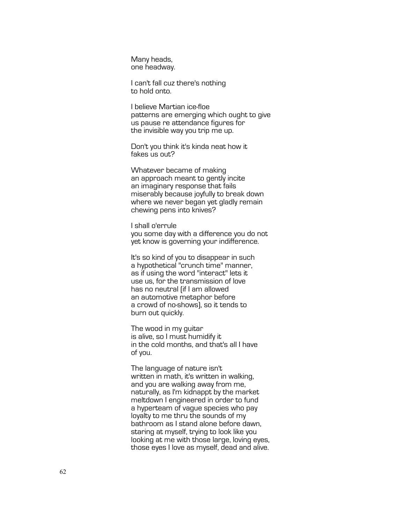Many heads, one headway.

I can't fall cuz there's nothing to hold onto.

I believe Martian ice -floe patterns are emerging which ought to give us pause re attendance figures for the invisible way you trip me up.

Don't you think it's kinda neat how it fakes us out?

Whatever became of making an approach meant to gently incite an imaginary response that fails miserably because joyfully to break down where we never began yet gladly remain chewing pens into knives?

I shall o'errule you some day with a difference you do not yet know is governing your indifference.

It's so kind of you to disappear in such a hypothetical "crunch time" manner, as if using the word "interact" lets it use us, for the transmission of love has no neutral (if I am allowed an automotive metaphor before a crowd of no -shows), so it tends to burn out quickly.

The wood in my guitar is alive, so I must humidify it in the cold months, and that's all I have of you.

The language of nature isn't written in math, it's written in walking, and you are walking away from me, naturally, as I'm kidnappt by the market meltdown I engineered in order to fund a hyperteam of vague species who pay loyalty to me thru the sounds of my bathroom as I stand alone before dawn, staring at myself, trying to look like you looking at me with those large, loving eyes, those eyes I love as myself, dead and alive.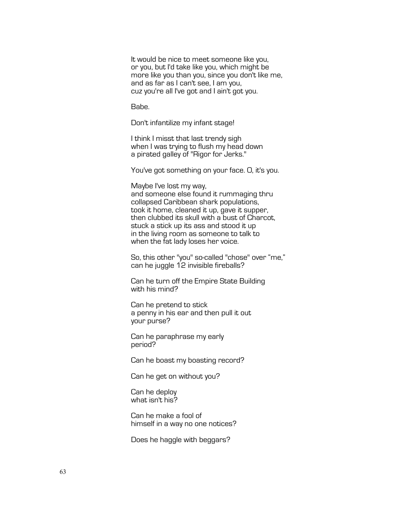It would be nice to meet someone like you, or you, but I'd take like you, which might be more like you than you, since you don't like me, and as far as I can't see, I am you, cuz you're all I've got and I ain't got you.

Babe.

Don't infantilize my infant stage!

I think I misst that last trendy sigh when I was trying to flush my head down a pirated galley of "Rigor for Jerks."

You've got something on your face. O, it's you.

Maybe I've lost my way, and someone else found it rummaging thru collapsed Caribbean shark populations, took it home, cleaned it up, gave it supper, then clubbed its skull with a bust of Charcot, stuck a stick up its ass and stood it up in the living room as someone to talk to when the fat lady loses her voice.

So, this other "you" so-called "chose" over "me," can he juggle 12 invisible fireballs?

Can he turn off the Empire State Building with his mind?

Can he pretend to stick a penny in his ear and then pull it out your purse?

Can he paraphrase my early period?

Can he boast my boasting record?

Can he get on without you?

Can he deploy what isn't his?

Can he make a fool of himself in a way no one notices?

Does he haggle with beggars?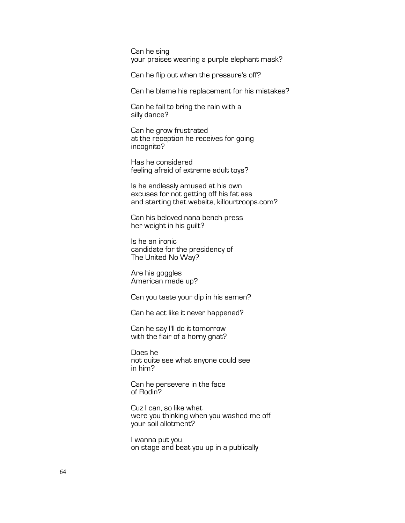Can he sing your praises wearing a purple elephant mask?

Can he flip out when the pressure's off?

Can he blame his replacement for his mistakes?

Can he fail to bring the rain with a silly dance?

Can he grow frustrated at the reception he receives for going incognito?

Has he considered feeling afraid of extreme adult toys?

Is he endlessly amused at his own excuses for not getting off his fat ass and starting that website, killourtroops.com?

Can his beloved nana bench press her weight in his guilt?

Is he an ironic candidate for the presidency of The United No Way?

Are his goggles American made up?

Can you taste your dip in his semen?

Can he act like it never happened?

Can he say I'll do it tomorrow with the flair of a horny gnat?

Does he not quite see what anyone could see in him?

Can he persevere in the face of Rodin?

Cuz I can, so like what were you thinking when you washed me off your soil allotment?

I wanna put you on stage and beat you up in a publically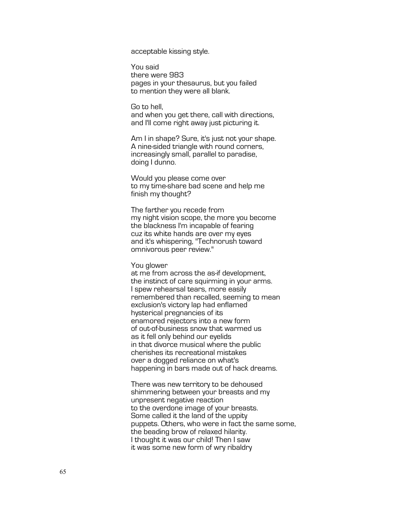acceptable kissing style.

You said there were 983 pages in your thesaurus, but you failed to mention they were all blank.

Go to hell, and when you get there, call with directions, and I'll come right away just picturing it.

Am I in shape? Sure, it's just not your shape. A nine -sided triangle with round corners, increasingly small, parallel to paradise, doing I dunno.

Would you please come over to my time -share bad scene and help me finish my thought?

The farther you recede from my night vision scope, the more you become the blackness I'm incapable of fearing cuz its white hands are over my eyes and it's whispering, "Technorush toward omnivorous peer review."

You glower

at me from across the as -if development, the instinct of care squirming in your arms. I spew rehearsal tears, more easily remembered than recalled, seeming to mean exclusion's victory lap had enflamed hysterical pregnancies of its enamored rejectors into a new form of out-of-business snow that warmed us as it fell only behind our eyelids in that divorce musical where the public cherishes its recreational mistakes over a dogged reliance on what's happening in bars made out of hack dreams.

There was new territory to be dehoused shimmering between your breasts and my unpresent negative reaction to the overdone image of your breasts. Some called it the land of the uppity puppets. Others, who were in fact the same some, the beading brow of relaxed hilarity. I thought it was our child! Then I saw it was some new form of wry ribaldry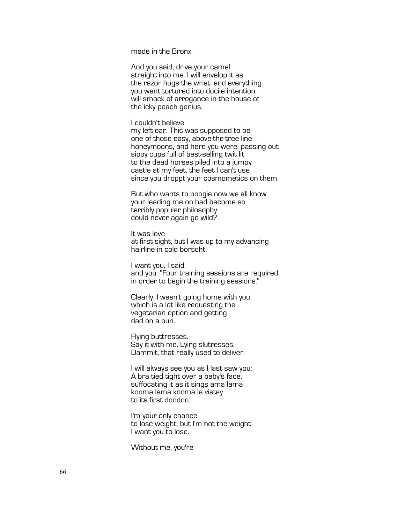made in the Bronx.

And you said, drive your camel straight into me. I will envelop it as the razor hugs the wrist, and everything you want tortured into docile intention will smack of arrogance in the house of the icky peach genius.

I couldn't believe

my left ear. This was supposed to be one of those easy, above-the-tree line honeymoons, and here you were, passing out sippy cups full of best-selling twit lit to the dead horses piled into a jumpy castle at my feet, the feet I can't use since you droppt your cosmometics on them.

But who wants to boogie now we all know your leading me on had become so terribly popular philosophy could never again go wild?

It was love at first sight, but I was up to my advancing hairline in cold borscht.

I want you, I said, and you: "Four training sessions are required in order to begin the training sessions."

Clearly, I wasn't going home with you, which is a lot like requesting the vegetarian option and getting dad on a bun.

Flying buttresses. Say it with me. Lying slutresses. Dammit, that really used to deliver.

I will always see you as I last saw you: A bra tied tight over a baby's face, suffocating it as it sings ama lama kooma lama kooma la vistay to its first doodoo.

I'm your only chance to lose weight, but I'm not the weight I want you to lose.

Without me, you're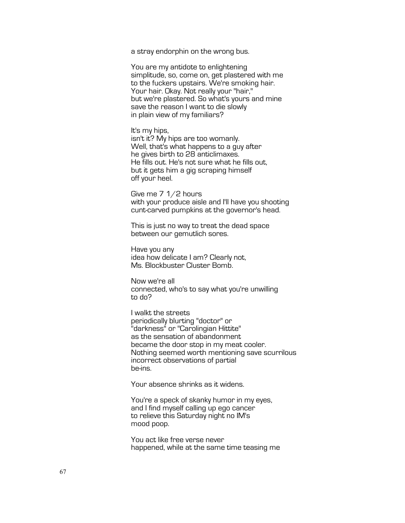a stray endorphin on the wrong bus.

You are my antidote to enlightening simplitude, so, come on, get plastered with me to the fuckers upstairs. We're smoking hair. Your hair. Okay. Not really your "hair," but we're plastered. So what's yours and mine save the reason I want to die slowly in plain view of my familiars?

It's my hips, isn't it? My hips are too womanly. Well, that's what happens to a guy after

he gives birth to 28 anticlimaxes. He fills out. He's not sure what he fills out, but it gets him a gig scraping himself off your heel.

Give me 7 1/2 hours with your produce aisle and I'll have you shooting cunt-carved pumpkins at the governor's head.

This is just no way to treat the dead space between our gemutlich sores.

Have you any idea how delicate I am? Clearly not, Ms. Blockbuster Cluster Bomb.

Now we're all connected, who's to say what you're unwilling to do?

I walkt the streets periodically blurting "doctor" or "darkness" or "Carolingian Hittite" as the sensation of abandonment became the door stop in my meat cooler. Nothing seemed worth mentioning save scurrilous incorrect observations of partial be-ins.

Your absence shrinks as it widens.

You're a speck of skanky humor in my eyes, and I find myself calling up ego cancer to relieve this Saturday night no IM's mood poop.

You act like free verse never happened, while at the same time teasing me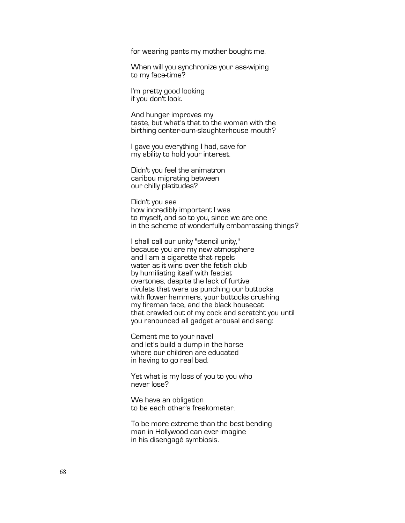for wearing pants my mother bought me.

When will you synchronize your ass-wiping to my face-time?

I'm pretty good looking if you don't look.

And hunger improves my taste, but what's that to the woman with the birthing center-cum-slaughterhouse mouth?

I gave you everything I had, save for my ability to hold your interest.

Didn't you feel the animatron caribou migrating between our chilly platitudes?

Didn't you see how incredibly important I was to myself, and so to you, since we are one in the scheme of wonderfully embarrassing things?

I shall call our unity "stencil unity," because you are my new atmosphere and I am a cigarette that repels water as it wins over the fetish club by humiliating itself with fascist overtones, despite the lack of furtive rivulets that were us punching our buttocks with flower hammers, your buttocks crushing my fireman face, and the black housecat that crawled out of my cock and scratcht you until you renounced all gadget arousal and sang:

Cement me to your navel and let's build a dump in the horse where our children are educated in having to go real bad.

Yet what is my loss of you to you who never lose?

We have an obligation to be each other's freakometer.

To be more extreme than the best bending man in Hollywood can ever imagine in his disengagé symbiosis.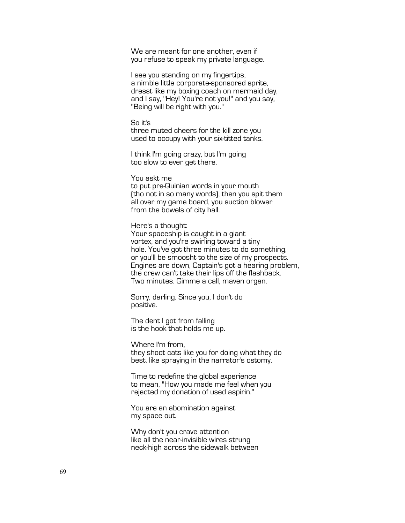We are meant for one another, even if you refuse to speak my private language.

I see you standing on my fingertips, a nimble little corporate-sponsored sprite, dresst like my boxing coach on mermaid day, and I say, "Hey! You're not you!" and you say, "Being will be right with you."

### So it's

three muted cheers for the kill zone you used to occupy with your six-titted tanks.

I think I'm going crazy, but I'm going too slow to ever get there.

You askt me

to put pre-Quinian words in your mouth (tho not in so many words), then you spit them all over my game board, you suction blower from the bowels of city hall.

Here's a thought:

Your spaceship is caught in a giant vortex, and you're swirling toward a tiny hole. You've got three minutes to do something, or you'll be smoosht to the size of my prospects. Engines are down, Captain's got a hearing problem, the crew can't take their lips off the flashback. Two minutes. Gimme a call, maven organ.

Sorry, darling. Since you, I don't do positive.

The dent I got from falling is the hook that holds me up.

Where I'm from, they shoot cats like you for doing what they do best, like spraying in the narrator's ostomy.

Time to redefine the global experience to mean, "How you made me feel when you rejected my donation of used aspirin."

You are an abomination against my space out.

Why don't you crave attention like all the near-invisible wires strung neck-high across the sidewalk between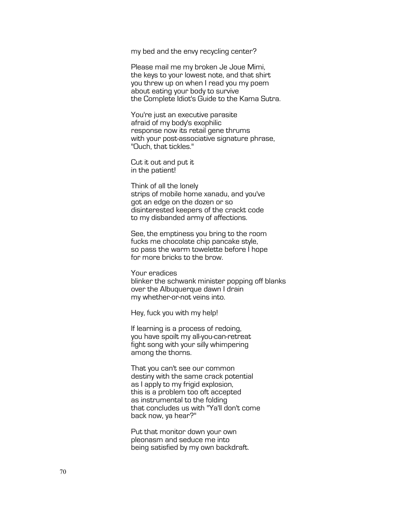my bed and the envy recycling center?

Please mail me my broken Je Joue Mimi, the keys to your lowest note, and that shirt you threw up on when I read you my poem about eating your body to survive the Complete Idiot's Guide to the Kama Sutra.

You're just an executive parasite afraid of my body's exophilic response now its retail gene thrums with your post-associative signature phrase, "Ouch, that tickles."

Cut it out and put it in the patient!

Think of all the lonely strips of mobile home xanadu, and you've got an edge on the dozen or so disinterested keepers of the crackt code to my disbanded army of affections.

See, the emptiness you bring to the room fucks me chocolate chip pancake style, so pass the warm towelette before I hope for more bricks to the brow.

Your eradices blinker the schwank minister popping off blanks over the Albuquerque dawn I drain my whether-or-not veins into.

Hey, fuck you with my help!

If learning is a process of redoing, you have spoilt my all-you-can-retreat fight song with your silly whimpering among the thorns.

That you can't see our common destiny with the same crack potential as I apply to my frigid explosion, this is a problem too oft accepted as instrumental to the folding that concludes us with "Ya'll don't come back now, ya hear?"

Put that monitor down your own pleonasm and seduce me into being satisfied by my own backdraft.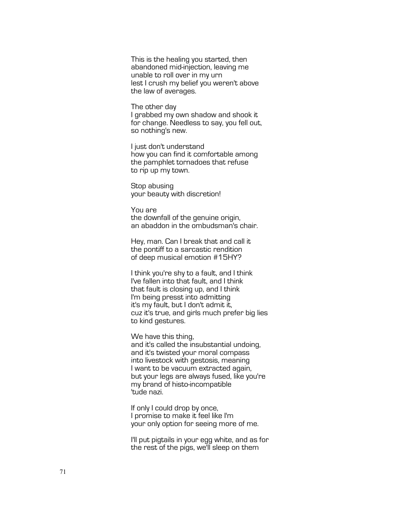This is the healing you started, then abandoned mid -injection, leaving me unable to roll over in my urn lest I crush my belief you weren't above the law of averages.

The other day I grabbed my own shadow and shook it for change. Needless to say, you fell out, so nothing's new.

I just don't understand how you can find it comfortable among the pamphlet tornadoes that refuse to rip up my town.

Stop abusing your beauty with discretion!

You are the downfall of the genuine origin, an abaddon in the ombudsman's chair.

Hey, man. Can I break that and call it the pontiff to a sarcastic rendition of deep musical emotion #15HY?

I think you're shy to a fault, and I think I've fallen into that fault, and I think that fault is closing up, and I think I'm being presst into admitting it's my fault, but I don't admit it, cuz it's true, and girls much prefer big lies to kind gestures.

We have this thing, , and it's called the insubstantial undoing, and it's twisted your moral compass into livestock with gestosis, meaning I want to be vacuum extracted again, but your legs are always fused, like you're my brand of histo -incompatible 'tude nazi.

If only I could drop by once, I promise to make it feel like I'm your only option for seeing more of me.

I'll put pigtails in your egg white, and as for the rest of the pigs, we'll sleep on them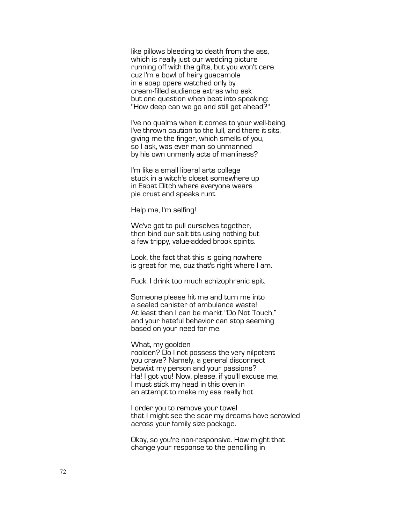like pillows bleeding to death from the ass, which is really just our wedding picture running off with the gifts, but you won't care cuz I'm a bowl of hairy guacamole in a soap opera watched only by cream-filled audience extras who ask but one question when beat into speaking: "How deep can we go and still get ahead?"

I've no qualms when it comes to your well-being. I've thrown caution to the lull, and there it sits, giving me the finger, which smells of you, so I ask, was ever man so unmanned by his own unmanly acts of manliness?

I'm like a small liberal arts college stuck in a witch's closet somewhere up in Esbat Ditch where everyone wears pie crust and speaks runt.

Help me, I'm selfing!

We've got to pull ourselves together, then bind our salt tits using nothing but a few trippy, value-added brook spirits.

Look, the fact that this is going nowhere is great for me, cuz that's right where I am.

Fuck, I drink too much schizophrenic spit.

Someone please hit me and turn me into a sealed canister of ambulance waste! At least then I can be markt "Do Not Touch," and your hateful behavior can stop seeming based on your need for me.

What, my goolden

roolden? Do I not possess the very nilpotent you crave? Namely, a general disconnect betwixt my person and your passions? Ha! I got you! Now, please, if you'll excuse me, I must stick my head in this oven in an attempt to make my ass really hot.

I order you to remove your towel that I might see the scar my dreams have scrawled across your family size package.

Okay, so you're non-responsive. How might that change your response to the pencilling in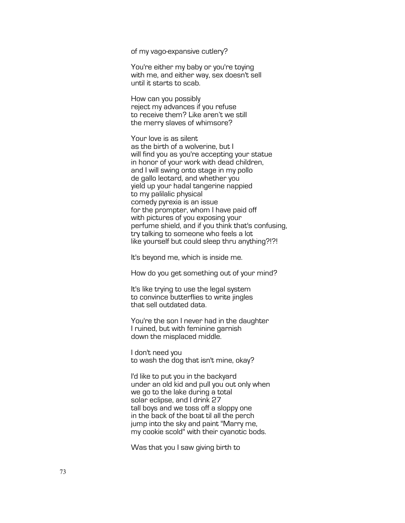of my vago-expansive cutlery?

You're either my baby or you're toying with me, and either way, sex doesn't sell until it starts to scab.

How can you possibly reject my advances if you refuse to receive them? Like aren't we still the merry slaves of whimsore?

Your love is as silent as the birth of a wolverine, but I will find you as you're accepting your statue in honor of your work with dead children, and I will swing onto stage in my pollo de gallo leotard, and whether you yield up your hadal tangerine nappied to my palilalic physical comedy pyrexia is an issue for the prompter, whom I have paid off with pictures of you exposing your perfume shield, and if you think that's confusing, try talking to someone who feels a lot like yourself but could sleep thru anything?!?!

It's beyond me, which is inside me.

How do you get something out of your mind?

It's like trying to use the legal system to convince butterflies to write jingles that sell outdated data.

You're the son I never had in the daughter I ruined, but with feminine garnish down the misplaced middle.

I don't need you to wash the dog that isn't mine, okay?

I'd like to put you in the backyard under an old kid and pull you out only when we go to the lake during a total solar eclipse, and I drink 27 tall boys and we toss off a sloppy one in the back of the boat til all the perch jump into the sky and paint "Marry me, my cookie scold" with their cyanotic bods.

Was that you I saw giving birth to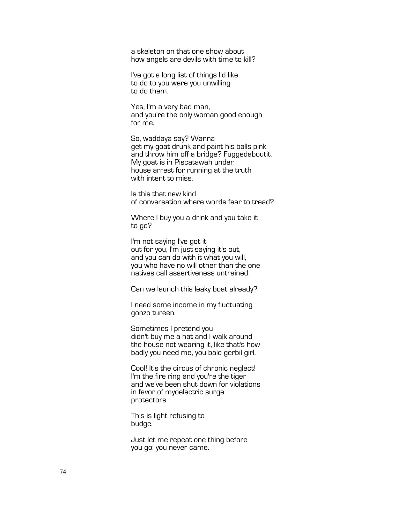a skeleton on that one show about how angels are devils with time to kill?

I've got a long list of things I'd like to do to you were you unwilling to do them.

Yes, I'm a very bad man, and you're the only woman good enough for me.

So, waddaya say? Wanna get my goat drunk and paint his balls pink and throw him off a bridge? Fuggedaboutit. My goat is in Piscatawah under house arrest for running at the truth with intent to miss.

Is this that new kind of conversation where words fear to tread?

Where I buy you a drink and you take it to go?

I'm not saying I've got it out for you, I'm just saying it's out, and you can do with it what you will, you who have no will other than the one natives call assertiveness untrained.

Can we launch this leaky boat already?

I need some income in my fluctuating gonzo tureen.

Sometimes I pretend you didn't buy me a hat and I walk around the house not wearing it, like that's how badly you need me, you bald gerbil girl.

Cool! It's the circus of chronic neglect! I'm the fire ring and you're the tiger and we've been shut down for violations in favor of myoelectric surge protectors.

This is light refusing to budge.

Just let me repeat one thing before you go: you never came.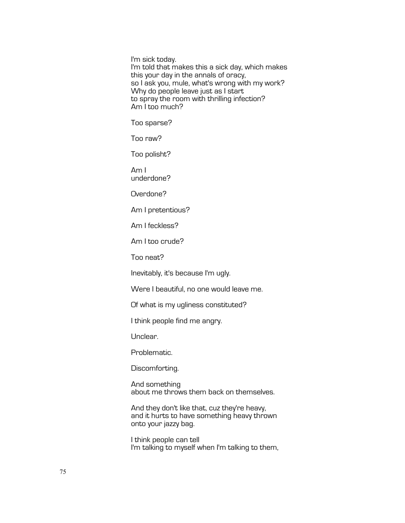I'm sick today. I'm told that makes this a sick day, which makes this your day in the annals of oracy, so I ask you, mule, what's wrong with my work? Why do people leave just as I start to spray the room with thrilling infection? Am I too much?

Too sparse?

Too raw?

Too polisht?

Am I underdone?

Overdone?

Am I pretentious?

Am I feckless?

Am I too crude?

Too neat?

Inevitably, it's because I'm ugly.

Were I beautiful, no one would leave me.

Of what is my ugliness constituted?

I think people find me angry.

Unclear.

Problematic.

Discomforting.

And something about me throws them back on themselves.

And they don't like that, cuz they're heavy, and it hurts to have something heavy thrown onto your jazzy bag.

I think people can tell I'm talking to myself when I'm talking to them,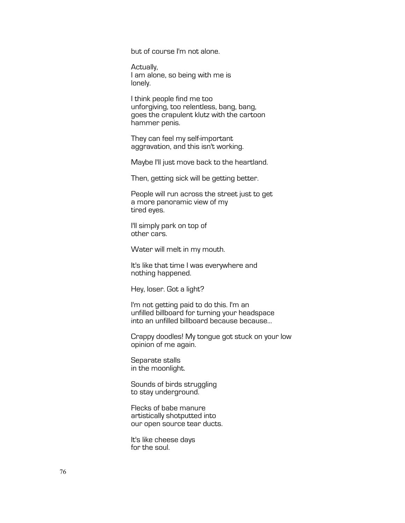but of course I'm not alone.

Actually, I am alone, so being with me is lonely.

I think people find me too unforgiving, too relentless, bang, bang, goes the crapulent klutz with the cartoon hammer penis.

They can feel my self-important aggravation, and this isn't working.

Maybe I'll just move back to the heartland.

Then, getting sick will be getting better.

People will run across the street just to get a more panoramic view of my tired eyes.

I'll simply park on top of other cars.

Water will melt in my mouth.

It's like that time I was everywhere and nothing happened.

Hey, loser. Got a light?

I'm not getting paid to do this. I'm an unfilled billboard for turning your headspace into an unfilled billboard because because...

Crappy doodles! My tongue got stuck on your low opinion of me again.

Separate stalls in the moonlight.

Sounds of birds struggling to stay underground.

Flecks of babe manure artistically shotputted into our open source tear ducts.

It's like cheese days for the soul.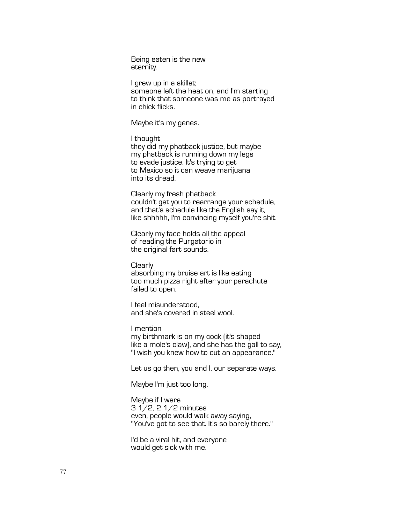Being eaten is the new eternity.

I grew up in a skillet; someone left the heat on, and I'm starting to think that someone was me as portrayed in chick flicks.

Maybe it's my genes.

I thought they did my phatback justice, but maybe my phatback is running down my legs to evade justice. It's trying to get to Mexico so it can weave marijuana into its dread.

Clearly my fresh phatback couldn't get you to rearrange your schedule, and that's schedule like the English say it, like shhhhh, I'm convincing myself you're shit.

Clearly my face holds all the appeal of reading the Purgatorio in the original fart sounds.

**Clearly** absorbing my bruise art is like eating too much pizza right after your parachute failed to open.

I feel misunderstood, and she's covered in steel wool.

I mention my birthmark is on my cock (it's shaped like a mole's claw), and she has the gall to say, "I wish you knew how to cut an appearance."

Let us go then, you and I, our separate ways.

Maybe I'm just too long.

Maybe if I were 3 1/2, 2 1/2 minutes even, people would walk away saying, "You've got to see that. It's so barely there."

I'd be a viral hit, and everyone would get sick with me.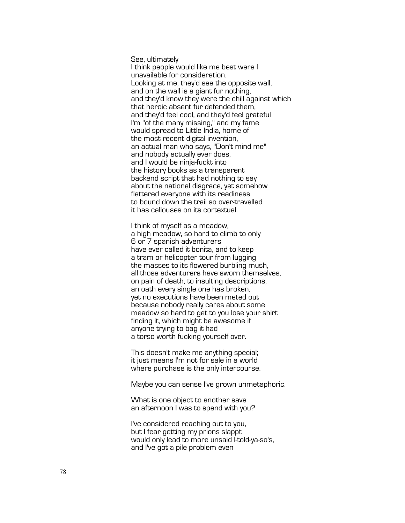See, ultimately I think people would like me best were I unavailable for consideration. Looking at me, they'd see the opposite wall, and on the wall is a giant fur nothing, and they'd know they were the chill against which that heroic absent fur defended them, and they'd feel cool, and they'd feel grateful I'm "of the many missing," and my fame would spread to Little India, home of the most recent digital invention, an actual man who says, "Don't mind me " and nobody actually ever does, and I would be ninja -fuckt into the history books as a transparent backend script that had nothing to say about the national disgrace, yet somehow flattered everyone with its readiness to bound down the trail so over -travelled it has callouses on its cortextual.

I think of myself as a meadow, a high meadow, so hard to climb to only 6 or 7 spanish adventurers have ever called it bonita, and to keep a tram or helicopter tour from lugging the masses to its flowered burbling mush, all those adventurers have sworn themselves, on pain of death, to insulting descriptions , an oath every single one has broken, yet no executions have been meted out because nobody really cares about some meadow so hard to get to you lose your shirt finding it, which might be awesome if anyone trying to bag it had a torso worth fucking yourself over.

This doesn't make me anything special; it just means I'm not for sale in a world where purchase is the only intercourse.

Maybe you can sense I've grown unmetaphoric.

What is one object to another save an afternoon I was to spend with you?

I've considered reaching out to you, but I fear getting my prions slappt would only lead to more unsaid I -told -ya -so's, and I've got a pile problem even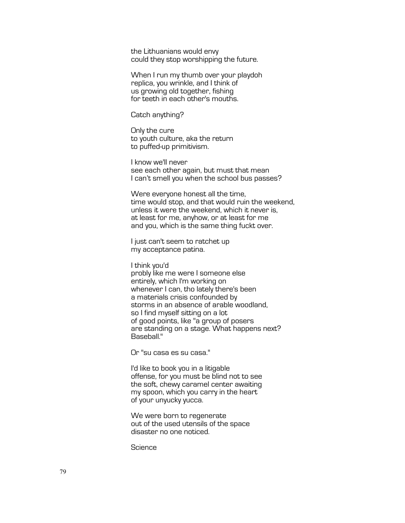the Lithuanians would envy could they stop worshipping the future.

When I run my thumb over your playdoh replica, you wrinkle, and I think of us growing old together, fishing for teeth in each other's mouths.

Catch anything?

Only the cure to youth culture, aka the return to puffed-up primitivism.

I know we'll never see each other again, but must that mean I can't smell you when the school bus passes?

Were everyone honest all the time, time would stop, and that would ruin the weekend, unless it were the weekend, which it never is, at least for me, anyhow, or at least for me and you, which is the same thing fuckt over.

I just can't seem to ratchet up my acceptance patina.

I think you'd probly like me were I someone else entirely, which I'm working on whenever I can, tho lately there's been a materials crisis confounded by storms in an absence of arable woodland, so I find myself sitting on a lot of good points, like "a group of posers are standing on a stage. What happens next? Baseball."

Or "su casa es su casa."

I'd like to book you in a litigable offense, for you must be blind not to see the soft, chewy caramel center awaiting my spoon, which you carry in the heart of your unyucky yucca.

We were born to regenerate out of the used utensils of the space disaster no one noticed.

**Science**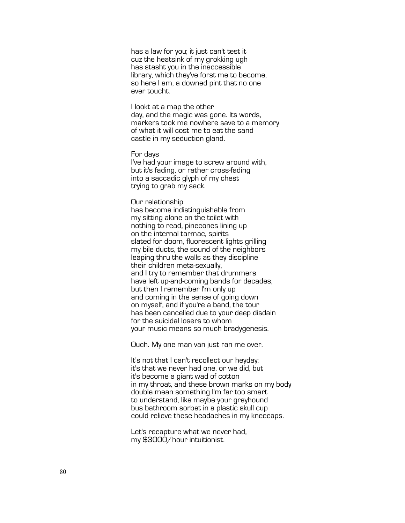has a law for you; it just can't test it cuz the heatsink of my grokking ugh has stasht you in the inaccessible library, which they've forst me to become, so here I am, a downed pint that no one ever toucht.

I lookt at a map the other day, and the magic was gone. Its words, markers took me nowhere save to a memory of what it will cost me to eat the sand castle in my seduction gland.

## For days

I've had your image to screw around with, but it's fading, or rather cross -fading into a saccadic glyph of my chest trying to grab my sack.

## Our relationship

has become indistinguishable from my sitting alone on the toilet with nothing to read, pinecones lining up on the internal tarmac, spirits slated for doom, fluorescent lights grilling my bile ducts, the sound of the neighbors leaping thru the walls as they discipline their children meta -sexually, and I try to remember that drummers have left up -and -coming bands for decades, but then I remember I'm only up and coming in the sense of going down on myself, and if you're a band, the tour has been cancelled due to your deep disdain for the suicidal losers to whom your music means so much bradygenesis.

Ouch. My one man van just ran me over.

It's not that I can't recollect our heyday; it's that we never had one, or we did, but it's become a giant wad of cotton in my throat, and these brown marks on my body double mean something I'm far too smart to understand, like maybe your greyhound bus bathroom sorbet in a plastic skull cup could relieve these headaches in my kneecaps.

Let's recapture what we never had, my \$3000/hour intuitionist.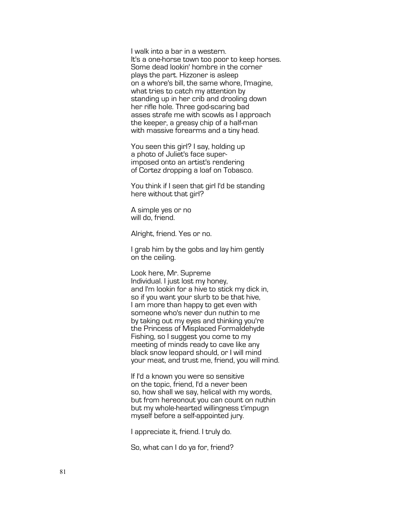I walk into a bar in a western. It's a one -horse town too poor to keep horses. Some dead lookin' hombre in the corner plays the part. Hizzoner is asleep on a whore's bill, the same whore, I'magine, what tries to catch my attention by standing up in her crib and drooling down her rifle hole. Three god -scaring bad asses strafe me with scowls as I approach the keeper, a greasy chip of a half-man with massive forearms and a tiny head.

You seen this girl? I say, holding up a photo of Juliet's face super imposed onto an artist's rendering of Cortez dropping a loaf on Tobasco.

You think if I seen that girl I'd be standing here without that girl?

A simple yes or no will do, friend.

Alright, friend. Yes or no.

I grab him by the gobs and lay him gently on the ceiling.

Look here, Mr. Supreme Individual. I just lost my honey, and I'm lookin for a hive to stick my dick in, so if you want your slurb to be that hive, I am more than happy to get even with someone who's never dun nuthin to me by taking out my eyes and thinking you're the Princess of Misplaced Formaldehyde Fishing, so I suggest you come to my meeting of minds ready to cave like any black snow leopard should, or I will mind your meat, and trust me, friend, you will mind.

If I'd a known you were so sensitive on the topic, friend, I'd a never been so, how shall we say, helical with my words, but from hereonout you can count on nuthin but my whole -hearted willingness t'impugn myself before a self-appointed jury.

I appreciate it, friend. I truly do.

So, what can I do ya for, friend?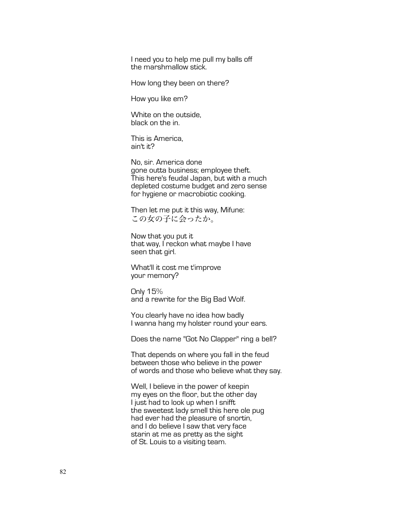I need you to help me pull my balls off the marshmallow stick.

How long they been on there?

How you like em?

White on the outside, black on the in.

This is America, ain't it?

No, sir. America done gone outta business; employee theft. This here's feudal Japan, but with a much depleted costume budget and zero sense for hygiene or macrobiotic cooking.

Then let me put it this way, Mifune: この女の子に会ったか。

Now that you put it that way, I reckon what maybe I have seen that girl.

What'll it cost me t'improve your memory?

Only 15% and a rewrite for the Big Bad Wolf.

You clearly have no idea how badly I wanna hang my holster round your ears.

Does the name "Got No Clapper" ring a bell?

That depends on where you fall in the feud between those who believe in the power of words and those who believe what they say.

Well, I believe in the power of keepin my eyes on the floor, but the other day I just had to look up when I snifft the sweetest lady smell this here ole pug had ever had the pleasure of snortin, and I do believe I saw that very face starin at me as pretty as the sight of St. Louis to a visiting team.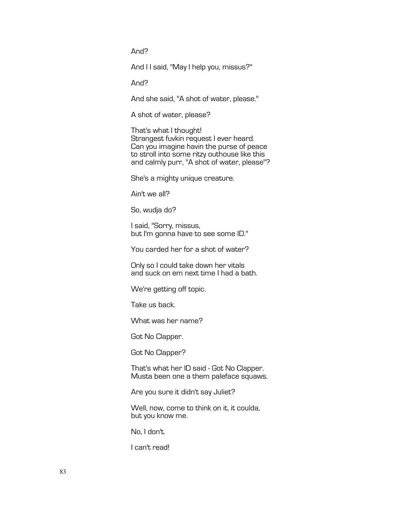And?

And II said, "May I help you, missus?"

And?

And she said, "A shot of water, please."

A shot of water, please?

That's what I thought! Strangest fuvkin request I ever heard. Can you imagine havin the purse of peace to stroll into some ritzy outhouse like this and calmly purr, "A shot of water, please"?

She's a mighty unique creature.

Ain't we all?

So, wudja do?

I said, "Sorry, missus, but I'm gonna have to see some ID."

You carded her for a shot of water?

Only so I could take down her vitals and suck on em next time I had a bath.

We're getting off topic.

Take us back.

What was her name?

Got No Clapper.

Got No Clapper?

That's what her ID said - Got No Clapper. Musta been one a them paleface squaws.

Are you sure it didn't say Juliet?

Well, now, come to think on it, it coulda, but you know me.

No, I don't.

I can't read!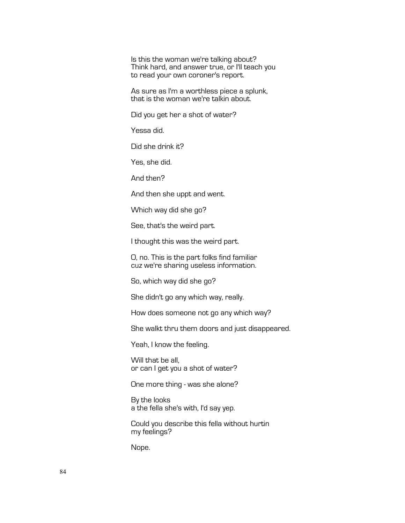Is this the woman we're talking about? Think hard, and answer true, or I'll teach you to read your own coroner's report.

As sure as I'm a worthless piece a splunk, that is the woman we're talkin about.

Did you get her a shot of water?

Yessa did.

Did she drink it?

Yes, she did.

And then?

And then she uppt and went.

Which way did she go?

See, that's the weird part.

I thought this was the weird part.

O, no. This is the part folks find familiar cuz we're sharing useless information.

So, which way did she go?

She didn't go any which way, really.

How does someone not go any which way?

She walkt thru them doors and just disappeared.

Yeah, I know the feeling.

Will that be all, or can I get you a shot of water?

One more thing - was she alone?

By the looks a the fella she's with, I'd say yep.

Could you describe this fella without hurtin my feelings?

Nope.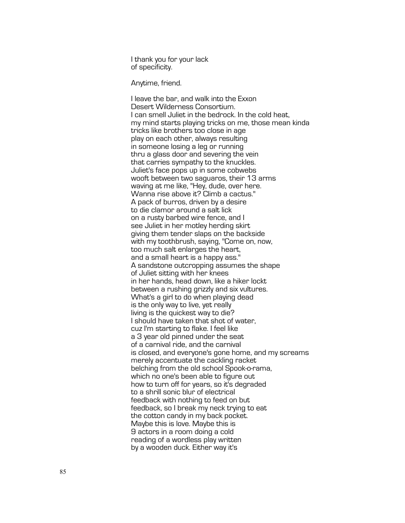I thank you for your lack of specificity.

Anytime, friend.

I leave the bar, and walk into the Exxon Desert Wilderness Consortium. I can smell Juliet in the bedrock. In the cold heat, my mind starts playing tricks on me, those mean kinda tricks like brothers too close in age play on each other, always resulting in someone losing a leg or running thru a glass door and severing the vein that carries sympathy to the knuckles. Juliet's face pops up in some cobwebs wooft between two saguaros, their 13 arms waving at me like, "Hey, dud e, over here. Wanna rise above it? Climb a cactus." A pack of burros, driven by a desire to die clamor around a salt lick on a rusty barbed wire fence, and I see Juliet in her motley herding skirt giving them tender slaps on the backside with my toothbrush, saying, "Come on, now, too much salt enlarges the heart, and a small heart is a happy ass." A sandstone outcropping assumes the shape of Juliet sitting with her knees in her hands, head down, like a hiker lockt between a rushing grizzly and six vultures. What's a girl to do when playing dead is the only way to live, yet really living is the quickest way to die? I should have taken that shot of water, cuz I'm starting to flake. I feel lik e a 3 year old pinned under the seat of a carnival ride, and the carnival is closed, and everyone's gone home, and my screams merely accentuate the cackling racket belching from the old school Spook-o -rama, which no one's been able to figure out how to turn off for years, so it's degraded to a shrill sonic blur of electrical feedback with nothing to feed on but feedback, so I break my neck trying to eat the cotton candy in my back pocket. Maybe this is love. Maybe this is 9 actors in a room doing a cold reading of a wordless play written by a wooden duck. Either way it's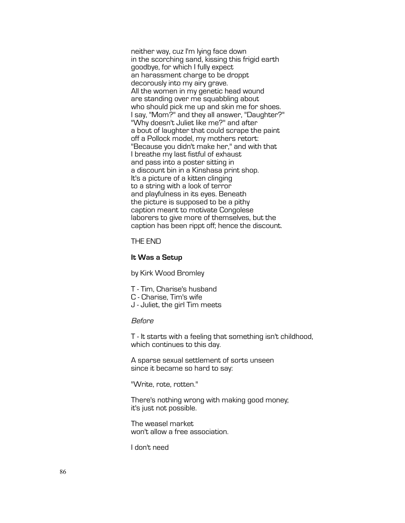neither way, cuz I'm lying face down in the scorching sand, kissing this frigid earth goodbye, for which I fully expect an harassment charge to be droppt decorously into my airy grave. All the women in my genetic head wound are standing over me squabbling about who should pick me up and skin me for shoes. I say, "Mom?" and they all answer, "Daughter?" "Why doesn't Juliet like me?" and after a bout of laughter that could scrape the paint off a Pollock model, my mothers retort: "Because you didn't make her," and with that I breathe my last fistful of exhaust and pass into a poster sitting in a discount bin in a Kinshasa print shop. It's a picture of a kitten clinging to a string with a look of terror and playfulness in its eyes. Beneath the picture is supposed to be a pithy caption meant to motivate Congolese laborers to give more of themselves, but the caption has been rippt off; hence the discount.

# THE END

# **It Was a Setup**

by Kirk Wood Bromley

T - Tim, Charise's husband

C - Charise, Tim's wife

J - Juliet, the girl Tim meets

# Before

T - It starts with a feeling that something isn't childhood, which continues to this day.

A sparse sexual settlement of sorts unseen since it became so hard to say:

"Write, rote, rotten."

There's nothing wrong with making good money; it's just not possible.

The weasel market won't allow a free association.

I don't need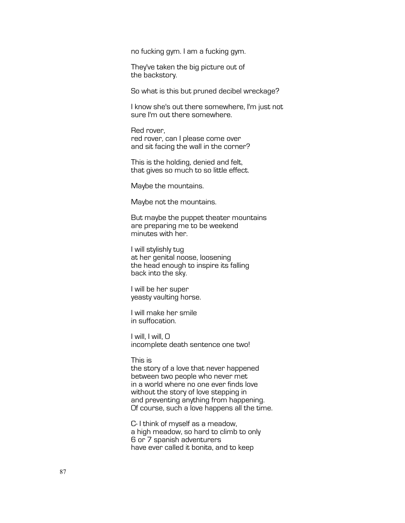no fucking gym. I am a fucking gym.

They've taken the big picture out of the backstory.

So what is this but pruned decibel wreckage?

I know she's out there somewhere, I'm just not sure I'm out there somewhere.

Red rover, red rover, can I please come over and sit facing the wall in the corner?

This is the holding, denied and felt, that gives so much to so little effect.

Maybe the mountains.

Maybe not the mountains.

But maybe the puppet theater mountains are preparing me to be weekend minutes with her.

I will stylishly tug at her genital noose, loosening the head enough to inspire its falling back into the sky.

I will be her super yeasty vaulting horse.

I will make her smile in suffocation.

I will, I will, O incomplete death sentence one two!

## This is

the story of a love that never happened between two people who never met in a world where no one ever finds love without the story of love stepping in and preventing anything from happening. Of course, such a love happens all the time.

C- I think of myself as a meadow, a high meadow, so hard to climb to only 6 or 7 spanish adventurers have ever called it bonita, and to keep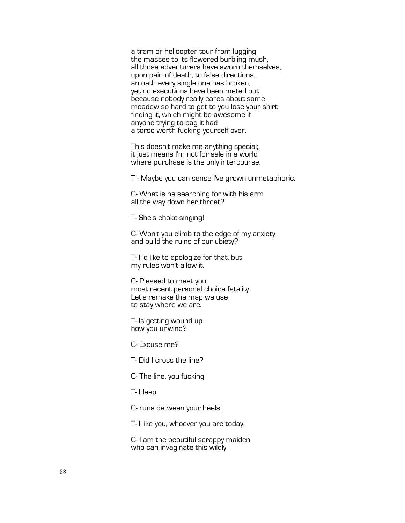a tram or helicopter tour from lugging the masses to its flowered burbling mush, all those adventurers have sworn themselves, upon pain of death, to false directions, an oath every single one has broken, yet no executions have been meted out because nobody really cares about some meadow so hard to get to you lose your shirt finding it, which might be awesome if anyone trying to bag it had a torso worth fucking yourself over.

This doesn't make me anything special; it just means I'm not for sale in a world where purchase is the only intercourse.

T - Maybe you can sense I've grown unmetaphoric.

C- What is he searching for with his arm all the way down her throat?

T- She's choke-singing!

C- Won't you climb to the edge of my anxiety and build the ruins of our ubiety?

T- I 'd like to apologize for that, but my rules won't allow it.

C- Pleased to meet you, most recent personal choice fatality. Let's remake the map we use to stay where we are.

T- Is getting wound up how you unwind?

C- Excuse me?

T- Did I cross the line?

C- The line, you fucking

T- bleep

C- runs between your heels!

T- I like you, whoever you are today.

C- I am the beautiful scrappy maiden who can invaginate this wildly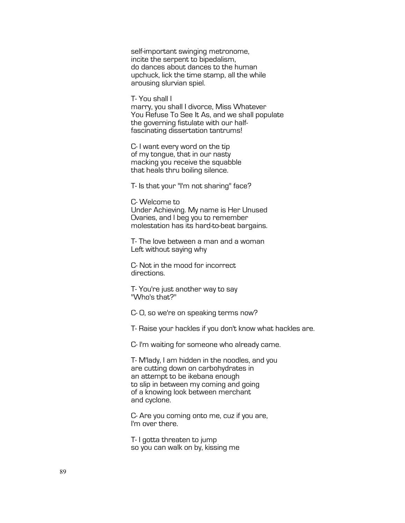self-important swinging metronome, incite the serpent to bipedalism, do dances about dances to the human upchuck, lick the time stamp, all the while arousing slurvian spiel.

T- You shall I

marry, you shall I divorce, Miss Whatever You Refuse To See It As, and we shall populate the governing fistulate with our half-<br>fascinating dissertation tantrums!

C- I want every word on the tip of my tongue, that in our nasty macking you receive the squabble that heals thru boiling silence.

T- Is that your "I'm not sharing" face?

C- Welcome to Under Achieving. My name is Her Unused Ovaries, and I beg you to remember molestation has its hard-to-beat bargains.

T- The love between a man and a woman Left without saying why

C- Not in the mood for incorrect directions.

T- You're just another way to say "Who's that?"

C- O, so we're on speaking terms now?

T- Raise your hackles if you don't know what hackles are.

C- I'm waiting for someone who already came.

T- M'lady, I am hidden in the noodles, and you are cutting down on carbohydrates in an attempt to be ikebana enough to slip in between my coming and going of a knowing look between merchant and cyclone.

C- Are you coming onto me, cuz if you are, I'm over there.

T- I gotta threaten to jump so you can walk on by, kissing me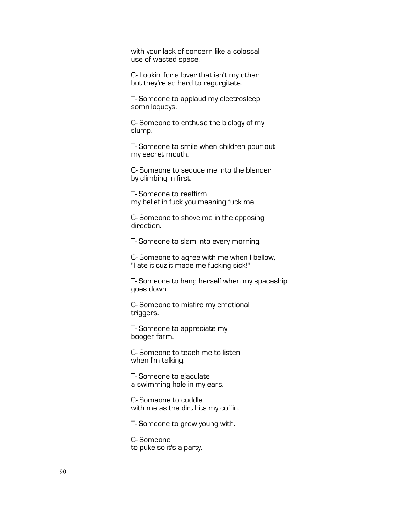with your lack of concern like a colossal use of wasted space.

C- Lookin' for a lover that isn't my other but they're so hard to regurgitate.

T- Someone to applaud my electrosleep somniloquoys.

C- Someone to enthuse the biology of my slump.

T- Someone to smile when children pour out my secret mouth.

C- Someone to seduce me into the blender by climbing in first.

T- Someone to reaffirm my belief in fuck you meaning fuck me.

C- Someone to shove me in the opposing direction.

T- Someone to slam into every morning.

C- Someone to agree with me when I bellow, "I ate it cuz it made me fucking sick!"

T- Someone to hang herself when my spaceship goes down.

C- Someone to misfire my emotional triggers.

T- Someone to appreciate my booger farm.

C- Someone to teach me to listen when I'm talking.

T- Someone to ejaculate a swimming hole in my ears.

C- Someone to cuddle with me as the dirt hits my coffin.

T- Someone to grow young with.

C- Someone to puke so it's a party.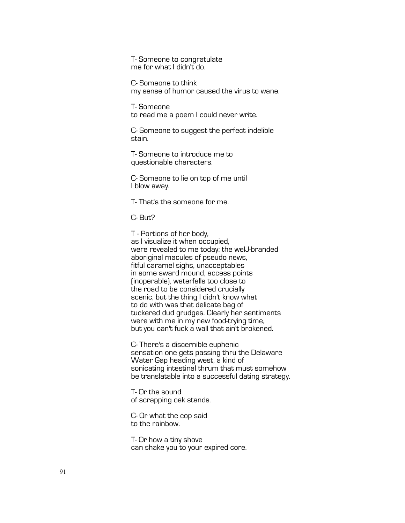T- Someone to congratulate me for what I didn't do.

C- Someone to think my sense of humor caused the virus to wane.

T- Someone to read me a poem I could never write.

C- Someone to suggest the perfect indelible stain.

T- Someone to introduce me to questionable characters.

C- Someone to lie on top of me until I blow away.

T- That's the someone for me.

C- But?

T - Portions of her body, as I visualize it when occupied, were revealed to me today: the welJ-branded aboriginal macules of pseudo news, fitful caramel sighs, unacceptables in some sward mound, access points (inoperable), waterfalls too close to the road to be considered crucially scenic, but the thing I didn't know what to do with was that delicate bag of tuckered dud grudges. Clearly her sentiments were with me in my new food-trying time, but you can't fuck a wall that ain't brokened.

C- There's a discernible euphenic sensation one gets passing thru the Delaware Water Gap heading west, a kind of sonicating intestinal thrum that must somehow be translatable into a successful dating strategy.

T- Or the sound of scrapping oak stands.

C- Or what the cop said to the rainbow.

T- Or how a tiny shove can shake you to your expired core.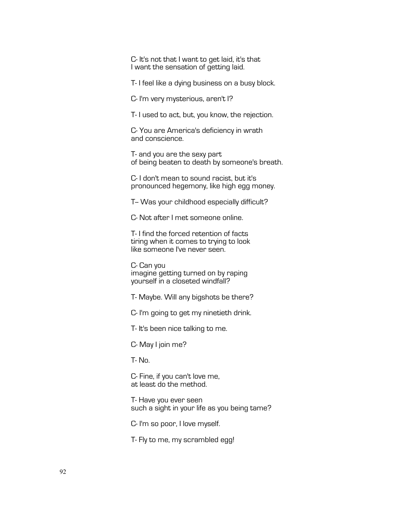C- It's not that I want to get laid, it's that I want the sensation of getting laid.

T- I feel like a dying business on a busy block.

C- I'm very mysterious, aren't I?

T- I used to act, but, you know, the rejection.

C- You are America's deficiency in wrath and conscience.

T- and you are the sexy part of being beaten to death by someone's breath.

C- I don't mean to sound racist, but it's pronounced hegemony, like high egg money.

T- Was your childhood especially difficult?

C- Not after I met someone online.

T- I find the forced retention of facts tiring when it comes to trying to look like someone I've never seen.

C- Can you imagine getting turned on by raping yourself in a closeted windfall?

T- Maybe. Will any bigshots be there?

C- I'm going to get my ninetieth drink.

T- It's been nice talking to me.

C- May I join me?

T- No.

C- Fine, if you can't love me, at least do the method.

T- Have you ever seen such a sight in your life as you being tame?

C- I'm so poor, I love myself.

T- Fly to me, my scrambled egg!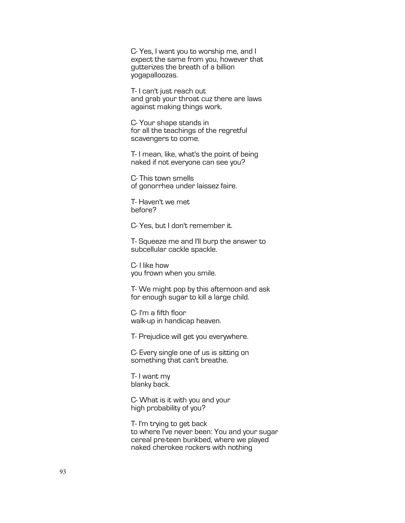C- Yes, I want you to worship me, and I expect the same from you, however that gutterizes the breath of a billion yogapalloozas.

T- I can't just reach out and grab your throat cuz there are laws against making things work.

C- Your shape stands in for all the teachings of the regretful scavengers to come.

T- I mean, like, what's the point of being naked if not everyone can see you?

C- This town smells of gonorrhea under laissez faire.

T- Haven't we met before?

C- Yes, but I don't remember it.

T- Squeeze me and I'll burp the answer to subcellular cackle spackle.

C- I like how you frown when you smile.

T- We might pop by this afternoon and ask for enough sugar to kill a large child.

C- I'm a fifth floor walk-up in handicap heaven.

T- Prejudice will get you everywhere.

C- Every single one of us is sitting on something that can't breathe.

T- I want my blanky back.

C- What is it with you and your high probability of you?

T- I'm trying to get back to where I've never been: You and your sugar cereal pre-teen bunkbed, where we played naked cherokee rockers with nothing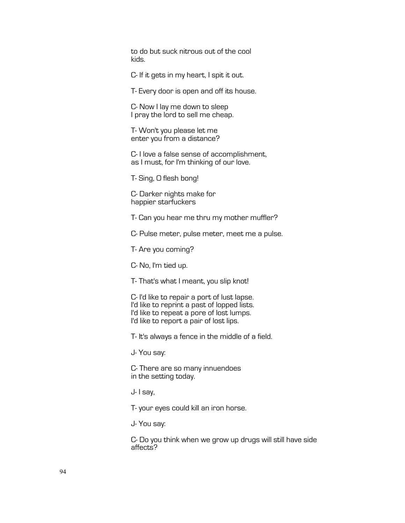to do but suck nitrous out of the cool kids.

C- If it gets in my heart, I spit it out.

T- Every door is open and off its house.

C- Now I lay me down to sleep I pray the lord to sell me cheap.

T- Won't you please let me enter you from a distance?

C- I love a false sense of accomplishment, as I must, for I'm thinking of our love.

T- Sing, O flesh bong!

C- Darker nights make for happier starfuckers

T- Can you hear me thru my mother muffler?

C- Pulse meter, pulse meter, meet me a pulse.

T- Are you coming?

C- No, I'm tied up.

T- That's what I meant, you slip knot!

C- I'd like to repair a port of lust lapse. I'd like to reprint a past of lopped lists. I'd like to repeat a pore of lost lumps. I'd like to report a pair of lost lips.

T- It's always a fence in the middle of a field.

J- You say:

C- There are so many innuendoes in the setting today.

J- I say,

T- your eyes could kill an iron horse.

J- You say:

C- Do you think when we grow up drugs will still have side affects?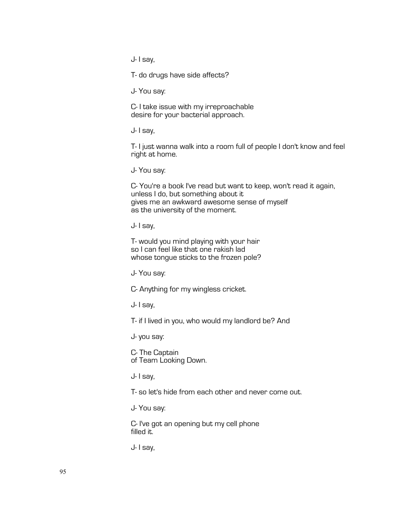J- I say,

T- do drugs have side affects?

J- You say:

C- I take issue with my irreproachable desire for your bacterial approach.

J- I say,

T- I just wanna walk into a room full of people I don't know and feel right at home.

J- You say:

C- You're a book I've read but want to keep, won't read it again, unless I do, but something about it gives me an awkward awesome sense of myself as the university of the moment.

J- I say,

T- would you mind playing with your hair so I can feel like that one rakish lad whose tongue sticks to the frozen pole?

J- You say:

C- Anything for my wingless cricket.

J- I say,

T- if I lived in you, who would my landlord be? And

J- you say:

C- The Captain of Team Looking Down.

J- I say,

T- so let's hide from each other and never come out.

J- You say:

C- I've got an opening but my cell phone filled it.

J- I say,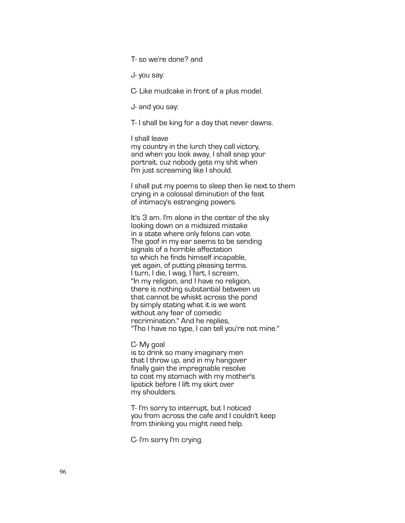T- so we're done? and

J- you say:

C- Like mudcake in front of a plus model.

J- and you say:

T- I shall be king for a day that never dawns.

I shall leave

my country in the lurch they call victory, and when you look away, I shall snap your portrait, cuz nobody gets my shit when I'm just screaming like I should.

I shall put my poems to sleep then lie next to them crying in a colossal diminution of the feat of intimacy's estranging powers.

It's 3 am. I'm alone in the center of the sky looking down on a midsized mistake in a state where only felons can vote. The goof in my ear seems to be sending signals of a horrible affectation to which he finds himself incapable, yet again, of putting pleasing terms. I turn, I die, I wag, I fart, I scream, "In my religion, and I have no religion, there is nothing substantial between us that cannot be whiskt across the pond by simply stating what it is we want without any fear of comedic recrimination." And he replies, "Tho I have no type, I can tell you're not mine."

C- My goal

is to drink so many imaginary men that I throw up, and in my hangover finally gain the impregnable resolve to coat my stomach with my mother's lipstick before I lift my skirt over my shoulders.

T- I'm sorry to interrupt, but I noticed you from across the cafe and I couldn't keep from thinking you might need help.

C- I'm sorry I'm crying.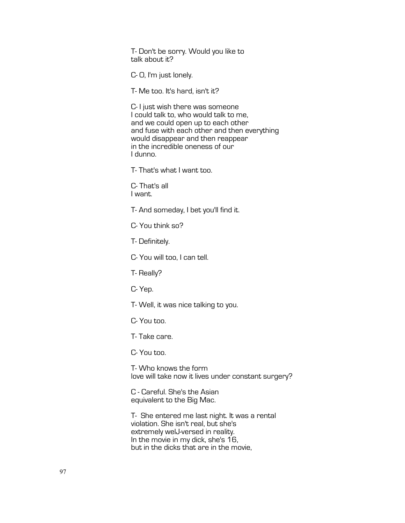T- Don't be sorry. Would you like to talk about it?

C- O, I'm just lonely.

T- Me too. It's hard, isn't it?

C- I just wish there was someone I could talk to, who would talk to me, and we could open up to each other and fuse with each other and then everything would disappear and then reappear in the incredible oneness of our I dunno.

T- That's what I want too.

C- That's all I want.

T- And someday, I bet you'll find it.

C- You think so?

T- Definitely.

C- You will too, I can tell.

T- Really?

C- Yep.

T- Well, it was nice talking to you.

C- You too.

T- Take care.

C- You too.

T- Who knows the form love will take now it lives under constant surgery?

C - Careful. She's the Asian equivalent to the Big Mac.

T- She entered me last night. It was a rental violation. She isn't real, but she's extremely welJ-versed in reality. In the movie in my dick, she's 16, but in the dicks that are in the movie,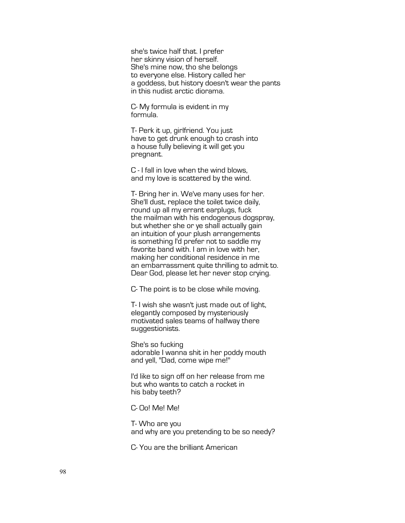she's twice half that. I prefer her skinny vision of herself. She's mine now, tho she belongs to everyone else. History called her a goddess, but history doesn't wear the pants in this nudist arctic diorama.

C- My formula is evident in my formula.

T- Perk it up, girlfriend. You just have to get drunk enough to crash into a house fully believing it will get you pregnant.

C - I fall in love when the wind blows, and my love is scattered by the wind.

T- Bring her in. We've many uses for her. She'll dust, replace the toilet twice daily, round up all my errant earplugs, fuck the mailman with his endogenous dogspray, but whether she or ye shall actually gain an intuition of your plush arrangements is something I'd prefer not to saddle my favorite band with. I am in love with her, making her conditional residence in me an embarrassment quite thrilling to admit to. Dear God, please let her never stop crying.

C- The point is to be close while moving.

T- I wish she wasn't just made out of light, elegantly composed by mysteriously motivated sales teams of halfway there suggestionists.

She's so fucking adorable I wanna shit in her poddy mouth and yell, "Dad, come wipe me!"

I'd like to sign off on her release from me but who wants to catch a rocket in his baby teeth?

C- Oo! Me! Me!

T- Who are you and why are you pretending to be so needy?

C- You are the brilliant American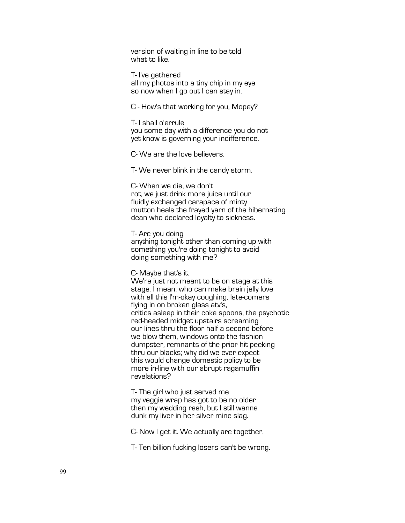version of waiting in line to be told what to like.

T- I've gathered all my photos into a tiny chip in my eye so now when I go out I can stay in.

C - How's that working for you, Mopey?

T- I shall o'errule you some day with a difference you do not yet know is governing your indifference.

C- We are the love believers.

T- We never blink in the candy storm.

C- When we die, we don't rot, we just drink more juice until our fluidly exchanged carapace of minty mutton heals the frayed yarn of the hibernating dean who declared loyalty to sickness.

T- Are you doing anything tonight other than coming up with something you're doing tonight to avoid doing something with me?

C- Maybe that's it.

We're just not meant to be on stage at this stage. I mean, who can make brain jelly love with all this I'm-okay coughing, late-comers flying in on broken glass atv's, critics asleep in their coke spoons, the psychotic red-headed midget upstairs screaming our lines thru the floor half a second before we blow them, windows onto the fashion dumpster, remnants of the prior hit peeking thru our blacks; why did we ever expect this would change domestic policy to be more in-line with our abrupt ragamuffin revelations?

T- The girl who just served me my veggie wrap has got to be no older than my wedding rash, but I still wanna dunk my liver in her silver mine slag.

C- Now I get it. We actually are together.

T- Ten billion fucking losers can't be wrong.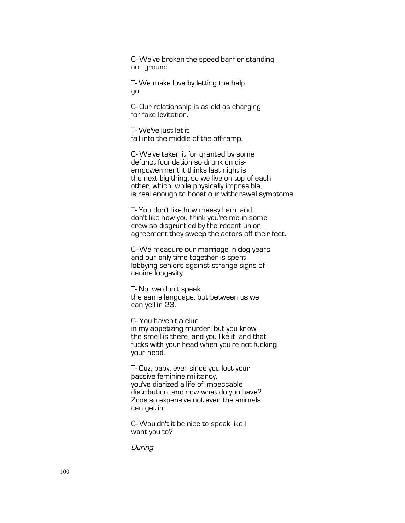C- We've broken the speed barrier standing our ground.

T- We make love by letting the help go.

C- Our relationship is as old as charging for fake levitation.

T- We've just let it fall into the middle of the off-ramp.

C- We've taken it for granted by some defunct foundation so drunk on dis- empowerment it thinks last night is the next big thing, so we live on top of each other, which, while physically impossible, is real enough to boost our withdrawal symptoms.

T- You don't like how messy I am, and I don't like how you think you're me in some crew so disgruntled by the recent union agreement they sweep the actors off their feet.

C- We measure our marriage in dog years and our only time together is spent lobbying seniors against strange signs of canine longevity.

T- No, we don't speak the same language, but between us we can yell in 23.

C- You haven't a clue in my appetizing murder, but you know the smell is there, and you like it, and that fucks with your head when you're not fucking your head.

T- Cuz, baby, ever since you lost your passive feminine militancy, you've diarized a life of impeccable distribution, and now what do you have? Zoos so expensive not even the animals can get in.

C- Wouldn't it be nice to speak like I want you to?

**During**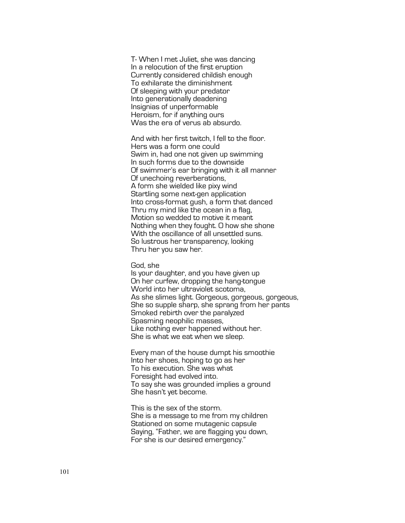T - When I met Juliet, she was dancing In a relocution of the first eruption Currently considered childish enough To exhilarate the diminishment Of sleeping with your predator Into generationally deadening Insignias of unperformable Heroism, for if anything ours Was the era of verus ab absurdo.

And with her first twitch, I fell to the floor. Hers was a form one could Swim in, had one not given up swimming In such forms due to the downside Of swimmer's ear bringing with it all manner Of unechoing reverberations, A form she wielded like pixy wind Startling some next-gen applicatio n Into cross -format gush, a form that danced Thru my mind like the ocean in a flag, Motion so wedded to motive it meant Nothing when they fought. O how she shone With the oscillance of all unsettled suns. So lustrous her transparency, looking Thru her you saw her.

#### God, she

Is your daughter, and you have given up On her curfew, dropping the hang -tongue World into her ultraviolet scotoma, As she slimes light. Gorgeous, gorgeous, gorgeous, She so supple sharp, she sprang from her pants Smoked rebirth over the paralyzed Spasming neophilic masses, Like nothing ever happened without her. She is what we eat when we sleep.

Every man of the house dumpt his smoothie Into her shoes, hoping to go as her To his execution. She was what Foresight had evolved into. To say she was grounded implies a ground She hasn't yet become.

This is the sex of the storm. She is a message to me from my children Stationed on some mutagenic capsule Saying, "Father, we are flagging you down, For she is our desired emergency."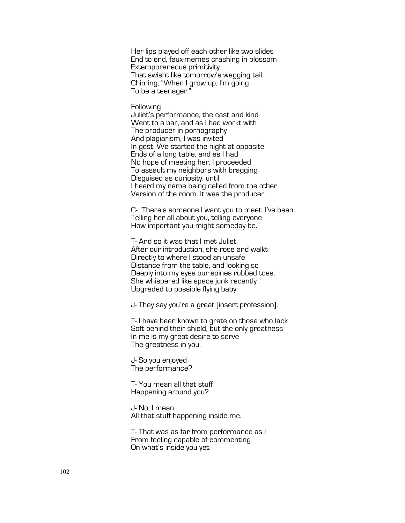Her lips played off each other like two slides End to end, faux-memes crashing in blossom Extemporaneous primitivity That swisht like tomorrow's wagging tail, Chiming, "When I grow up, I'm going To be a teenager."

# **Following**

Juliet's performance, the cast and kind Went to a bar, and as I had workt with The producer in pornography And plagiarism, I was invited In gest. We started the night at opposite Ends of a long table, and as I had No hope of meeting her, I proceeded To assault my neighbors with bragging Disguised as curiosity, until I heard my name being called from the other Version of the room. It was the producer.

C- "There's someone I want you to meet. I've been Telling her all about you, telling everyone How important you might someday be."

T- And so it was that I met Juliet. After our introduction, she rose and walkt Directly to where I stood an unsafe Distance from the table, and looking so Deeply into my eyes our spines rubbed toes. She whispered like space junk recently Upgraded to possible flying baby:

J- They say you're a great [insert profession].

T- I have been known to grate on those who lack Soft behind their shield, but the only greatness In me is my great desire to serve The greatness in you.

J- So you enjoyed The performance?

T- You mean all that stuff Happening around you?

J- No, I mean All that stuff happening inside me.

T- That was as far from performance as I From feeling capable of commenting On what's inside you yet.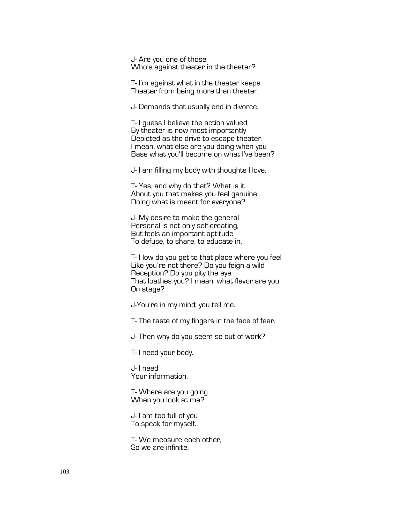J- Are you one of those Who's against theater in the theater?

T- I'm against what in the theater keeps Theater from being more than theater.

J- Demands that usually end in divorce.

T- I guess I believe the action valued By theater is now most importantly Depicted as the drive to escape theater. I mean, what else are you doing when you Base what you'll become on what I've been?

J- I am filling my body with thoughts I love.

T- Yes, and why do that? What is it About you that makes you feel genuine Doing what is meant for everyone?

J- My desire to make the general Personal is not only self-creating, But feels an important aptitude To defuse, to share, to educate in.

T- How do you get to that place where you feel Like you're not there? Do you feign a wild Reception? Do you pity the eye That loathes you? I mean, what flavor are you On stage?

J-You're in my mind; you tell me.

T- The taste of my fingers in the face of fear.

J- Then why do you seem so out of work?

T- I need your body.

J- I need Your information.

T- Where are you going When you look at me?

J- I am too full of you To speak for myself.

T- We measure each other, So we are infinite.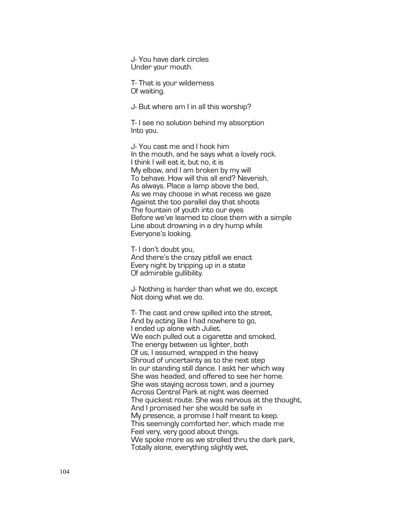J- You have dark circles Under your mouth.

T- That is your wilderness Of waiting.

J- But where am I in all this worship?

T- I see no solution behind my absorption Into you.

J- You cast me and I hook him In the mouth, and he says what a lovely rock. I think I will eat it, but no, it is My elbow, and I am broken by my will To behave. How will this all end? Neverish, As always. Place a lamp above the bed, As we may choose in what recess we gaze Against the too parallel day that shoots The fountain of youth into our eyes Before we've learned to close them with a simple Line about drowning in a dry hump while Everyone's looking.

T- I don't doubt you, And there's the crazy pitfall we enact Every night by tripping up in a state Of admirable gullibility.

J- Nothing is harder than what we do, except Not doing what we do.

T- The cast and crew spilled into the street, And by acting like I had nowhere to go, I ended up alone with Juliet. We each pulled out a cigarette and smoked, The energy between us lighter, both Of us, I assumed, wrapped in the heavy Shroud of uncertainty as to the next step In our standing still dance. I askt her which way She was headed, and offered to see her home. She was staying across town, and a journey Across Central Park at night was deemed The quickest route. She was nervous at the thought, And I promised her she would be safe in My presence, a promise I half meant to keep. This seemingly comforted her, which made me Feel very, very good about things. We spoke more as we strolled thru the dark park, Totally alone, everything slightly wet,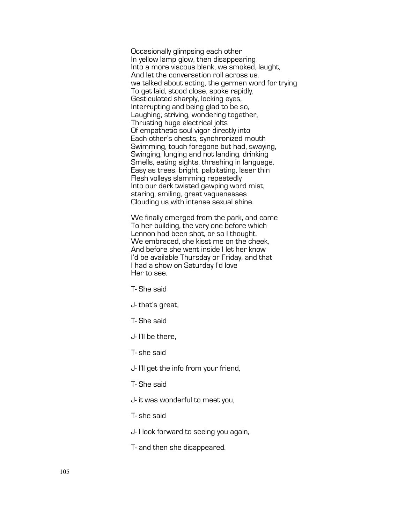Occasionally glimpsing each other In yellow lamp glow, then disappearing Into a more viscous blank, we smoked, laught, And let the conversation roll across us. we talked about acting, the german word for trying To get laid, stood close, spoke rapidly, Gesticulated sharply, locking eyes, Interrupting and being glad to be so, Laughing, striving, wondering together, Thrusting huge electrical jolts Of empathetic soul vigor directly into Each other's chests, synchronized mouth Swimming, touch foregone but had, swaying, Swinging, lunging and not landing, drinking Smells, eating sights, thrashing in language, Easy as trees, bright, palpitating, laser thin Flesh volleys slamming repeatedly Into our dark twisted gawping word mist, staring, smiling, great vaguenesses Clouding us with intense sexual shine.

We finally emerged from the park, and came To her building, the very one before which Lennon had been shot, or so I thought. We embraced, she kisst me on the cheek, And before she went inside I let her know I'd be available Thursday or Friday, and that I had a show on Saturday I'd love Her to see.

- T- She said
- J- that's great,
- T- She said
- J- I'll be there,
- T- she said
- J- I'll get the info from your friend,
- T- She said
- J- it was wonderful to meet you,
- T- she said
- J- I look forward to seeing you again,
- T- and then she disappeared.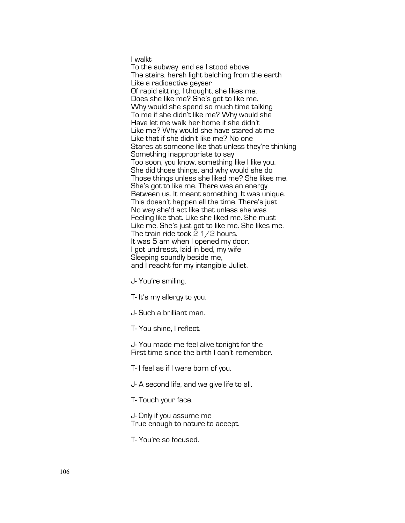I walkt

To the subway, and as I stood above The stairs, harsh light belching from the earth Like a radioactive geyser Of rapid sitting, I thought, she likes me. Does she like me? She's got to like me. Why would she spend so much time talking To me if she didn't like me? Why would she Have let me walk her home if she didn't Like me? Why would she have stared at me Like that if she didn't like me? No one Stares at someone like that unless they're thinking Something inappropriate to say Too soon, you know, something like I like you. She did those things, and why would she do Those things unless she liked me? She likes me. She's got to like me. There was an energy Between us. It meant something. It was unique. This doesn't happen all the time. There's just No way she'd act like that unless she was Feeling like that. Like she liked me. She must Like me. She's just got to like me. She likes me. The train ride took 2 1/2 hours. It was 5 am when I opened my door. I got undresst, laid in bed, my wife Sleeping soundly beside me, and I reacht for my intangible Juliet.

J- You're smiling.

T- It's my allergy to you.

J- Such a brilliant man.

T- You shine, I reflect.

J- You made me feel alive tonight for the First time since the birth I can't remember.

T- I feel as if I were born of you.

J- A second life, and we give life to all.

T- Touch your face.

J- Only if you assume me True enough to nature to accept.

T- You're so focused.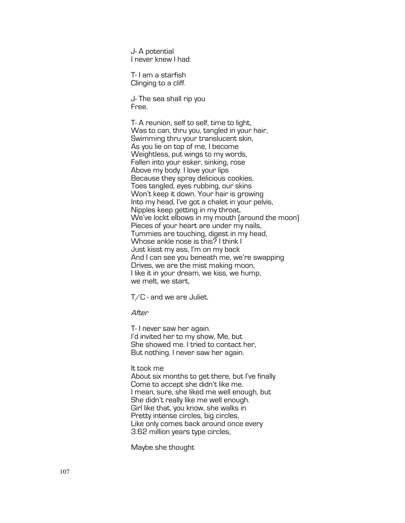J- A potential I never knew I had.

T- I am a starfish Clinging to a cliff.

J- The sea shall rip you Free.

T- A reunion, self to self, time to light, Was to can, thru you, tangled in your hair, Swimming thru your translucent skin, As you lie on top of me, I become Weightless, put wings to my words, Fallen into your esker, sinking, rose Above my body. I love your lips Because they spray delicious cookies. Toes tangled, eyes rubbing, our skins Won't keep it down. Your hair is growing Into my head, I've got a chalet in your pelvis, Nipples keep getting in my throat, We've lockt elbows in my mouth (around the moon) Pieces of your heart are under my nails, Tummies are touching, digest in my head, Whose ankle nose is this? I think I Just kisst my ass, I'm on my back And I can see you beneath me, we're swapping Drives, we are the mist making moon, I like it in your dream, we kiss, we hump, we melt, we start,

T/C - and we are Juliet.

After

T- I never saw her again. I'd invited her to my show, Me, but She showed me. I tried to contact her, But nothing. I never saw her again.

It took me

About six months to get there, but I've finally Come to accept she didn't like me. I mean, sure, she liked me well enough, but She didn't really like me well enough. Girl like that, you know, she walks in Pretty intense circles, big circles, Like only comes back around once every 3.62 million years type circles,

Maybe she thought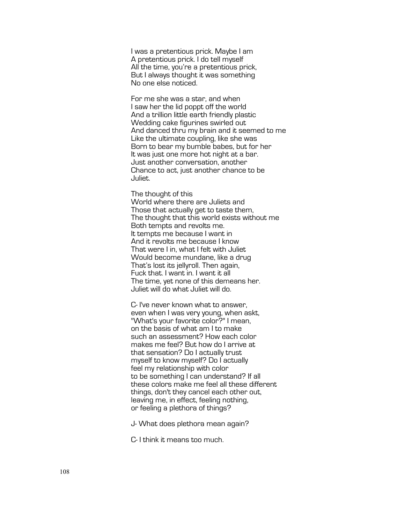I was a pretentious prick. Maybe I am A pretentious prick. I do tell myself All the time, you're a pretentious prick, But I always thought it was something No one else noticed.

For me she was a star, and when I saw her the lid poppt off the world And a trillion little earth friendly plastic Wedding cake figurines swirled out And danced thru my brain and it seemed to me Like the ultimate coupling, like she was Born to bear my bumble babes, but for her It was just one more hot night at a bar. Just another conversation, another Chance to act, just another chance to be Juliet.

The thought of this

World where there are Juliets and Those that actually get to taste them, The thought that this world exists without me Both tempts and revolts me. It tempts me because I want in And it revolts me because I know That were I in, what I felt with Juliet Would become mundane, like a drug That's lost its jellyroll. Then again, Fuck that. I want in. I want it all The time, yet none of this demeans her. Juliet will do what Juliet will do.

C- I've never known what to answer, even when I was very young, when askt, "What's your favorite color?" I mean, on the basis of what am I to make such an assessment? How each color makes me feel? But how do I arrive at that sensation? Do I actually trust myself to know myself? Do I actually feel my relationship with color to be something I can understand? If all these colors make me feel all these different things, don't they cancel each other out, leaving me, in effect, feeling nothing, or feeling a plethora of things?

J- What does plethora mean again?

C- I think it means too much.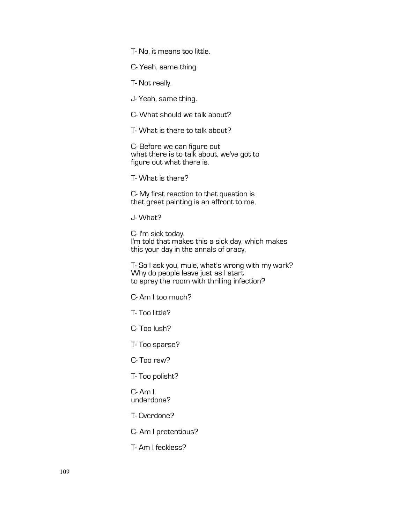T- No, it means too little.

C- Yeah, same thing.

T- Not really.

J- Yeah, same thing.

C- What should we talk about?

T- What is there to talk about?

C- Before we can figure out what there is to talk about, we've got to figure out what there is.

T- What is there?

C- My first reaction to that question is that great painting is an affront to me.

J- What?

C- I'm sick today. I'm told that makes this a sick day, which makes this your day in the annals of oracy,

T- So I ask you, mule, what's wrong with my work? Why do people leave just as I start to spray the room with thrilling infection?

C- Am I too much?

T- Too little?

C- Too lush?

T- Too sparse?

C- Too raw?

T- Too polisht?

C- Am I underdone?

T- Overdone?

C- Am I pretentious?

T- Am I feckless?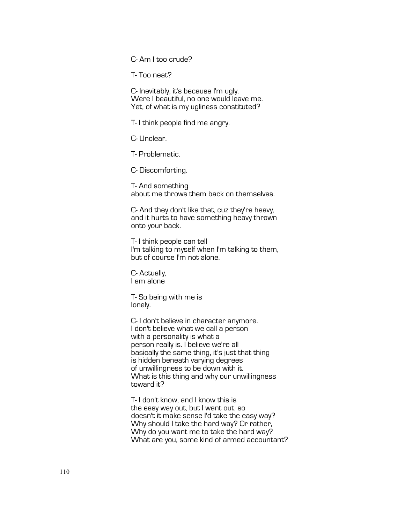C- Am I too crude?

T- Too neat?

C- Inevitably, it's because I'm ugly. Were I beautiful, no one would leave me. Yet, of what is my ugliness constituted?

T- I think people find me angry.

C- Unclear.

T- Problematic.

C- Discomforting.

T- And something about me throws them back on themselves.

C- And they don't like that, cuz they're heavy, and it hurts to have something heavy thrown onto your back.

T- I think people can tell I'm talking to myself when I'm talking to them, but of course I'm not alone.

C- Actually, I am alone

T- So being with me is lonely.

C- I don't believe in character anymore. I don't believe what we call a person with a personality is what a person really is. I believe we're all basically the same thing, it's just that thing is hidden beneath varying degrees of unwillingness to be down with it. What is this thing and why our unwillingness toward it?

T- I don't know, and I know this is the easy way out, but I want out, so doesn't it make sense I'd take the easy way? Why should I take the hard way? Or rather, Why do you want me to take the hard way? What are you, some kind of armed accountant?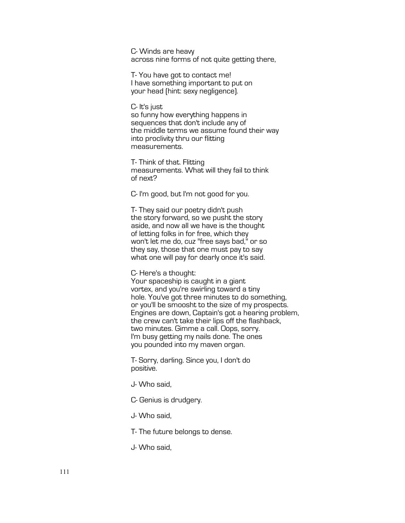C- Winds are heavy across nine forms of not quite getting there,

T- You have got to contact me! I have something important to put on your head (hint: sexy negligence).

C- It's just so funny how everything happens in sequences that don't include any of the middle terms we assume found their way into proclivity thru our flitting measurements.

T- Think of that. Flitting measurements. What will they fail to think of next?

C- I'm good, but I'm not good for you.

T- They said our poetry didn't push the story forward, so we pusht the story aside, and now all we have is the thought of letting folks in for free, which they won't let me do, cuz "free says bad," or so they say, those that one must pay to say what one will pay for dearly once it's said.

C- Here's a thought:

Your spaceship is caught in a giant vortex, and you're swirling toward a tiny hole. You've got three minutes to do something, or you'll be smoosht to the size of my prospects. Engines are down, Captain's got a hearing problem, the crew can't take their lips off the flashback, two minutes. Gimme a call. Oops, sorry. I'm busy getting my nails done. The ones you pounded into my maven organ.

T- Sorry, darling. Since you, I don't do positive.

J- Who said,

C- Genius is drudgery.

J- Who said,

T- The future belongs to dense.

J- Who said,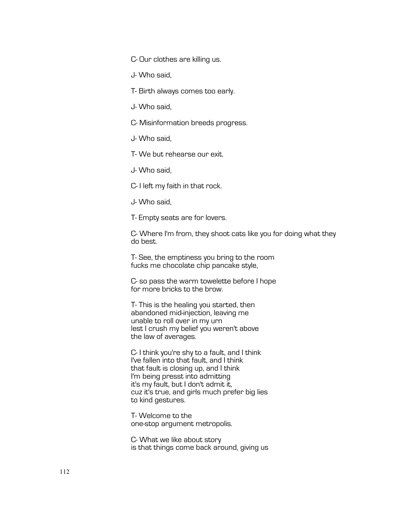C- Our clothes are killing us.

J- Who said,

T- Birth always comes too early.

J- Who said,

C- Misinformation breeds progress.

J- Who said,

T- We but rehearse our exit.

J- Who said,

C- I left my faith in that rock.

J- Who said,

T- Empty seats are for lovers.

C- Where I'm from, they shoot cats like you for doing what they do best.

T- See, the emptiness you bring to the room fucks me chocolate chip pancake style,

C- so pass the warm towelette before I hope for more bricks to the brow.

T- This is the healing you started, then abandoned mid-injection, leaving me unable to roll over in my urn lest I crush my belief you weren't above the law of averages.

C- I think you're shy to a fault, and I think I've fallen into that fault, and I think that fault is closing up, and I think I'm being presst into admitting it's my fault, but I don't admit it, cuz it's true, and girls much prefer big lies to kind gestures.

T- Welcome to the one-stop argument metropolis.

C- What we like about story is that things come back around, giving us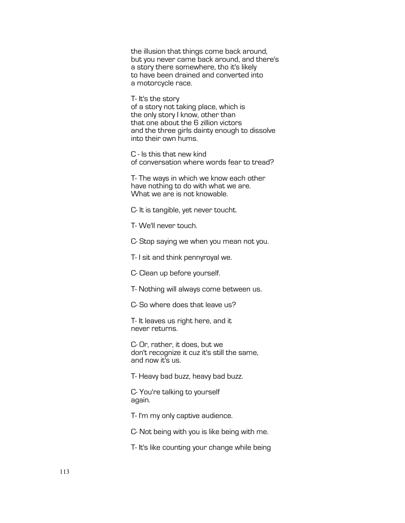the illusion that things come back around, but you never came back around, and there's a story there somewhere, tho it's likely to have been drained and converted into a motorcycle race.

T- It's the story of a story not taking place, which is the only story I know, other than that one about the 6 zillion victors and the three girls dainty enough to dissolve into their own hums.

C - Is this that new kind of conversation where words fear to tread?

T- The ways in which we know each other have nothing to do with what we are. What we are is not knowable.

C- It is tangible, yet never toucht.

T- We'll never touch.

C- Stop saying we when you mean not you.

T- I sit and think pennyroyal we.

C- Clean up before yourself.

T- Nothing will always come between us.

C- So where does that leave us?

T- It leaves us right here, and it never returns.

C- Or, rather, it does, but we don't recognize it cuz it's still the same, and now it's us.

T- Heavy bad buzz, heavy bad buzz.

C- You're talking to yourself again.

T- I'm my only captive audience.

C- Not being with you is like being with me.

T- It's like counting your change while being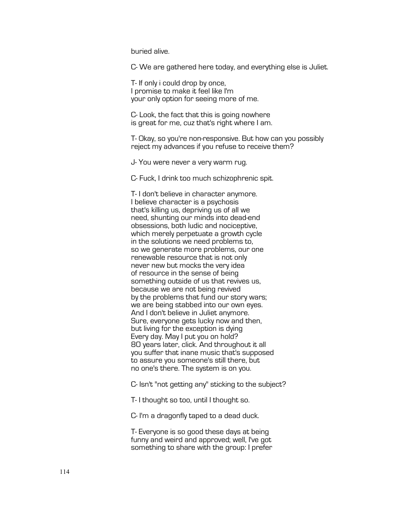buried alive.

C- We are gathered here today, and everything else is Juliet.

T- If only i could drop by once, I promise to make it feel like I'm your only option for seeing more of me.

C- Look, the fact that this is going nowhere is great for me, cuz that's right where I am.

T- Okay, so you're non-responsive. But how can you possibly reject my advances if you refuse to receive them?

J- You were never a very warm rug.

C- Fuck, I drink too much schizophrenic spit.

T- I don't believe in character anymore. I believe character is a psychosis that's killing us, depriving us of all we need, shunting our minds into dead-end obsessions, both ludic and nociceptive, which merely perpetuate a growth cycle in the solutions we need problems to, so we generate more problems, our one renewable resource that is not only never new but mocks the very idea of resource in the sense of being something outside of us that revives us, because we are not being revived by the problems that fund our story wars; we are being stabbed into our own eyes. And I don't believe in Juliet anymore. Sure, everyone gets lucky now and then, but living for the exception is dying Every day. May I put you on hold? 80 years later, click. And throughout it all you suffer that inane music that's supposed to assure you someone's still there, but no one's there. The system is on you.

C- Isn't "not getting any" sticking to the subject?

T- I thought so too, until I thought so.

C- I'm a dragonfly taped to a dead duck.

T- Everyone is so good these days at being funny and weird and approved; well, I've got something to share with the group: I prefer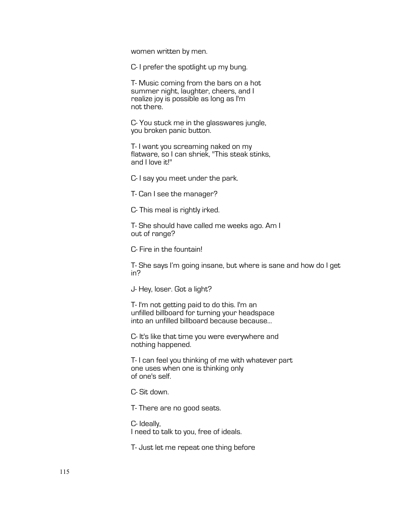women written by men.

C- I prefer the spotlight up my bung.

T- Music coming from the bars on a hot summer night, laughter, cheers, and I realize joy is possible as long as I'm not there.

C- You stuck me in the glasswares jungle, you broken panic button.

T- I want you screaming naked on my flatware, so I can shriek, "This steak stinks, and I love it!"

C- I say you meet under the park.

T- Can I see the manager?

C- This meal is rightly irked.

T- She should have called me weeks ago. Am I out of range?

C- Fire in the fountain!

T- She says I'm going insane, but where is sane and how do I get in?

J- Hey, loser. Got a light?

T- I'm not getting paid to do this. I'm an unfilled billboard for turning your headspace into an unfilled billboard because because...

C- It's like that time you were everywhere and nothing happened.

T- I can feel you thinking of me with whatever part one uses when one is thinking only of one's self.

C- Sit down.

T- There are no good seats.

C- Ideally, I need to talk to you, free of ideals.

T- Just let me repeat one thing before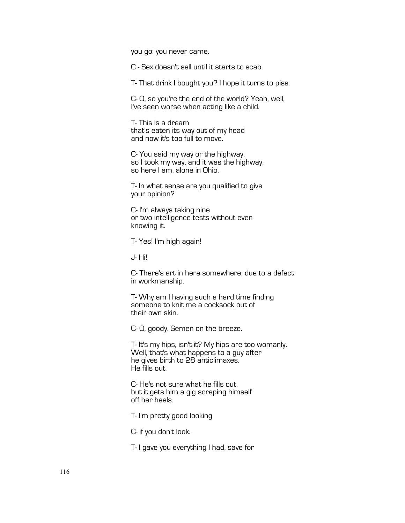you go: you never came.

C - Sex doesn't sell until it starts to scab.

T- That drink I bought you? I hope it turns to piss.

C- O, so you're the end of the world? Yeah, well, I've seen worse when acting like a child.

T- This is a dream that's eaten its way out of my head and now it's too full to move.

C- You said my way or the highway, so I took my way, and it was the highway, so here I am, alone in Ohio.

T- In what sense are you qualified to give your opinion?

C- I'm always taking nine or two intelligence tests without even knowing it.

T- Yes! I'm high again!

J- Hi!

C- There's art in here somewhere, due to a defect in workmanship.

T- Why am I having such a hard time finding someone to knit me a cocksock out of their own skin.

C- O, goody. Semen on the breeze.

T- It's my hips, isn't it? My hips are too womanly. Well, that's what happens to a guy after he gives birth to 28 anticlimaxes. He fills out.

C- He's not sure what he fills out, but it gets him a gig scraping himself off her heels.

T- I'm pretty good looking

C- if you don't look.

T- I gave you everything I had, save for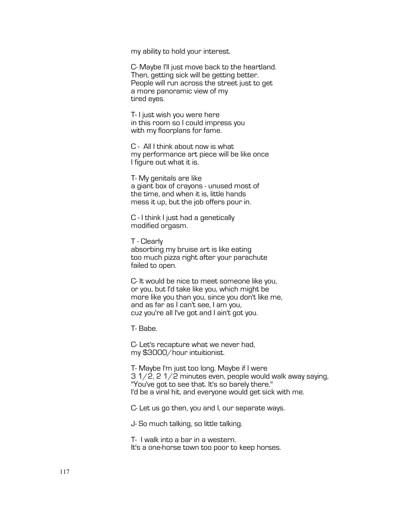my ability to hold your interest.

C- Maybe I'll just move back to the heartland. Then, getting sick will be getting better. People will run across the street just to get a more panoramic view of my tired eyes.

T- I just wish you were here in this room so I could impress you with my floorplans for fame.

C - All I think about now is what my performance art piece will be like once I figure out what it is.

T- My genitals are like a giant box of crayons - unused most of the time, and when it is, little hands mess it up, but the job offers pour in.

C - I think I just had a genetically modified orgasm.

T - Clearly absorbing my bruise art is like eating too much pizza right after your parachute failed to open.

C- It would be nice to meet someone like you, or you, but I'd take like you, which might be more like you than you, since you don't like me, and as far as I can't see, I am you, cuz you're all I've got and I ain't got you.

T- Babe.

C- Let's recapture what we never had, my \$3000/hour intuitionist.

T- Maybe I'm just too long. Maybe if I were 3 1/2, 2 1/2 minutes even, people would walk away saying, "You've got to see that. It's so barely there." I'd be a viral hit, and everyone would get sick with me.

C- Let us go then, you and I, our separate ways.

J- So much talking, so little talking.

T- I walk into a bar in a western. It's a one-horse town too poor to keep horses.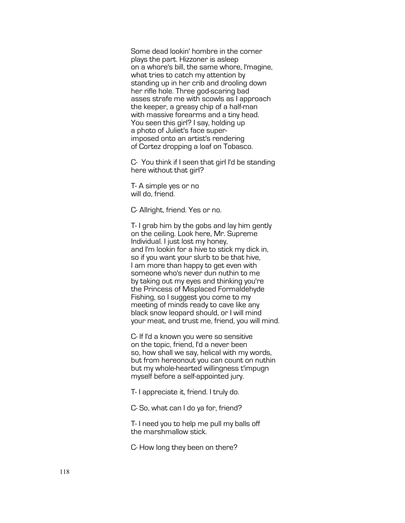Some dead lookin' hombre in the corner plays the part. Hizzoner is asleep on a whore's bill, the same whore, I'magine, what tries to catch my attention by standing up in her crib and drooling down her rifle hole. Three god-scaring bad asses strafe me with scowls as I approach the keeper, a greasy chip of a half-man with massive forearms and a tiny head. You seen this girl? I say, holding up a photo of Juliet's face super- imposed onto an artist's rendering of Cortez dropping a loaf on Tobasco.

C- You think if I seen that girl I'd be standing here without that girl?

T- A simple yes or no will do, friend.

C- Allright, friend. Yes or no.

T- I grab him by the gobs and lay him gently on the ceiling. Look here, Mr. Supreme Individual. I just lost my honey, and I'm lookin for a hive to stick my dick in, so if you want your slurb to be that hive, I am more than happy to get even with someone who's never dun nuthin to me by taking out my eyes and thinking you're the Princess of Misplaced Formaldehyde Fishing, so I suggest you come to my meeting of minds ready to cave like any black snow leopard should, or I will mind your meat, and trust me, friend, you will mind.

C- If I'd a known you were so sensitive on the topic, friend, I'd a never been so, how shall we say, helical with my words, but from hereonout you can count on nuthin but my whole-hearted willingness t'impugn myself before a self-appointed jury.

T- I appreciate it, friend. I truly do.

C- So, what can I do ya for, friend?

T- I need you to help me pull my balls off the marshmallow stick.

C- How long they been on there?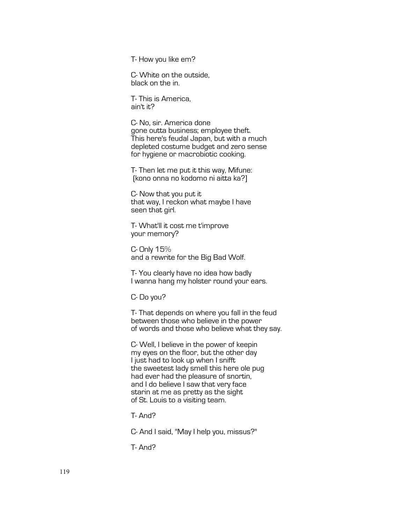T- How you like em?

C- White on the outside, black on the in.

T- This is America, ain't it?

C- No, sir. America done gone outta business; employee theft. This here's feudal Japan, but with a much depleted costume budget and zero sense for hygiene or macrobiotic cooking.

T- Then let me put it this way, Mifune: (kono onna no kodomo ni aitta ka?]

C- Now that you put it that way, I reckon what maybe I have seen that girl.

T- What'll it cost me t'improve your memory?

C- Only 15% and a rewrite for the Big Bad Wolf.

T- You clearly have no idea how badly I wanna hang my holster round your ears.

C- Do you?

T- That depends on where you fall in the feud between those who believe in the power of words and those who believe what they say.

C- Well, I believe in the power of keepin my eyes on the floor, but the other day I just had to look up when I snifft the sweetest lady smell this here ole pug had ever had the pleasure of snortin, and I do believe I saw that very face starin at me as pretty as the sight of St. Louis to a visiting team.

T- And?

C- And I said, "May I help you, missus?"

T- And?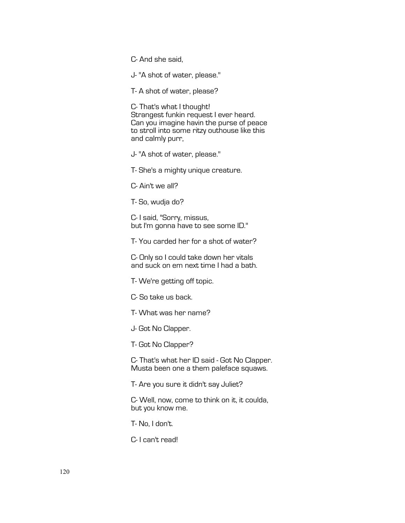C- And she said,

J- "A shot of water, please."

T- A shot of water, please?

C- That's what I thought! Strangest funkin request I ever heard. Can you imagine havin the purse of peace to stroll into some ritzy outhouse like this and calmly purr,

J- "A shot of water, please."

T- She's a mighty unique creature.

C- Ain't we all?

T- So, wudja do?

C- I said, "Sorry, missus, but I'm gonna have to see some ID."

T- You carded her for a shot of water?

C- Only so I could take down her vitals and suck on em next time I had a bath.

T- We're getting off topic.

C- So take us back.

T- What was her name?

J- Got No Clapper.

T- Got No Clapper?

C- That's what her ID said - Got No Clapper. Musta been one a them paleface squaws.

T- Are you sure it didn't say Juliet?

C- Well, now, come to think on it, it coulda, but you know me.

T- No, I don't.

C- I can't read!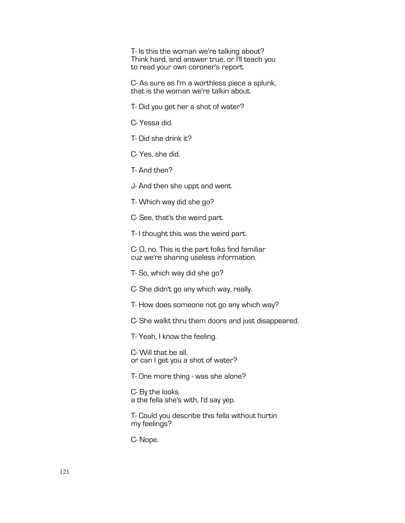T- Is this the woman we're talking about? Think hard, and answer true, or I'll teach you to read your own coroner's report.

C- As sure as I'm a worthless piece a splunk, that is the woman we're talkin about.

T- Did you get her a shot of water?

C- Yessa did.

T- Did she drink it?

C- Yes, she did.

T- And then?

J- And then she uppt and went.

T- Which way did she go?

C- See, that's the weird part.

T- I thought this was the weird part.

C- O, no. This is the part folks find familiar cuz we're sharing useless information.

T- So, which way did she go?

C- She didn't go any which way, really.

T- How does someone not go any which way?

C- She walkt thru them doors and just disappeared.

T- Yeah, I know the feeling.

C- Will that be all, or can I get you a shot of water?

T- One more thing - was she alone?

C- By the looks a the fella she's with, I'd say yep.

T- Could you describe this fella without hurtin my feelings?

C- Nope.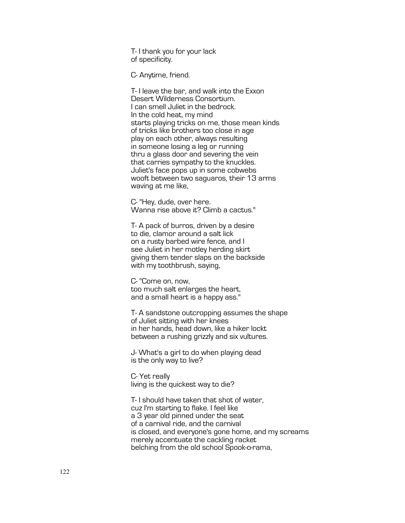T- I thank you for your lack of specificity.

C- Anytime, friend.

T- I leave the bar, and walk into the Exxon Desert Wilderness Consortium. I can smell Juliet in the bedrock. In the cold heat, my mind starts playing tricks on me, those mean kinds of tricks like brothers too close in age play on each other, always resulting in someone losing a leg or running thru a glass door and severing the vein that carries sympathy to the knuckles. Juliet's face pops up in some cobwebs wooft between two saguaros, their 13 arms waving at me like,

C- "Hey, dude, over here. Wanna rise above it? Climb a cactus."

T- A pack of burros, driven by a desire to die, clamor around a salt lick on a rusty barbed wire fence, and I see Juliet in her motley herding skirt giving them tender slaps on the backside with my toothbrush, saying,

C- "Come on, now, too much salt enlarges the heart, and a small heart is a happy ass."

T- A sandstone outcropping assumes the shape of Juliet sitting with her knees in her hands, head down, like a hiker lockt between a rushing grizzly and six vultures.

J- What's a girl to do when playing dead is the only way to live?

C- Yet really living is the quickest way to die?

T- I should have taken that shot of water, cuz I'm starting to flake. I feel like a 3 year old pinned under the seat of a carnival ride, and the carnival is closed, and everyone's gone home, and my screams merely accentuate the cackling racket belching from the old school Spook-o-rama,